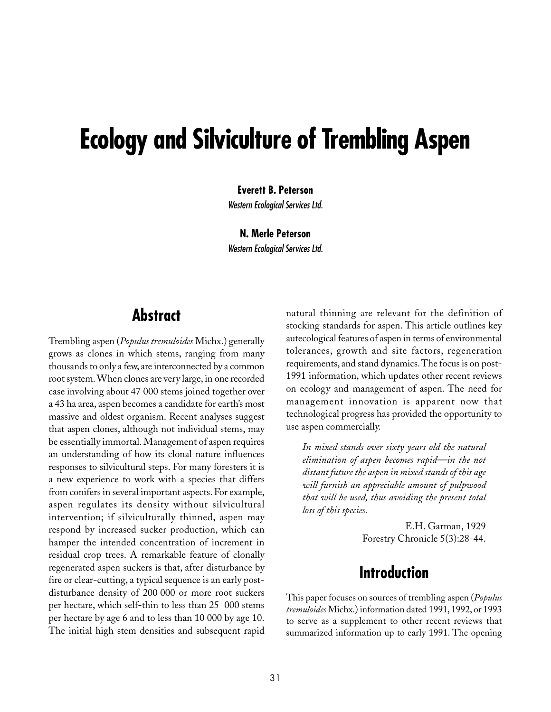# **Ecology and Silviculture of Trembling Aspen**

**Everett B. Peterson**

Western Ecological Services Ltd.

**N. Merle Peterson**

Western Ecological Services Ltd.

### **Abstract**

Trembling aspen (*Populus tremuloides* Michx.) generally grows as clones in which stems, ranging from many thousands to only a few, are interconnected by a common root system. When clones are very large, in one recorded case involving about 47␣ 000 stems joined together over a 43 ha area, aspen becomes a candidate for earth's most massive and oldest organism. Recent analyses suggest that aspen clones, although not individual stems, may be essentially immortal. Management of aspen requires an understanding of how its clonal nature influences responses to silvicultural steps. For many foresters it is a new experience to work with a species that differs from conifers in several important aspects. For example, aspen regulates its density without silvicultural intervention; if silviculturally thinned, aspen may respond by increased sucker production, which can hamper the intended concentration of increment in residual crop trees. A remarkable feature of clonally regenerated aspen suckers is that, after disturbance by fire or clear-cutting, a typical sequence is an early postdisturbance density of 200 000 or more root suckers per hectare, which self-thin to less than 25 000 stems per hectare by age 6 and to less than 10 000 by age 10. The initial high stem densities and subsequent rapid

natural thinning are relevant for the definition of stocking standards for aspen. This article outlines key autecological features of aspen in terms of environmental tolerances, growth and site factors, regeneration requirements, and stand dynamics. The focus is on post-1991 information, which updates other recent reviews on ecology and management of aspen. The need for management innovation is apparent now that technological progress has provided the opportunity to use aspen commercially.

*In mixed stands over sixty years old the natural elimination of aspen becomes rapid—in the not distant future the aspen in mixed stands of this age will furnish an appreciable amount of pulpwood that will be used, thus avoiding the present total loss of this species.*

> E.H. Garman, 1929 Forestry Chronicle 5(3):28-44.

## **Introduction**

This paper focuses on sources of trembling aspen (*Populus tremuloides* Michx.) information dated 1991, 1992, or 1993 to serve as a supplement to other recent reviews that summarized information up to early 1991. The opening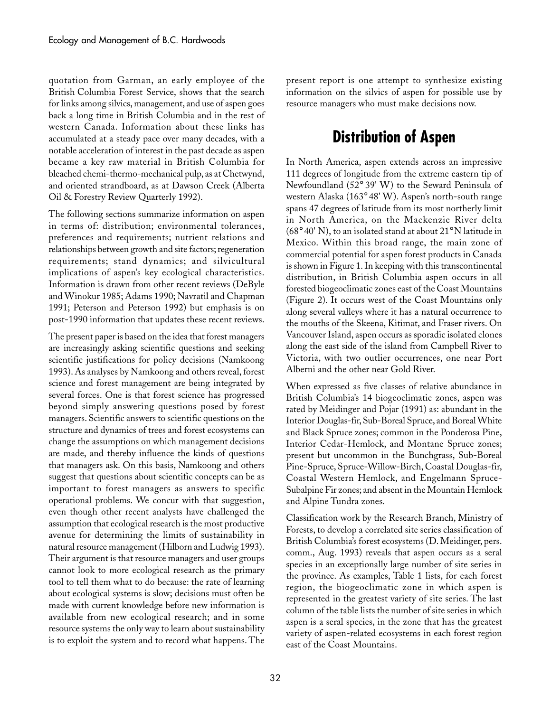quotation from Garman, an early employee of the British␣ Columbia Forest Service, shows that the search for links among silvics, management, and use of aspen goes back a long time in British Columbia and in the rest of western Canada. Information about these links has accumulated at a steady pace over many decades, with a notable acceleration of interest in the past decade as aspen became a key raw material in British Columbia for bleached chemi-thermo-mechanical pulp, as at Chetwynd, and oriented strandboard, as at Dawson Creek (Alberta Oil & Forestry Review Quarterly 1992).

The following sections summarize information on aspen in terms of: distribution; environmental tolerances, preferences and requirements; nutrient relations and relationships between growth and site factors; regeneration requirements; stand dynamics; and silvicultural implications of aspen's key ecological characteristics. Information is drawn from other recent reviews (DeByle and Winokur 1985; Adams 1990; Navratil and Chapman 1991; Peterson and Peterson 1992) but emphasis is on post-1990 information that updates these recent reviews.

The present paper is based on the idea that forest managers are increasingly asking scientific questions and seeking scientific justifications for policy decisions (Namkoong 1993). As analyses by Namkoong and others reveal, forest science and forest management are being integrated by several forces. One is that forest science has progressed beyond simply answering questions posed by forest managers. Scientific answers to scientific questions on the structure and dynamics of trees and forest ecosystems can change the assumptions on which management decisions are made, and thereby influence the kinds of questions that managers ask. On this basis, Namkoong and others suggest that questions about scientific concepts can be as important to forest managers as answers to specific operational problems. We concur with that suggestion, even though other recent analysts have challenged the assumption that ecological research is the most productive avenue for determining the limits of sustainability in natural resource management (Hilborn and Ludwig 1993). Their argument is that resource managers and user groups cannot look to more ecological research as the primary tool to tell them what to do because: the rate of learning about ecological systems is slow; decisions must often be made with current knowledge before new information is available from new ecological research; and in some resource systems the only way to learn about sustainability is to exploit the system and to record what happens. The

present report is one attempt to synthesize existing information on the silvics of aspen for possible use by resource managers who must make decisions now.

## **Distribution of Aspen**

In North America, aspen extends across an impressive 111 degrees of longitude from the extreme eastern tip of Newfoundland (52° 39' W) to the Seward Peninsula of western Alaska (163° 48' W). Aspen's north-south range spans 47 degrees of latitude from its most northerly limit in North America, on the Mackenzie River delta ( $68^{\circ}$  40' N), to an isolated stand at about  $21^{\circ}$  N latitude in Mexico. Within this broad range, the main zone of commercial potential for aspen forest products in Canada is shown in Figure 1. In keeping with this transcontinental distribution, in British Columbia aspen occurs in all forested biogeoclimatic zones east of the Coast Mountains (Figure 2). It occurs west of the Coast Mountains only along several valleys where it has a natural occurrence to the mouths of the Skeena, Kitimat, and Fraser rivers. On Vancouver Island, aspen occurs as sporadic isolated clones along the east side of the island from Campbell River to Victoria, with two outlier occurrences, one near Port Alberni and the other near Gold River.

When expressed as five classes of relative abundance in British Columbia's 14 biogeoclimatic zones, aspen was rated by Meidinger and Pojar (1991) as: abundant in the Interior Douglas-fir, Sub-Boreal Spruce, and Boreal White and Black Spruce zones; common in the Ponderosa Pine, Interior Cedar-Hemlock, and Montane Spruce zones; present but uncommon in the Bunchgrass, Sub-Boreal Pine-Spruce, Spruce-Willow-Birch, Coastal Douglas-fir, Coastal Western Hemlock, and Engelmann Spruce-Subalpine Fir zones; and absent in the Mountain Hemlock and Alpine Tundra zones.

Classification work by the Research Branch, Ministry of Forests, to develop a correlated site series classification of British Columbia's forest ecosystems (D. Meidinger, pers. comm., Aug. 1993) reveals that aspen occurs as a seral species in an exceptionally large number of site series in the province. As examples, Table 1 lists, for each forest region, the biogeoclimatic zone in which aspen is represented in the greatest variety of site series. The last column of the table lists the number of site series in which aspen is a seral species, in the zone that has the greatest variety of aspen-related ecosystems in each forest region east of the Coast Mountains.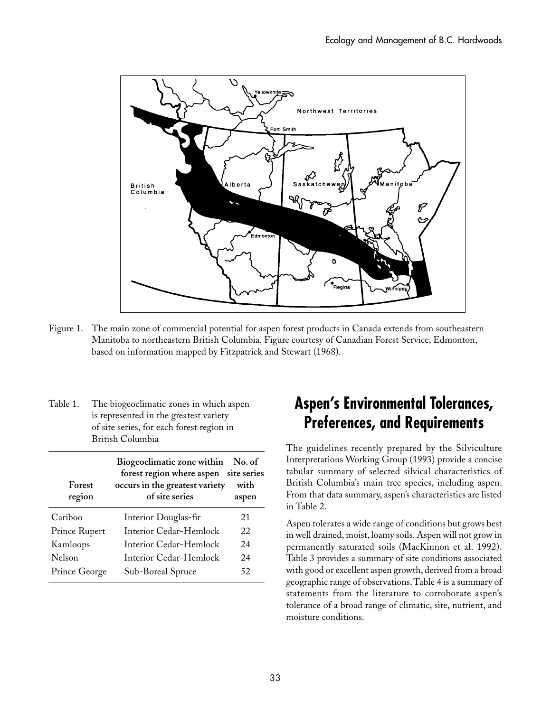

- Figure 1. The main zone of commercial potential for aspen forest products in Canada extends from southeastern Manitoba to northeastern British Columbia. Figure courtesy of Canadian Forest Service, Edmonton, based on information mapped by Fitzpatrick and Stewart (1968).
- Table 1. The biogeoclimatic zones in which aspen is represented in the greatest variety of␣ site␣ series, for each forest region in British␣ Columbia

| Forest<br>region | Biogeoclimatic zone within No. of<br>forest region where aspen site series<br>occurs in the greatest variety<br>of site series | with<br>aspen |
|------------------|--------------------------------------------------------------------------------------------------------------------------------|---------------|
| Cariboo          | Interior Douglas-fir                                                                                                           | 21            |
| Prince Rupert    | Interior Cedar-Hemlock                                                                                                         | 22            |
| Kamloops         | Interior Cedar-Hemlock                                                                                                         | 24            |
| Nelson           | Interior Cedar-Hemlock                                                                                                         | 24            |
| Prince George    | Sub-Boreal Spruce                                                                                                              | 52            |

## **Aspen's Environmental Tolerances, Preferences, and Requirements**

The guidelines recently prepared by the Silviculture Interpretations Working Group (1993) provide a concise tabular summary of selected silvical characteristics of British Columbia's main tree species, including aspen. From that data summary, aspen's characteristics are listed in Table 2.

Aspen tolerates a wide range of conditions but grows best in well drained, moist, loamy soils. Aspen will not grow in permanently saturated soils (MacKinnon et al. 1992). Table 3 provides a summary of site conditions associated with good or excellent aspen growth, derived from a broad geographic range of observations. Table 4 is a summary of statements from the literature to corroborate aspen's tolerance of a broad range of climatic, site, nutrient, and moisture conditions.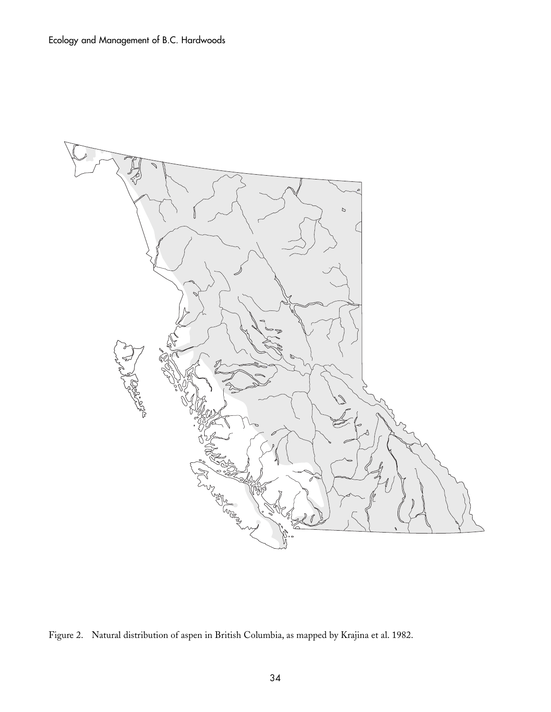

Figure 2. Natural distribution of aspen in British Columbia, as mapped by Krajina et al. 1982.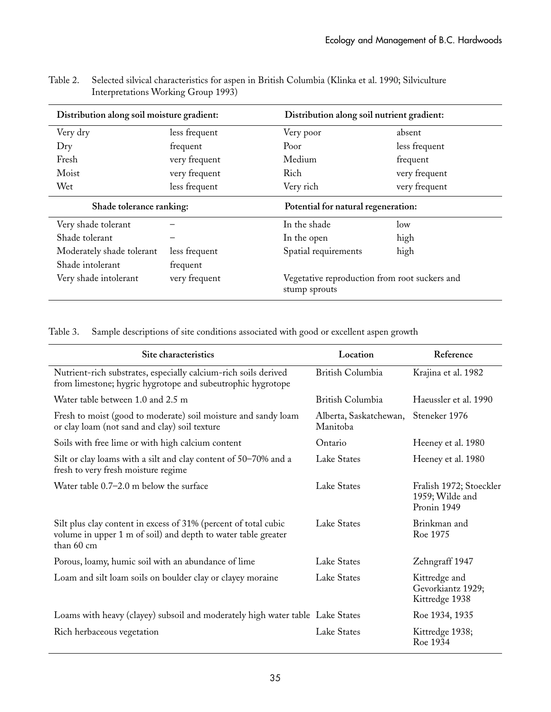| Distribution along soil moisture gradient: |               | Distribution along soil nutrient gradient:                     |               |  |
|--------------------------------------------|---------------|----------------------------------------------------------------|---------------|--|
| Very dry                                   | less frequent | Very poor                                                      | absent        |  |
| $_{\rm{Dry}}$                              | frequent      | Poor                                                           | less frequent |  |
| Fresh                                      | very frequent | Medium                                                         | frequent      |  |
| Moist                                      | very frequent | <b>Rich</b>                                                    | very frequent |  |
| Wet                                        | less frequent | Very rich                                                      | very frequent |  |
| Shade tolerance ranking:                   |               | Potential for natural regeneration:                            |               |  |
| Very shade tolerant                        |               | In the shade                                                   | low           |  |
| Shade tolerant                             |               | In the open                                                    | high          |  |
| Moderately shade tolerant                  | less frequent | Spatial requirements                                           | high          |  |
| Shade intolerant                           | frequent      |                                                                |               |  |
| Very shade intolerant                      | very frequent | Vegetative reproduction from root suckers and<br>stump sprouts |               |  |

Table 2. Selected silvical characteristics for aspen in British Columbia (Klinka et al. 1990; Silviculture Interpretations Working Group 1993)

Table 3. Sample descriptions of site conditions associated with good or excellent aspen growth

| Site characteristics                                                                                                                           | Location                           | Reference                                                 |
|------------------------------------------------------------------------------------------------------------------------------------------------|------------------------------------|-----------------------------------------------------------|
| Nutrient-rich substrates, especially calcium-rich soils derived<br>from limestone; hygric hygrotope and subeutrophic hygrotope                 | British Columbia                   | Krajina et al. 1982                                       |
| Water table between 1.0 and 2.5 m                                                                                                              | British Columbia                   | Haeussler et al. 1990                                     |
| Fresh to moist (good to moderate) soil moisture and sandy loam<br>or clay loam (not sand and clay) soil texture                                | Alberta, Saskatchewan,<br>Manitoba | Steneker 1976                                             |
| Soils with free lime or with high calcium content                                                                                              | Ontario                            | Heeney et al. 1980                                        |
| Silt or clay loams with a silt and clay content of 50-70% and a<br>fresh to very fresh moisture regime                                         | Lake States                        | Heeney et al. 1980                                        |
| Water table $0.7-2.0$ m below the surface                                                                                                      | Lake States                        | Fralish 1972; Stoeckler<br>1959; Wilde and<br>Pronin 1949 |
| Silt plus clay content in excess of 31% (percent of total cubic<br>volume in upper 1 m of soil) and depth to water table greater<br>than 60 cm | Lake States                        | Brinkman and<br>Roe 1975                                  |
| Porous, loamy, humic soil with an abundance of lime                                                                                            | Lake States                        | Zehngraff 1947                                            |
| Loam and silt loam soils on boulder clay or clayey moraine                                                                                     | Lake States                        | Kittredge and<br>Gevorkiantz 1929;<br>Kittredge 1938      |
| Loams with heavy (clayey) subsoil and moderately high water table Lake States                                                                  |                                    | Roe 1934, 1935                                            |
| Rich herbaceous vegetation                                                                                                                     | Lake States                        | Kittredge 1938;<br>Roe 1934                               |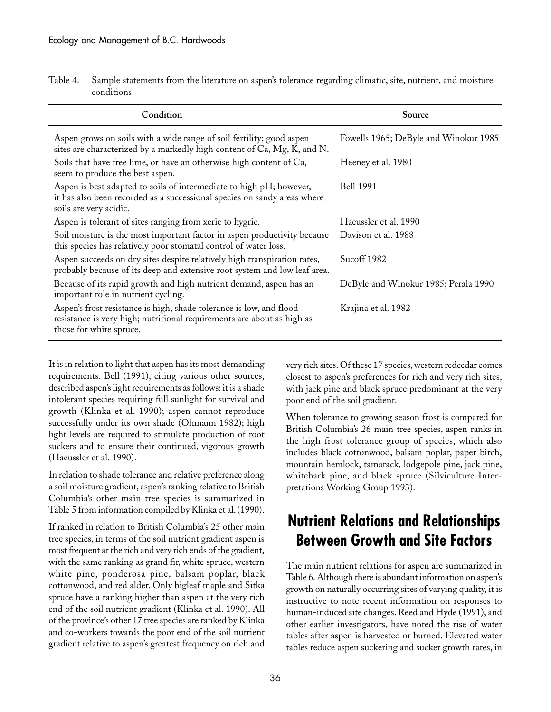| Table 4. Sample statements from the literature on aspen's tolerance regarding climatic, site, nutrient, and moisture |
|----------------------------------------------------------------------------------------------------------------------|
| conditions                                                                                                           |

| Condition                                                                                                                                                                 | Source                                |
|---------------------------------------------------------------------------------------------------------------------------------------------------------------------------|---------------------------------------|
| Aspen grows on soils with a wide range of soil fertility; good aspen<br>sites are characterized by a markedly high content of Ca, Mg, K, and N.                           | Fowells 1965; DeByle and Winokur 1985 |
| Soils that have free lime, or have an otherwise high content of Ca,<br>seem to produce the best aspen.                                                                    | Heeney et al. 1980                    |
| Aspen is best adapted to soils of intermediate to high pH; however,<br>it has also been recorded as a successional species on sandy areas where<br>soils are very acidic. | <b>Bell 1991</b>                      |
| Aspen is tolerant of sites ranging from xeric to hygric.                                                                                                                  | Haeussler et al. 1990                 |
| Soil moisture is the most important factor in aspen productivity because<br>this species has relatively poor stomatal control of water loss.                              | Davison et al. 1988                   |
| Aspen succeeds on dry sites despite relatively high transpiration rates,<br>probably because of its deep and extensive root system and low leaf area.                     | Sucoff 1982                           |
| Because of its rapid growth and high nutrient demand, aspen has an<br>important role in nutrient cycling.                                                                 | DeByle and Winokur 1985; Perala 1990  |
| Aspen's frost resistance is high, shade tolerance is low, and flood<br>resistance is very high; nutritional requirements are about as high as<br>those for white spruce.  | Krajina et al. 1982                   |

It is in relation to light that aspen has its most demanding requirements. Bell (1991), citing various other sources, described aspen's light requirements as follows: it is a shade intolerant species requiring full sunlight for survival and growth (Klinka et al. 1990); aspen cannot reproduce successfully under its own shade (Ohmann 1982); high light levels are required to stimulate production of root suckers and to ensure their continued, vigorous growth (Haeussler et al. 1990).

In relation to shade tolerance and relative preference along a soil moisture gradient, aspen's ranking relative to British Columbia's other main tree species is summarized in Table 5 from information compiled by Klinka et al. (1990).

If ranked in relation to British Columbia's 25 other main tree species, in terms of the soil nutrient gradient aspen is most frequent at the rich and very rich ends of the gradient, with the same ranking as grand fir, white spruce, western white pine, ponderosa pine, balsam poplar, black cottonwood, and red alder. Only bigleaf maple and Sitka spruce have a ranking higher than aspen at the very rich end of the soil nutrient gradient (Klinka et al. 1990). All of the province's other 17 tree species are ranked by Klinka and co-workers towards the poor end of the soil nutrient gradient relative to aspen's greatest frequency on rich and

very rich sites. Of these 17 species, western redcedar comes closest to aspen's preferences for rich and very rich sites, with jack pine and black spruce predominant at the very poor end of the soil gradient.

When tolerance to growing season frost is compared for British Columbia's 26 main tree species, aspen ranks in the high frost tolerance group of species, which also includes black cottonwood, balsam poplar, paper birch, mountain hemlock, tamarack, lodgepole pine, jack pine, whitebark pine, and black spruce (Silviculture Interpretations Working Group 1993).

## **Nutrient Relations and Relationships Between Growth and Site Factors**

The main nutrient relations for aspen are summarized in Table 6. Although there is abundant information on aspen's growth on naturally occurring sites of varying quality, it is instructive to note recent information on responses to human-induced site changes. Reed and Hyde (1991), and other earlier investigators, have noted the rise of water tables after aspen is harvested or burned. Elevated water tables reduce aspen suckering and sucker growth rates, in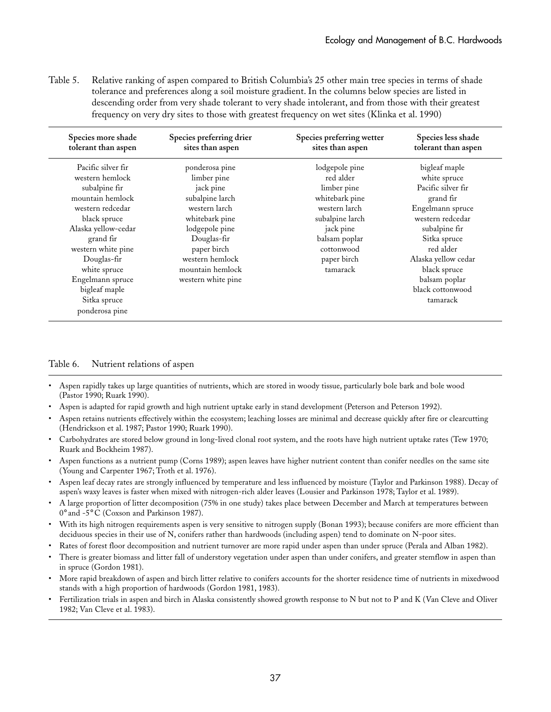Table 5. Relative ranking of aspen compared to British Columbia's 25 other main tree species in terms of shade tolerance and preferences along a soil moisture gradient. In the columns below species are listed in descending order from very shade tolerant to very shade intolerant, and from those with their greatest frequency on very dry sites to those with greatest frequency on wet sites (Klinka et al. 1990)

| Species more shade<br>tolerant than aspen                                                                                                                                                                                                    | Species preferring drier<br>sites than aspen                                                                                                                                                                  | Species preferring wetter<br>sites than aspen                                                                                                                           | Species less shade<br>tolerant than aspen                                                                                                                                                                                          |
|----------------------------------------------------------------------------------------------------------------------------------------------------------------------------------------------------------------------------------------------|---------------------------------------------------------------------------------------------------------------------------------------------------------------------------------------------------------------|-------------------------------------------------------------------------------------------------------------------------------------------------------------------------|------------------------------------------------------------------------------------------------------------------------------------------------------------------------------------------------------------------------------------|
| Pacific silver fir<br>western hemlock<br>subalpine fir<br>mountain hemlock<br>western redcedar<br>black spruce<br>Alaska yellow-cedar<br>grand fir<br>western white pine<br>Douglas-fir<br>white spruce<br>Engelmann spruce<br>bigleaf maple | ponderosa pine<br>limber pine<br>jack pine<br>subalpine larch<br>western larch<br>whitebark pine<br>lodgepole pine<br>Douglas-fir<br>paper birch<br>western hemlock<br>mountain hemlock<br>western white pine | lodgepole pine<br>red alder<br>limber pine<br>whitebark pine<br>western larch<br>subalpine larch<br>jack pine<br>balsam poplar<br>cottonwood<br>paper birch<br>tamarack | bigleaf maple<br>white spruce<br>Pacific silver fir<br>grand fir<br>Engelmann spruce<br>western redcedar<br>subalpine fir<br>Sitka spruce<br>red alder<br>Alaska yellow cedar<br>black spruce<br>balsam poplar<br>black cottonwood |
| Sitka spruce<br>ponderosa pine                                                                                                                                                                                                               |                                                                                                                                                                                                               |                                                                                                                                                                         | tamarack                                                                                                                                                                                                                           |

#### Table 6. Nutrient relations of aspen

- Aspen rapidly takes up large quantities of nutrients, which are stored in woody tissue, particularly bole bark and bole wood (Pastor␣ 1990; Ruark 1990).
- Aspen is adapted for rapid growth and high nutrient uptake early in stand development (Peterson and Peterson 1992).
- Aspen retains nutrients effectively within the ecosystem; leaching losses are minimal and decrease quickly after fire or clearcutting (Hendrickson et al. 1987; Pastor 1990; Ruark 1990).
- Carbohydrates are stored below ground in long-lived clonal root system, and the roots have high nutrient uptake rates (Tew 1970; Ruark and Bockheim 1987).
- Aspen functions as a nutrient pump (Corns 1989); aspen leaves have higher nutrient content than conifer needles on the same site (Young and Carpenter 1967; Troth et al. 1976).
- Aspen leaf decay rates are strongly influenced by temperature and less influenced by moisture (Taylor and Parkinson 1988). Decay of aspen's waxy leaves is faster when mixed with nitrogen-rich alder leaves (Lousier and Parkinson 1978; Taylor et al. 1989).
- A large proportion of litter decomposition (75% in one study) takes place between December and March at temperatures between 0° and -5° C (Coxson and Parkinson 1987).
- With its high nitrogen requirements aspen is very sensitive to nitrogen supply (Bonan 1993); because conifers are more efficient than deciduous species in their use of N, conifers rather than hardwoods (including aspen) tend to dominate on N-poor sites.
- Rates of forest floor decomposition and nutrient turnover are more rapid under aspen than under spruce (Perala and Alban 1982).
- There is greater biomass and litter fall of understory vegetation under aspen than under conifers, and greater stemflow in aspen than in spruce (Gordon 1981).
- More rapid breakdown of aspen and birch litter relative to conifers accounts for the shorter residence time of nutrients in mixedwood stands with a high proportion of hardwoods (Gordon 1981, 1983).
- Fertilization trials in aspen and birch in Alaska consistently showed growth response to N but not to P and K (Van Cleve and Oliver 1982; Van Cleve et al. 1983).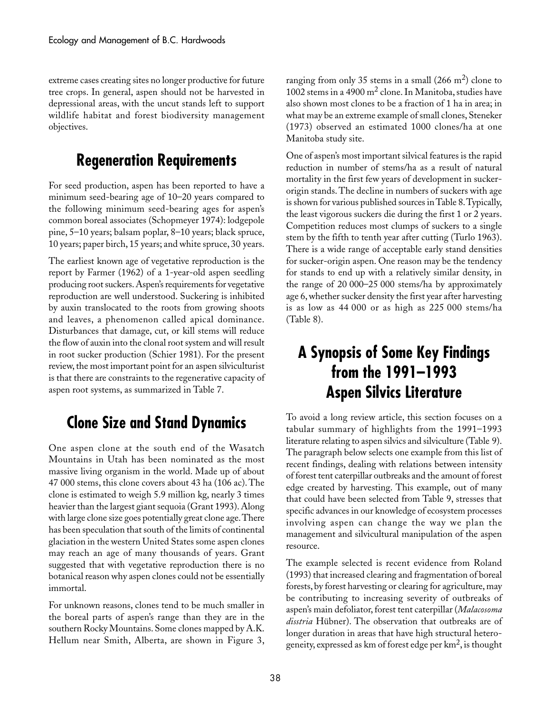extreme cases creating sites no longer productive for future tree crops. In general, aspen should not be harvested in depressional areas, with the uncut stands left to support wildlife habitat and forest biodiversity management objectives.

## **Regeneration Requirements**

For seed production, aspen has been reported to have a minimum seed-bearing age of 10–20 years compared to the following minimum seed-bearing ages for aspen's common boreal associates (Schopmeyer 1974): lodgepole pine, 5–10 years; balsam poplar, 8–10 years; black spruce, 10 years; paper birch, 15 years; and white spruce, 30␣ years.

The earliest known age of vegetative reproduction is the report by Farmer (1962) of a 1-year-old aspen seedling producing root suckers. Aspen's requirements for vegetative reproduction are well understood. Suckering is inhibited by auxin translocated to the roots from growing shoots and leaves, a phenomenon called apical dominance. Disturbances that damage, cut, or kill stems will reduce the flow of auxin into the clonal root system and will result in root sucker production (Schier 1981). For the present review, the most important point for an aspen silviculturist is that there are constraints to the regenerative capacity of aspen root systems, as summarized in Table 7.

## **Clone Size and Stand Dynamics**

One aspen clone at the south end of the Wasatch Mountains in Utah has been nominated as the most massive living organism in the world. Made up of about 47␣ 000 stems, this clone covers about 43 ha (106 ac). The clone is estimated to weigh 5.9 million kg, nearly 3 times heavier than the largest giant sequoia (Grant 1993). Along with large clone size goes potentially great clone age. There has been speculation that south of the limits of continental glaciation in the western United States some aspen clones may reach an age of many thousands of years. Grant suggested that with vegetative reproduction there is no botanical reason why aspen clones could not be essentially immortal.

For unknown reasons, clones tend to be much smaller in the boreal parts of aspen's range than they are in the southern Rocky Mountains. Some clones mapped by A.K. Hellum near Smith, Alberta, are shown in Figure 3,

ranging from only 35 stems in a small  $(266 \text{ m}^2)$  clone to 1002 stems in a 4900  $m^2$  clone. In Manitoba, studies have also shown most clones to be a fraction of 1 ha in area; in what may be an extreme example of small clones, Steneker (1973) observed an estimated 1000 clones/ha at one Manitoba study site.

One of aspen's most important silvical features is the rapid reduction in number of stems/ha as a result of natural mortality in the first few years of development in suckerorigin stands. The decline in numbers of suckers with age is shown for various published sources in Table 8. Typically, the least vigorous suckers die during the first 1 or 2 years. Competition reduces most clumps of suckers to a single stem by the fifth to tenth year after cutting (Turlo 1963). There is a wide range of acceptable early stand densities for sucker-origin aspen. One reason may be the tendency for stands to end up with a relatively similar density, in the range of 20 000-25 000 stems/ha by approximately age 6, whether sucker density the first year after harvesting is as low as 44␣ 000 or as high as 225␣ 000 stems/ha  $(Table 8)$ .

## **A Synopsis of Some Key Findings from the 1991–1993 Aspen Silvics Literature**

To avoid a long review article, this section focuses on a tabular summary of highlights from the 1991–1993 literature relating to aspen silvics and silviculture (Table 9). The paragraph below selects one example from this list of recent findings, dealing with relations between intensity of forest tent caterpillar outbreaks and the amount of forest edge created by harvesting. This example, out of many that could have been selected from Table 9, stresses that specific advances in our knowledge of ecosystem processes involving aspen can change the way we plan the management and silvicultural manipulation of the aspen resource.

The example selected is recent evidence from Roland (1993) that increased clearing and fragmentation of boreal forests, by forest harvesting or clearing for agriculture, may be contributing to increasing severity of outbreaks of aspen's main defoliator, forest tent caterpillar (*Malacosoma disstria* Hübner). The observation that outbreaks are of longer duration in areas that have high structural heterogeneity, expressed as km of forest edge per  $km^2$ , is thought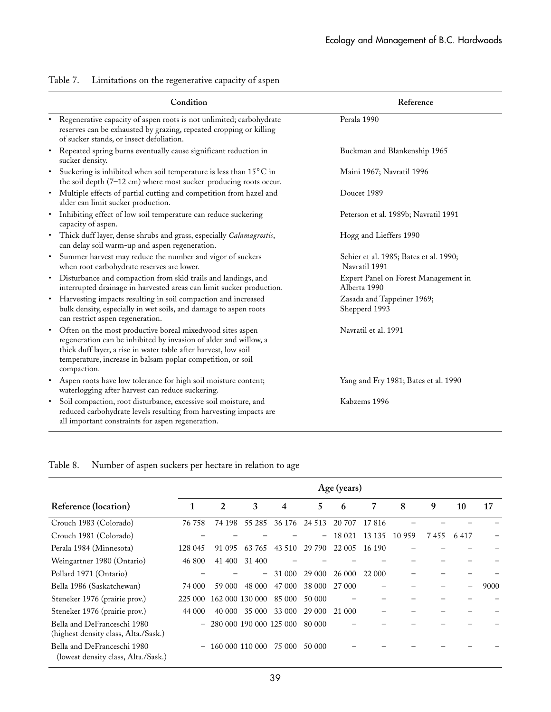|           | Condition                                                                                                                                                                                                                                                                      | Reference                                               |
|-----------|--------------------------------------------------------------------------------------------------------------------------------------------------------------------------------------------------------------------------------------------------------------------------------|---------------------------------------------------------|
| $\bullet$ | Regenerative capacity of aspen roots is not unlimited; carbohydrate<br>reserves can be exhausted by grazing, repeated cropping or killing<br>of sucker stands, or insect defoliation.                                                                                          | Perala 1990                                             |
| $\bullet$ | Repeated spring burns eventually cause significant reduction in<br>sucker density.                                                                                                                                                                                             | Buckman and Blankenship 1965                            |
| $\bullet$ | Suckering is inhibited when soil temperature is less than 15°C in<br>the soil depth (7-12 cm) where most sucker-producing roots occur.                                                                                                                                         | Maini 1967; Navratil 1996                               |
| $\bullet$ | Multiple effects of partial cutting and competition from hazel and<br>alder can limit sucker production.                                                                                                                                                                       | Doucet 1989                                             |
| $\bullet$ | Inhibiting effect of low soil temperature can reduce suckering<br>capacity of aspen.                                                                                                                                                                                           | Peterson et al. 1989b; Navratil 1991                    |
|           | • Thick duff layer, dense shrubs and grass, especially Calamagrostis,<br>can delay soil warm-up and aspen regeneration.                                                                                                                                                        | Hogg and Lieffers 1990                                  |
| $\bullet$ | Summer harvest may reduce the number and vigor of suckers<br>when root carbohydrate reserves are lower.                                                                                                                                                                        | Schier et al. 1985; Bates et al. 1990;<br>Navratil 1991 |
| $\bullet$ | Disturbance and compaction from skid trails and landings, and<br>interrupted drainage in harvested areas can limit sucker production.                                                                                                                                          | Expert Panel on Forest Management in<br>Alberta 1990    |
|           | Harvesting impacts resulting in soil compaction and increased<br>bulk density, especially in wet soils, and damage to aspen roots<br>can restrict aspen regeneration.                                                                                                          | Zasada and Tappeiner 1969;<br>Shepperd 1993             |
| $\bullet$ | Often on the most productive boreal mixedwood sites aspen<br>regeneration can be inhibited by invasion of alder and willow, a<br>thick duff layer, a rise in water table after harvest, low soil<br>temperature, increase in balsam poplar competition, or soil<br>compaction. | Navratil et al. 1991                                    |
| $\bullet$ | Aspen roots have low tolerance for high soil moisture content;<br>waterlogging after harvest can reduce suckering.                                                                                                                                                             | Yang and Fry 1981; Bates et al. 1990                    |
| $\bullet$ | Soil compaction, root disturbance, excessive soil moisture, and<br>reduced carbohydrate levels resulting from harvesting impacts are<br>all important constraints for aspen regeneration.                                                                                      | Kabzems 1996                                            |

#### Table 7. Limitations on the regenerative capacity of aspen

#### Table 8. Number of aspen suckers per hectare in relation to age

|                                                                     | Age (years)       |        |                   |                         |               |        |        |        |      |      |      |
|---------------------------------------------------------------------|-------------------|--------|-------------------|-------------------------|---------------|--------|--------|--------|------|------|------|
| Reference (location)                                                |                   | 2      | 3                 | 4                       | 5             | 6      | 7      | 8      | 9    | 10   | 17   |
| Crouch 1983 (Colorado)                                              | 76 758            | 74 198 | 55 285            |                         | 36 176 24 513 | 20 707 | 17816  |        |      |      |      |
| Crouch 1981 (Colorado)                                              |                   |        |                   |                         | -             | 18 021 | 13 135 | 10 959 | 7455 | 6417 |      |
| Perala 1984 (Minnesota)                                             | 128 045           | 91 095 | 63 765            | 43 5 10                 | 29 790        | 22 005 | 16 190 |        |      |      |      |
| Weingartner 1980 (Ontario)                                          | 46 800            | 41 400 | 31 400            |                         |               |        |        |        |      |      |      |
| Pollard 1971 (Ontario)                                              |                   |        | $\qquad \qquad -$ | 31 000                  | 29 000        | 26 000 | 22 000 |        |      |      |      |
| Bella 1986 (Saskatchewan)                                           | 74 000            | 59 000 | 48 000            | 47 000                  | 38 000        | 27 000 |        |        |      |      | 9000 |
| Steneker 1976 (prairie prov.)                                       | 225 000           |        | 162 000 130 000   | 85 000                  | 50 000        |        |        |        |      |      |      |
| Steneker 1976 (prairie prov.)                                       | 44 000            | 40 000 | 35 000            | 33 000                  | 29 000        | 21 000 |        |        |      |      |      |
| Bella and DeFranceschi 1980<br>(highest density class, Alta./Sask.) | $\qquad \qquad -$ |        |                   | 280 000 190 000 125 000 | 80 000        |        |        |        |      |      |      |
| Bella and DeFranceschi 1980<br>(lowest density class, Alta./Sask.)  | $\qquad \qquad -$ |        | 160 000 110 000   | 75 000                  | 50 000        |        |        |        |      |      |      |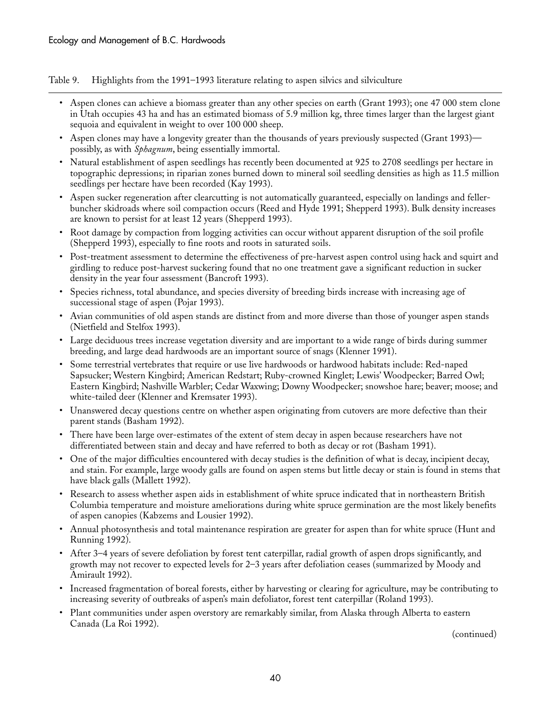Table 9. Highlights from the 1991–1993 literature relating to aspen silvics and silviculture

- Aspen clones can achieve a biomass greater than any other species on earth (Grant 1993); one 47 000 stem clone in Utah occupies 43 ha and has an estimated biomass of 5.9 million kg, three times larger than the largest giant sequoia and equivalent in weight to over 100 000 sheep.
- Aspen clones may have a longevity greater than the thousands of years previously suspected (Grant 1993) possibly, as with *Sphagnum*, being essentially immortal.
- Natural establishment of aspen seedlings has recently been documented at 925 to 2708 seedlings per hectare in topographic depressions; in riparian zones burned down to mineral soil seedling densities as high as 11.5 million seedlings per hectare have been recorded (Kay 1993).
- Aspen sucker regeneration after clearcutting is not automatically guaranteed, especially on landings and fellerbuncher skidroads where soil compaction occurs (Reed and Hyde 1991; Shepperd 1993). Bulk density increases are known to persist for at least 12 years (Shepperd 1993).
- Root damage by compaction from logging activities can occur without apparent disruption of the soil profile (Shepperd 1993), especially to fine roots and roots in saturated soils.
- Post-treatment assessment to determine the effectiveness of pre-harvest aspen control using hack and squirt and girdling to reduce post-harvest suckering found that no one treatment gave a significant reduction in sucker density in the year four assessment (Bancroft 1993).
- Species richness, total abundance, and species diversity of breeding birds increase with increasing age of successional stage of aspen (Pojar 1993).
- Avian communities of old aspen stands are distinct from and more diverse than those of younger aspen stands (Nietfield and Stelfox 1993).
- Large deciduous trees increase vegetation diversity and are important to a wide range of birds during summer breeding, and large dead hardwoods are an important source of snags (Klenner 1991).
- Some terrestrial vertebrates that require or use live hardwoods or hardwood habitats include: Red-naped Sapsucker; Western Kingbird; American Redstart; Ruby-crowned Kinglet; Lewis' Woodpecker; Barred Owl; Eastern Kingbird; Nashville Warbler; Cedar Waxwing; Downy Woodpecker; snowshoe hare; beaver; moose; and white-tailed deer (Klenner and Kremsater 1993).
- Unanswered decay questions centre on whether aspen originating from cutovers are more defective than their parent stands (Basham 1992).
- There have been large over-estimates of the extent of stem decay in aspen because researchers have not differentiated between stain and decay and have referred to both as decay or rot (Basham 1991).
- One of the major difficulties encountered with decay studies is the definition of what is decay, incipient decay, and stain. For example, large woody galls are found on aspen stems but little decay or stain is found in stems that have black galls (Mallett 1992).
- Research to assess whether aspen aids in establishment of white spruce indicated that in northeastern British Columbia temperature and moisture ameliorations during white spruce germination are the most likely benefits of aspen canopies (Kabzems and Lousier 1992).
- Annual photosynthesis and total maintenance respiration are greater for aspen than for white spruce (Hunt and Running 1992).
- After 3–4 years of severe defoliation by forest tent caterpillar, radial growth of aspen drops significantly, and growth may not recover to expected levels for 2–3 years after defoliation ceases (summarized by Moody and Amirault 1992).
- Increased fragmentation of boreal forests, either by harvesting or clearing for agriculture, may be contributing to increasing severity of outbreaks of aspen's main defoliator, forest tent caterpillar (Roland 1993).
- Plant communities under aspen overstory are remarkably similar, from Alaska through Alberta to eastern Canada (La Roi 1992).

(continued)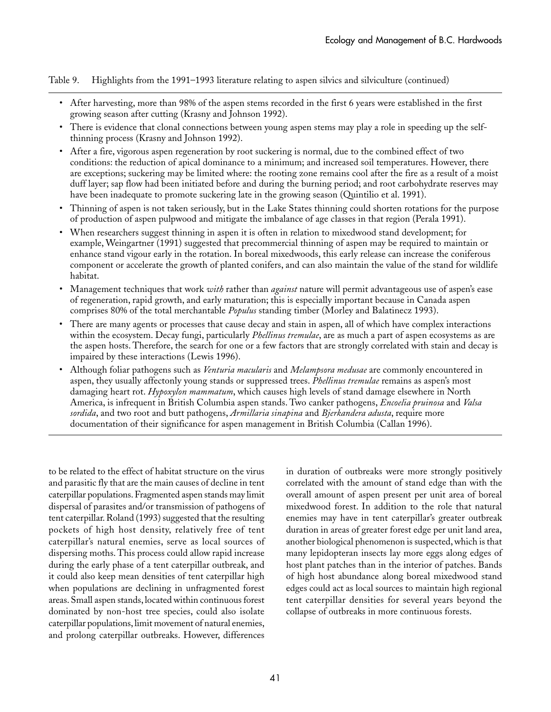Table 9. Highlights from the 1991–1993 literature relating to aspen silvics and silviculture (continued)

- After harvesting, more than 98% of the aspen stems recorded in the first 6 years were established in the first growing season after cutting (Krasny and Johnson 1992).
- There is evidence that clonal connections between young aspen stems may play a role in speeding up the selfthinning process (Krasny and Johnson 1992).
- After a fire, vigorous aspen regeneration by root suckering is normal, due to the combined effect of two conditions: the reduction of apical dominance to a minimum; and increased soil temperatures. However, there are exceptions; suckering may be limited where: the rooting zone remains cool after the fire as a result of a moist duff layer; sap flow had been initiated before and during the burning period; and root carbohydrate reserves may have been inadequate to promote suckering late in the growing season (Quintilio et al. 1991).
- Thinning of aspen is not taken seriously, but in the Lake States thinning could shorten rotations for the purpose of production of aspen pulpwood and mitigate the imbalance of age classes in that region (Perala 1991).
- When researchers suggest thinning in aspen it is often in relation to mixedwood stand development; for example, Weingartner (1991) suggested that precommercial thinning of aspen may be required to maintain or enhance stand vigour early in the rotation. In boreal mixedwoods, this early release can increase the coniferous component or accelerate the growth of planted conifers, and can also maintain the value of the stand for wildlife habitat.
- Management techniques that work *with* rather than *against* nature will permit advantageous use of aspen's ease of regeneration, rapid growth, and early maturation; this is especially important because in Canada aspen comprises 80% of the total merchantable *Populus* standing timber (Morley and Balatinecz 1993).
- There are many agents or processes that cause decay and stain in aspen, all of which have complex interactions within the ecosystem. Decay fungi, particularly *Phellinus tremulae*, are as much a part of aspen ecosystems as are the aspen hosts. Therefore, the search for one or a few factors that are strongly correlated with stain and decay is impaired by these interactions (Lewis 1996).
- Although foliar pathogens such as *Venturia macularis* and *Melampsora medusae* are commonly encountered in aspen, they usually affectonly young stands or suppressed trees. *Phellinus tremulae* remains as aspen's most damaging heart rot. *Hypoxylon mammatum*, which causes high levels of stand damage elsewhere in North America, is infrequent in British Columbia aspen stands. Two canker pathogens, *Encoelia pruinosa* and *Valsa sordida*, and two root and butt pathogens, *Armillaria sinapina* and *Bjerkandera adusta*, require more documentation of their significance for aspen management in British Columbia (Callan 1996).

to be related to the effect of habitat structure on the virus and parasitic fly that are the main causes of decline in tent caterpillar populations. Fragmented aspen stands may limit dispersal of parasites and/or transmission of pathogens of tent caterpillar. Roland (1993) suggested that the resulting pockets of high host density, relatively free of tent caterpillar's natural enemies, serve as local sources of dispersing moths. This process could allow rapid increase during the early phase of a tent caterpillar outbreak, and it could also keep mean densities of tent caterpillar high when populations are declining in unfragmented forest areas. Small aspen stands, located within continuous forest dominated by non-host tree species, could also isolate caterpillar populations, limit movement of natural enemies, and prolong caterpillar outbreaks. However, differences

in duration of outbreaks were more strongly positively correlated with the amount of stand edge than with the overall amount of aspen present per unit area of boreal mixedwood forest. In addition to the role that natural enemies may have in tent caterpillar's greater outbreak duration in areas of greater forest edge per unit land area, another biological phenomenon is suspected, which is that many lepidopteran insects lay more eggs along edges of host plant patches than in the interior of patches. Bands of high host abundance along boreal mixedwood stand edges could act as local sources to maintain high regional tent caterpillar densities for several years beyond the collapse of outbreaks in more continuous forests.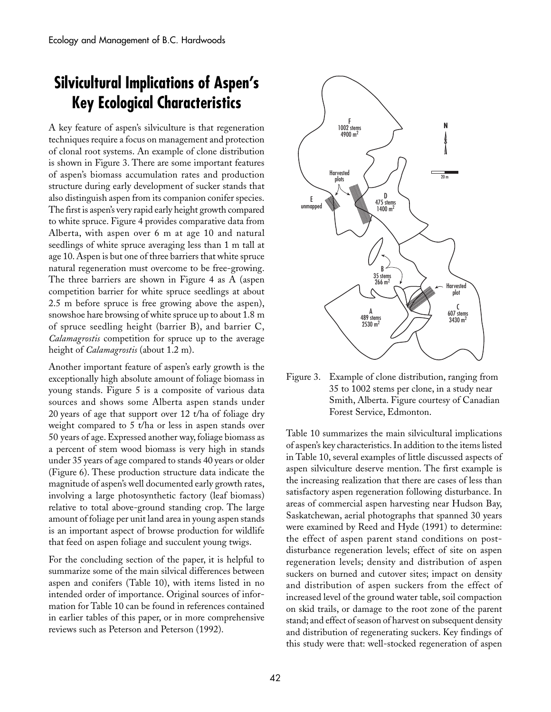## **Silvicultural Implications of Aspen's Key Ecological Characteristics**

A key feature of aspen's silviculture is that regeneration techniques require a focus on management and protection of clonal root systems. An example of clone distribution is shown in Figure 3. There are some important features of aspen's biomass accumulation rates and production structure during early development of sucker stands that also distinguish aspen from its companion conifer species. The first is aspen's very rapid early height growth compared to white spruce. Figure 4 provides comparative data from Alberta, with aspen over 6 m at age 10 and natural seedlings of white spruce averaging less than 1 m tall at age 10. Aspen is but one of three barriers that white spruce natural regeneration must overcome to be free-growing. The three barriers are shown in Figure 4 as A (aspen competition barrier for white spruce seedlings at about 2.5 m before spruce is free growing above the aspen), snowshoe hare browsing of white spruce up to about 1.8 m of spruce seedling height (barrier B), and barrier C, *Calamagrostis* competition for spruce up to the average height of *Calamagrostis* (about 1.2 m).

Another important feature of aspen's early growth is the exceptionally high absolute amount of foliage biomass in young stands. Figure 5 is a composite of various data sources and shows some Alberta aspen stands under 20␣ years of age that support over 12 t/ha of foliage dry weight compared to 5 t/ha or less in aspen stands over 50␣ years of age. Expressed another way, foliage biomass as a percent of stem wood biomass is very high in stands under 35 years of age compared to stands 40 years or older (Figure␣ 6). These production structure data indicate the magnitude of aspen's well documented early growth rates, involving a large photosynthetic factory (leaf biomass) relative to total above-ground standing crop. The large amount of foliage per unit land area in young aspen stands is an important aspect of browse production for wildlife that feed on aspen foliage and succulent young twigs.

For the concluding section of the paper, it is helpful to summarize some of the main silvical differences between aspen and conifers (Table 10), with items listed in no intended order of importance. Original sources of information for Table 10 can be found in references contained in earlier tables of this paper, or in more comprehensive reviews such as Peterson and Peterson (1992).



Figure 3. Example of clone distribution, ranging from 35 to 1002 stems per clone, in a study near Smith, Alberta. Figure courtesy of Canadian Forest Service, Edmonton.

Table 10 summarizes the main silvicultural implications of aspen's key characteristics. In addition to the items listed in Table 10, several examples of little discussed aspects of aspen silviculture deserve mention. The first example is the increasing realization that there are cases of less than satisfactory aspen regeneration following disturbance. In areas of commercial aspen harvesting near Hudson Bay, Saskatchewan, aerial photographs that spanned 30 years were examined by Reed and Hyde (1991) to determine: the effect of aspen parent stand conditions on postdisturbance regeneration levels; effect of site on aspen regeneration levels; density and distribution of aspen suckers on burned and cutover sites; impact on density and distribution of aspen suckers from the effect of increased level of the ground water table, soil compaction on skid trails, or damage to the root zone of the parent stand; and effect of season of harvest on subsequent density and distribution of regenerating suckers. Key findings of this study were that: well-stocked regeneration of aspen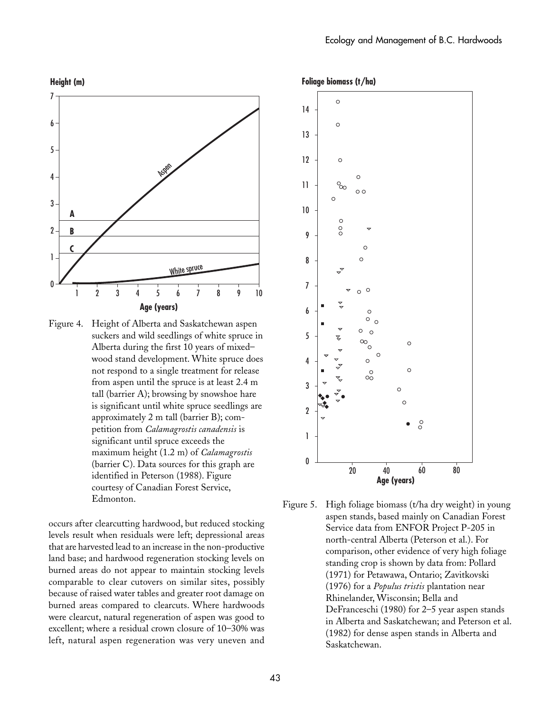

Figure 4. Height of Alberta and Saskatchewan aspen suckers and wild seedlings of white spruce in Alberta during the first 10 years of mixed– wood stand development. White spruce does not respond to a single treatment for release from aspen until the spruce is at least 2.4 m tall (barrier A); browsing by snowshoe hare is significant until white spruce seedlings are approximately 2 m tall (barrier B); competition from *Calamagrostis canadensis* is significant until spruce exceeds the maximum height (1.2 m) of *Calamagrostis* (barrier C). Data sources for this graph are identified in Peterson (1988). Figure courtesy of Canadian Forest Service, Edmonton.

occurs after clearcutting hardwood, but reduced stocking levels result when residuals were left; depressional areas that are harvested lead to an increase in the non-productive land base; and hardwood regeneration stocking levels on burned areas do not appear to maintain stocking levels comparable to clear cutovers on similar sites, possibly because of raised water tables and greater root damage on burned areas compared to clearcuts. Where hardwoods were clearcut, natural regeneration of aspen was good to excellent; where a residual crown closure of 10–30% was left, natural aspen regeneration was very uneven and

**Foliage biomass (t/ha)**



Figure 5. High foliage biomass (t/ha dry weight) in young aspen stands, based mainly on Canadian Forest Service data from ENFOR Project P-205 in north-central Alberta (Peterson et al.). For comparison, other evidence of very high foliage standing crop is shown by data from: Pollard (1971) for Petawawa, Ontario; Zavitkovski (1976) for a *Populus tristis* plantation near Rhinelander, Wisconsin; Bella and DeFranceschi (1980) for 2–5 year aspen stands in Alberta and Saskatchewan; and Peterson et al. (1982) for dense aspen stands in Alberta and Saskatchewan.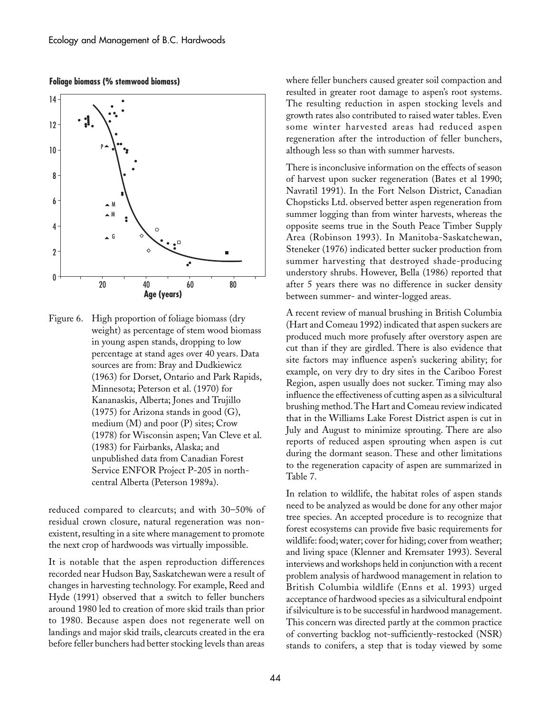

**Foliage biomass (% stemwood biomass)**

Figure 6. High proportion of foliage biomass (dry weight) as percentage of stem wood biomass in young aspen stands, dropping to low percentage at stand ages over 40 years. Data sources are from: Bray and Dudkiewicz (1963) for Dorset, Ontario and Park Rapids, Minnesota; Peterson et al. (1970) for Kananaskis, Alberta; Jones and Trujillo (1975) for Arizona stands in good (G), medium (M) and poor (P) sites; Crow (1978) for Wisconsin aspen; Van Cleve et al. (1983) for Fairbanks, Alaska; and unpublished data from Canadian Forest Service ENFOR Project P-205 in northcentral Alberta (Peterson 1989a).

reduced compared to clearcuts; and with 30–50% of residual crown closure, natural regeneration was nonexistent, resulting in a site where management to promote the next crop of hardwoods was virtually impossible.

It is notable that the aspen reproduction differences recorded near Hudson Bay, Saskatchewan were a result of changes in harvesting technology. For example, Reed and Hyde (1991) observed that a switch to feller bunchers around 1980 led to creation of more skid trails than prior to 1980. Because aspen does not regenerate well on landings and major skid trails, clearcuts created in the era before feller bunchers had better stocking levels than areas

where feller bunchers caused greater soil compaction and resulted in greater root damage to aspen's root systems. The resulting reduction in aspen stocking levels and growth rates also contributed to raised water tables. Even some winter harvested areas had reduced aspen regeneration after the introduction of feller bunchers, although less so than with summer harvests.

There is inconclusive information on the effects of season of harvest upon sucker regeneration (Bates et al 1990; Navratil 1991). In the Fort Nelson District, Canadian Chopsticks Ltd. observed better aspen regeneration from summer logging than from winter harvests, whereas the opposite seems true in the South Peace Timber Supply Area (Robinson 1993). In Manitoba-Saskatchewan, Steneker (1976) indicated better sucker production from summer harvesting that destroyed shade-producing understory shrubs. However, Bella (1986) reported that after 5 years there was no difference in sucker density between summer- and winter-logged areas.

A recent review of manual brushing in British Columbia (Hart and Comeau 1992) indicated that aspen suckers are produced much more profusely after overstory aspen are cut than if they are girdled. There is also evidence that site factors may influence aspen's suckering ability; for example, on very dry to dry sites in the Cariboo Forest Region, aspen usually does not sucker. Timing may also influence the effectiveness of cutting aspen as a silvicultural brushing method. The Hart and Comeau review indicated that in the Williams Lake Forest District aspen is cut in July and August to minimize sprouting. There are also reports of reduced aspen sprouting when aspen is cut during the dormant season. These and other limitations to the regeneration capacity of aspen are summarized in Table 7.

In relation to wildlife, the habitat roles of aspen stands need to be analyzed as would be done for any other major tree species. An accepted procedure is to recognize that forest ecosystems can provide five basic requirements for wildlife: food; water; cover for hiding; cover from weather; and living space (Klenner and Kremsater 1993). Several interviews and workshops held in conjunction with a recent problem analysis of hardwood management in relation to British Columbia wildlife (Enns et al. 1993) urged acceptance of hardwood species as a silvicultural endpoint if silviculture is to be successful in hardwood management. This concern was directed partly at the common practice of converting backlog not-sufficiently-restocked (NSR) stands to conifers, a step that is today viewed by some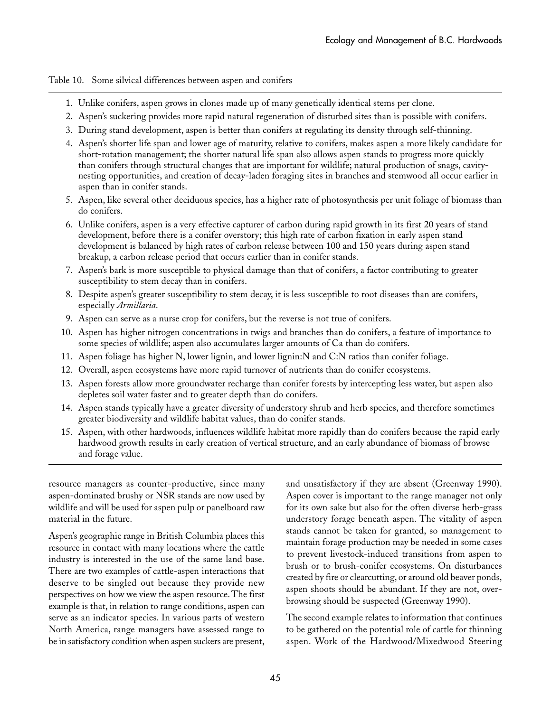Table 10. Some silvical differences between aspen and conifers

- 1. Unlike conifers, aspen grows in clones made up of many genetically identical stems per clone.
- 2. Aspen's suckering provides more rapid natural regeneration of disturbed sites than is possible with conifers.
- 3. During stand development, aspen is better than conifers at regulating its density through self-thinning.
- 4. Aspen's shorter life span and lower age of maturity, relative to conifers, makes aspen a more likely candidate for short-rotation management; the shorter natural life span also allows aspen stands to progress more quickly than conifers through structural changes that are important for wildlife; natural production of snags, cavitynesting opportunities, and creation of decay-laden foraging sites in branches and stemwood all occur earlier in aspen than in conifer stands.
- 5. Aspen, like several other deciduous species, has a higher rate of photosynthesis per unit foliage of biomass than do conifers.
- 6. Unlike conifers, aspen is a very effective capturer of carbon during rapid growth in its first 20 years of stand development, before there is a conifer overstory; this high rate of carbon fixation in early aspen stand development is balanced by high rates of carbon release between 100 and 150 years during aspen stand breakup, a carbon release period that occurs earlier than in conifer stands.
- 7. Aspen's bark is more susceptible to physical damage than that of conifers, a factor contributing to greater susceptibility to stem decay than in conifers.
- 8. Despite aspen's greater susceptibility to stem decay, it is less susceptible to root diseases than are conifers, especially *Armillaria*.
- 9. Aspen can serve as a nurse crop for conifers, but the reverse is not true of conifers.
- 10. Aspen has higher nitrogen concentrations in twigs and branches than do conifers, a feature of importance to some species of wildlife; aspen also accumulates larger amounts of Ca than do conifers.
- 11. Aspen foliage has higher N, lower lignin, and lower lignin:N and C:N ratios than conifer foliage.
- 12. Overall, aspen ecosystems have more rapid turnover of nutrients than do conifer ecosystems.
- 13. Aspen forests allow more groundwater recharge than conifer forests by intercepting less water, but aspen also depletes soil water faster and to greater depth than do conifers.
- 14. Aspen stands typically have a greater diversity of understory shrub and herb species, and therefore sometimes greater biodiversity and wildlife habitat values, than do conifer stands.
- 15. Aspen, with other hardwoods, influences wildlife habitat more rapidly than do conifers because the rapid early hardwood growth results in early creation of vertical structure, and an early abundance of biomass of browse and forage value.

resource managers as counter-productive, since many aspen-dominated brushy or NSR stands are now used by wildlife and will be used for aspen pulp or panelboard raw material in the future.

Aspen's geographic range in British Columbia places this resource in contact with many locations where the cattle industry is interested in the use of the same land base. There are two examples of cattle-aspen interactions that deserve to be singled out because they provide new perspectives on how we view the aspen resource. The first example is that, in relation to range conditions, aspen can serve as an indicator species. In various parts of western North America, range managers have assessed range to be in satisfactory condition when aspen suckers are present,

and unsatisfactory if they are absent (Greenway 1990). Aspen cover is important to the range manager not only for its own sake but also for the often diverse herb-grass understory forage beneath aspen. The vitality of aspen stands cannot be taken for granted, so management to maintain forage production may be needed in some cases to prevent livestock-induced transitions from aspen to brush or to brush-conifer ecosystems. On disturbances created by fire or clearcutting, or around old beaver ponds, aspen shoots should be abundant. If they are not, overbrowsing should be suspected (Greenway 1990).

The second example relates to information that continues to be gathered on the potential role of cattle for thinning aspen. Work of the Hardwood/Mixedwood Steering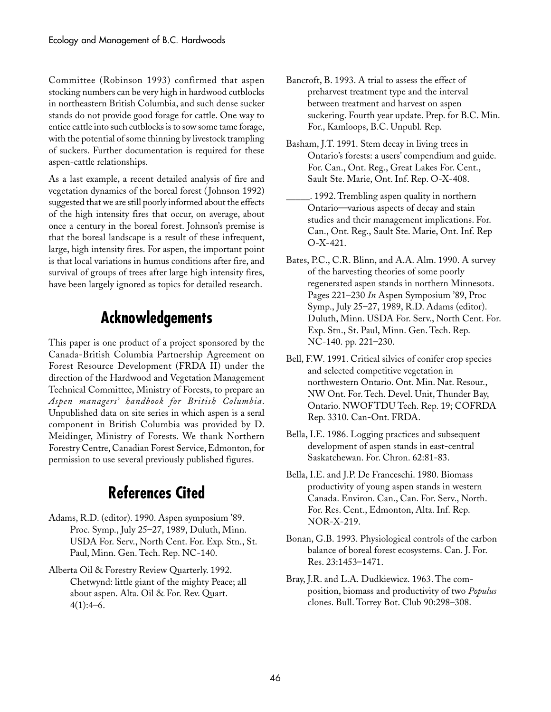Committee (Robinson 1993) confirmed that aspen stocking numbers can be very high in hardwood cutblocks in northeastern British Columbia, and such dense sucker stands do not provide good forage for cattle. One way to entice cattle into such cutblocks is to sow some tame forage, with the potential of some thinning by livestock trampling of suckers. Further documentation is required for these aspen-cattle relationships.

As a last example, a recent detailed analysis of fire and vegetation dynamics of the boreal forest ( Johnson 1992) suggested that we are still poorly informed about the effects of the high intensity fires that occur, on average, about once a century in the boreal forest. Johnson's premise is that the boreal landscape is a result of these infrequent, large, high intensity fires. For aspen, the important point is that local variations in humus conditions after fire, and survival of groups of trees after large high intensity fires, have been largely ignored as topics for detailed research.

## **Acknowledgements**

This paper is one product of a project sponsored by the Canada-British Columbia Partnership Agreement on Forest Resource Development (FRDA II) under the direction of the Hardwood and Vegetation Management Technical Committee, Ministry of Forests, to prepare an *Aspen managers' handbook for British Columbia*. Unpublished data on site series in which aspen is a seral component in British Columbia was provided by D. Meidinger, Ministry of Forests. We thank Northern Forestry Centre, Canadian Forest Service, Edmonton, for permission to use several previously published figures.

## **References Cited**

- Adams, R.D. (editor). 1990. Aspen symposium '89. Proc. Symp., July 25–27, 1989, Duluth, Minn. USDA For. Serv., North Cent. For. Exp. Stn., St. Paul, Minn. Gen. Tech. Rep. NC-140.
- Alberta Oil & Forestry Review Quarterly. 1992. Chetwynd: little giant of the mighty Peace; all about aspen. Alta. Oil & For. Rev. Quart.  $4(1):4-6.$
- Bancroft, B. 1993. A trial to assess the effect of preharvest treatment type and the interval between treatment and harvest on aspen suckering. Fourth year update. Prep. for B.C. Min. For., Kamloops, B.C. Unpubl. Rep.
- Basham, J.T. 1991. Stem decay in living trees in Ontario's forests: a users' compendium and guide. For. Can., Ont. Reg., Great Lakes For. Cent., Sault Ste. Marie, Ont. Inf. Rep. O-X-408.
- \_\_\_\_\_. 1992. Trembling aspen quality in northern Ontario—various aspects of decay and stain studies and their management implications. For. Can., Ont. Reg., Sault Ste. Marie, Ont. Inf. Rep O-X-421.
- Bates, P.C., C.R. Blinn, and A.A. Alm. 1990. A survey of the harvesting theories of some poorly regenerated aspen stands in northern Minnesota. Pages 221–230 *In* Aspen Symposium '89, Proc Symp., July 25–27, 1989, R.D. Adams (editor). Duluth, Minn. USDA For. Serv., North Cent. For. Exp. Stn., St. Paul, Minn. Gen. Tech. Rep. NC-140. pp. 221–230.
- Bell, F.W. 1991. Critical silvics of conifer crop species and selected competitive vegetation in northwestern Ontario. Ont. Min. Nat. Resour., NW Ont. For. Tech. Devel. Unit, Thunder Bay, Ontario. NWOFTDU Tech. Rep. 19; COFRDA Rep. 3310. Can-Ont. FRDA.
- Bella, I.E. 1986. Logging practices and subsequent development of aspen stands in east-central Saskatchewan. For. Chron. 62:81-83.
- Bella, I.E. and J.P. De Franceschi. 1980. Biomass productivity of young aspen stands in western Canada. Environ. Can., Can. For. Serv., North. For. Res. Cent., Edmonton, Alta. Inf. Rep. NOR-X-219.
- Bonan, G.B. 1993. Physiological controls of the carbon balance of boreal forest ecosystems. Can. J. For. Res. 23:1453–1471.
- Bray, J.R. and L.A. Dudkiewicz. 1963. The composition, biomass and productivity of two *Populus* clones. Bull. Torrey Bot. Club 90:298–308.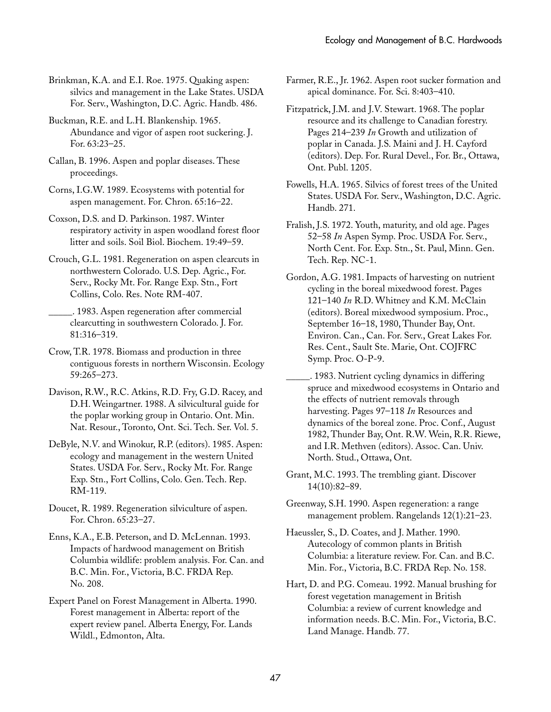Brinkman, K.A. and E.I. Roe. 1975. Quaking aspen: silvics and management in the Lake States. USDA For. Serv., Washington, D.C. Agric. Handb. 486.

- Buckman, R.E. and L.H. Blankenship. 1965. Abundance and vigor of aspen root suckering. J. For. 63:23–25.
- Callan, B. 1996. Aspen and poplar diseases. These proceedings.
- Corns, I.G.W. 1989. Ecosystems with potential for aspen management. For. Chron. 65:16–22.

Coxson, D.S. and D. Parkinson. 1987. Winter respiratory activity in aspen woodland forest floor litter and soils. Soil Biol. Biochem. 19:49–59.

Crouch, G.L. 1981. Regeneration on aspen clearcuts in northwestern Colorado. U.S. Dep. Agric., For. Serv., Rocky Mt. For. Range Exp. Stn., Fort Collins, Colo. Res. Note RM-407.

\_\_\_\_\_. 1983. Aspen regeneration after commercial clearcutting in southwestern Colorado. J. For. 81:316–319.

Crow, T.R. 1978. Biomass and production in three contiguous forests in northern Wisconsin. Ecology 59:265–273.

- Davison, R.W., R.C. Atkins, R.D. Fry, G.D. Racey, and D.H. Weingartner. 1988. A silvicultural guide for the poplar working group in Ontario. Ont. Min. Nat. Resour., Toronto, Ont. Sci. Tech. Ser. Vol. 5.
- DeByle, N.V. and Winokur, R.P. (editors). 1985. Aspen: ecology and management in the western United States. USDA For. Serv., Rocky Mt. For. Range Exp. Stn., Fort Collins, Colo. Gen. Tech. Rep. RM-119.
- Doucet, R. 1989. Regeneration silviculture of aspen. For. Chron. 65:23–27.
- Enns, K.A., E.B. Peterson, and D. McLennan. 1993. Impacts of hardwood management on British Columbia wildlife: problem analysis. For. Can. and B.C. Min. For., Victoria, B.C. FRDA Rep. No. 208.
- Expert Panel on Forest Management in Alberta. 1990. Forest management in Alberta: report of the expert review panel. Alberta Energy, For. Lands Wildl., Edmonton, Alta.

Farmer, R.E., Jr. 1962. Aspen root sucker formation and apical dominance. For. Sci. 8:403–410.

- Fitzpatrick, J.M. and J.V. Stewart. 1968. The poplar resource and its challenge to Canadian forestry. Pages 214–239 *In* Growth and utilization of poplar in Canada. J.S. Maini and J. H. Cayford (editors). Dep. For. Rural Devel., For. Br., Ottawa, Ont. Publ. 1205.
- Fowells, H.A. 1965. Silvics of forest trees of the United States. USDA For. Serv., Washington, D.C. Agric. Handb. 271.
- Fralish, J.S. 1972. Youth, maturity, and old age. Pages 52–58 *In* Aspen Symp. Proc. USDA For. Serv., North Cent. For. Exp. Stn., St. Paul, Minn. Gen. Tech. Rep. NC-1.
- Gordon, A.G. 1981. Impacts of harvesting on nutrient cycling in the boreal mixedwood forest. Pages 121–140 *In* R.D. Whitney and K.M. McClain (editors). Boreal mixedwood symposium. Proc., September 16–18, 1980, Thunder Bay, Ont. Environ. Can., Can. For. Serv., Great Lakes For. Res. Cent., Sault Ste. Marie, Ont. COJFRC Symp. Proc. O-P-9.
- \_\_\_\_\_. 1983. Nutrient cycling dynamics in differing spruce and mixedwood ecosystems in Ontario and the effects of nutrient removals through harvesting. Pages 97–118 *In* Resources and dynamics of the boreal zone. Proc. Conf., August 1982, Thunder Bay, Ont. R.W. Wein, R.R. Riewe, and I.R. Methven (editors). Assoc. Can. Univ. North. Stud., Ottawa, Ont.

Grant, M.C. 1993. The trembling giant. Discover 14(10):82–89.

Greenway, S.H. 1990. Aspen regeneration: a range management problem. Rangelands 12(1):21–23.

Haeussler, S., D. Coates, and J. Mather. 1990. Autecology of common plants in British Columbia: a literature review. For. Can. and B.C. Min. For., Victoria, B.C. FRDA Rep. No. 158.

Hart, D. and P.G. Comeau. 1992. Manual brushing for forest vegetation management in British Columbia: a review of current knowledge and information needs. B.C. Min. For., Victoria, B.C. Land Manage. Handb. 77.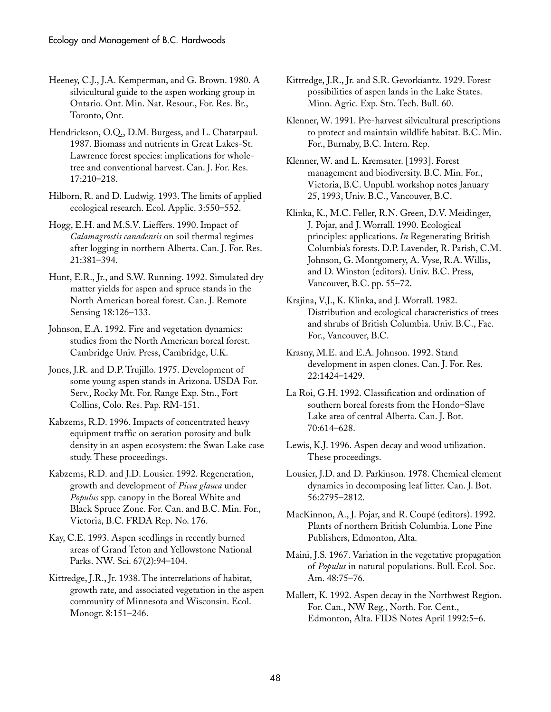Heeney, C.J., J.A. Kemperman, and G. Brown. 1980. A silvicultural guide to the aspen working group in Ontario. Ont. Min. Nat. Resour., For. Res. Br., Toronto, Ont.

Hendrickson, O.Q., D.M. Burgess, and L. Chatarpaul. 1987. Biomass and nutrients in Great Lakes-St. Lawrence forest species: implications for wholetree and conventional harvest. Can. J. For. Res. 17:210–218.

Hilborn, R. and D. Ludwig. 1993. The limits of applied ecological research. Ecol. Applic. 3:550–552.

Hogg, E.H. and M.S.V. Lieffers. 1990. Impact of *Calamagrostis canadensis* on soil thermal regimes after logging in northern Alberta. Can. J. For. Res. 21:381–394.

Hunt, E.R., Jr., and S.W. Running. 1992. Simulated dry matter yields for aspen and spruce stands in the North American boreal forest. Can. J. Remote Sensing 18:126–133.

Johnson, E.A. 1992. Fire and vegetation dynamics: studies from the North American boreal forest. Cambridge Univ. Press, Cambridge, U.K.

Jones, J.R. and D.P. Trujillo. 1975. Development of some young aspen stands in Arizona. USDA For. Serv., Rocky Mt. For. Range Exp. Stn., Fort Collins, Colo. Res. Pap. RM-151.

Kabzems, R.D. 1996. Impacts of concentrated heavy equipment traffic on aeration porosity and bulk density in an aspen ecosystem: the Swan Lake case study. These proceedings.

Kabzems, R.D. and J.D. Lousier. 1992. Regeneration, growth and development of *Picea glauca* under *Populus* spp. canopy in the Boreal White and Black Spruce Zone. For. Can. and B.C. Min. For., Victoria, B.C. FRDA Rep. No. 176.

Kay, C.E. 1993. Aspen seedlings in recently burned areas of Grand Teton and Yellowstone National Parks. NW. Sci. 67(2):94–104.

Kittredge, J.R., Jr. 1938. The interrelations of habitat, growth rate, and associated vegetation in the aspen community of Minnesota and Wisconsin. Ecol. Monogr. 8:151–246.

Kittredge, J.R., Jr. and S.R. Gevorkiantz. 1929. Forest possibilities of aspen lands in the Lake States. Minn. Agric. Exp. Stn. Tech. Bull. 60.

Klenner, W. 1991. Pre-harvest silvicultural prescriptions to protect and maintain wildlife habitat. B.C. Min. For., Burnaby, B.C. Intern. Rep.

Klenner, W. and L. Kremsater. [1993]. Forest management and biodiversity. B.C. Min. For., Victoria, B.C. Unpubl. workshop notes January 25, 1993, Univ. B.C., Vancouver, B.C.

Klinka, K., M.C. Feller, R.N. Green, D.V. Meidinger, J. Pojar, and J. Worrall. 1990. Ecological principles: applications. *In* Regenerating British Columbia's forests. D.P. Lavender, R. Parish, C.M. Johnson, G. Montgomery, A. Vyse, R.A. Willis, and D. Winston (editors). Univ. B.C. Press, Vancouver, B.C. pp. 55–72.

Krajina, V.J., K. Klinka, and J. Worrall. 1982. Distribution and ecological characteristics of trees and shrubs of British Columbia. Univ. B.C., Fac. For., Vancouver, B.C.

Krasny, M.E. and E.A. Johnson. 1992. Stand development in aspen clones. Can. J. For. Res. 22:1424–1429.

La Roi, G.H. 1992. Classification and ordination of southern boreal forests from the Hondo–Slave Lake area of central Alberta. Can. J. Bot. 70:614–628.

Lewis, K.J. 1996. Aspen decay and wood utilization. These proceedings.

Lousier, J.D. and D. Parkinson. 1978. Chemical element dynamics in decomposing leaf litter. Can. J. Bot. 56:2795–2812.

MacKinnon, A., J. Pojar, and R. Coupé (editors). 1992. Plants of northern British Columbia. Lone Pine Publishers, Edmonton, Alta.

Maini, J.S. 1967. Variation in the vegetative propagation of *Populus* in natural populations. Bull. Ecol. Soc. Am. 48:75–76.

Mallett, K. 1992. Aspen decay in the Northwest Region. For. Can., NW Reg., North. For. Cent., Edmonton, Alta. FIDS Notes April 1992:5–6.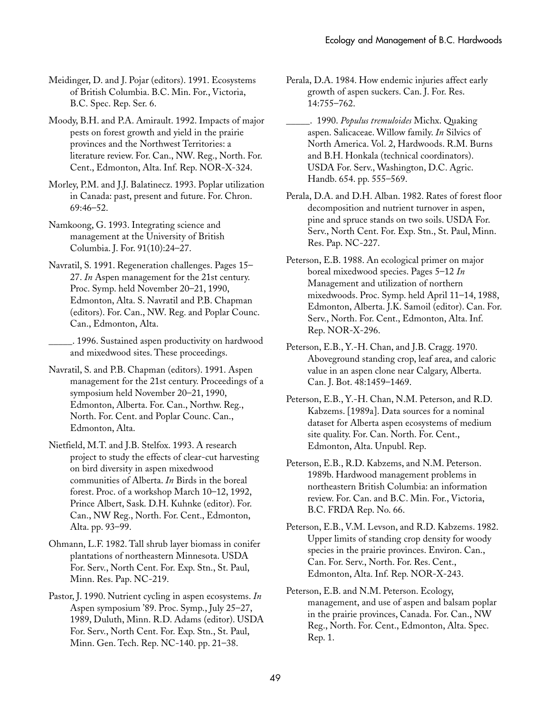Meidinger, D. and J. Pojar (editors). 1991. Ecosystems of British Columbia. B.C. Min. For., Victoria, B.C. Spec. Rep. Ser. 6.

Moody, B.H. and P.A. Amirault. 1992. Impacts of major pests on forest growth and yield in the prairie provinces and the Northwest Territories: a literature review. For. Can., NW. Reg., North. For. Cent., Edmonton, Alta. Inf. Rep. NOR-X-324.

Morley, P.M. and J.J. Balatinecz. 1993. Poplar utilization in Canada: past, present and future. For. Chron. 69:46–52.

Namkoong, G. 1993. Integrating science and management at the University of British Columbia. J. For. 91(10):24–27.

Navratil, S. 1991. Regeneration challenges. Pages 15– 27. *In* Aspen management for the 21st century. Proc. Symp. held November 20–21, 1990, Edmonton, Alta. S. Navratil and P.B. Chapman (editors). For. Can., NW. Reg. and Poplar Counc. Can., Edmonton, Alta.

\_\_\_\_\_. 1996. Sustained aspen productivity on hardwood and mixedwood sites. These proceedings.

Navratil, S. and P.B. Chapman (editors). 1991. Aspen management for the 21st century. Proceedings of a symposium held November 20–21, 1990, Edmonton, Alberta. For. Can., Northw. Reg., North. For. Cent. and Poplar Counc. Can., Edmonton, Alta.

Nietfield, M.T. and J.B. Stelfox. 1993. A research project to study the effects of clear-cut harvesting on bird diversity in aspen mixedwood communities of Alberta. *In* Birds in the boreal forest. Proc. of a workshop March 10–12, 1992, Prince Albert, Sask. D.H. Kuhnke (editor). For. Can., NW Reg., North. For. Cent., Edmonton, Alta. pp. 93–99.

Ohmann, L.F. 1982. Tall shrub layer biomass in conifer plantations of northeastern Minnesota. USDA For. Serv., North Cent. For. Exp. Stn., St. Paul, Minn. Res. Pap. NC-219.

Pastor, J. 1990. Nutrient cycling in aspen ecosystems. *In* Aspen symposium '89. Proc. Symp., July 25–27, 1989, Duluth, Minn. R.D. Adams (editor). USDA For. Serv., North Cent. For. Exp. Stn., St. Paul, Minn. Gen. Tech. Rep. NC-140. pp. 21–38.

Perala, D.A. 1984. How endemic injuries affect early growth of aspen suckers. Can. J. For. Res. 14:755–762.

\_\_\_\_\_. 1990. *Populus tremuloides* Michx. Quaking aspen. Salicaceae. Willow family. *In* Silvics of North America. Vol. 2, Hardwoods. R.M. Burns and B.H. Honkala (technical coordinators). USDA For. Serv., Washington, D.C. Agric. Handb. 654. pp. 555–569.

Perala, D.A. and D.H. Alban. 1982. Rates of forest floor decomposition and nutrient turnover in aspen, pine and spruce stands on two soils. USDA For. Serv., North Cent. For. Exp. Stn., St. Paul, Minn. Res. Pap. NC-227.

Peterson, E.B. 1988. An ecological primer on major boreal mixedwood species. Pages 5–12 *In* Management and utilization of northern mixedwoods. Proc. Symp. held April 11–14, 1988, Edmonton, Alberta. J.K. Samoil (editor). Can. For. Serv., North. For. Cent., Edmonton, Alta. Inf. Rep. NOR-X-296.

Peterson, E.B., Y.-H. Chan, and J.B. Cragg. 1970. Aboveground standing crop, leaf area, and caloric value in an aspen clone near Calgary, Alberta. Can. J. Bot. 48:1459–1469.

Peterson, E.B., Y.-H. Chan, N.M. Peterson, and R.D. Kabzems. [1989a]. Data sources for a nominal dataset for Alberta aspen ecosystems of medium site quality. For. Can. North. For. Cent., Edmonton, Alta. Unpubl. Rep.

Peterson, E.B., R.D. Kabzems, and N.M. Peterson. 1989b. Hardwood management problems in northeastern British Columbia: an information review. For. Can. and B.C. Min. For., Victoria, B.C. FRDA Rep. No. 66.

Peterson, E.B., V.M. Levson, and R.D. Kabzems. 1982. Upper limits of standing crop density for woody species in the prairie provinces. Environ. Can., Can. For. Serv., North. For. Res. Cent., Edmonton, Alta. Inf. Rep. NOR-X-243.

Peterson, E.B. and N.M. Peterson. Ecology, management, and use of aspen and balsam poplar in the prairie provinces, Canada. For. Can., NW Reg., North. For. Cent., Edmonton, Alta. Spec. Rep. 1.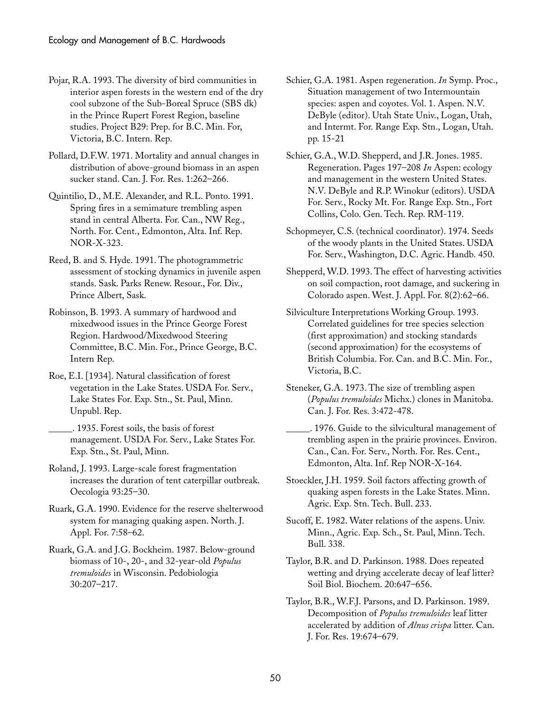- Pojar, R.A. 1993. The diversity of bird communities in interior aspen forests in the western end of the dry cool subzone of the Sub-Boreal Spruce (SBS dk) in the Prince Rupert Forest Region, baseline studies. Project B29: Prep. for B.C. Min. For, Victoria, B.C. Intern. Rep.
- Pollard, D.F.W. 1971. Mortality and annual changes in distribution of above-ground biomass in an aspen sucker stand. Can. J. For. Res. 1:262–266.
- Quintilio, D., M.E. Alexander, and R.L. Ponto. 1991. Spring fires in a semimature trembling aspen stand in central Alberta. For. Can., NW Reg., North. For. Cent., Edmonton, Alta. Inf. Rep. NOR-X-323.
- Reed, B. and S. Hyde. 1991. The photogrammetric assessment of stocking dynamics in juvenile aspen stands. Sask. Parks Renew. Resour., For. Div., Prince Albert, Sask.
- Robinson, B. 1993. A summary of hardwood and mixedwood issues in the Prince George Forest Region. Hardwood/Mixedwood Steering Committee, B.C. Min. For., Prince George, B.C. Intern Rep.
- Roe, E.I. [1934]. Natural classification of forest vegetation in the Lake States. USDA For. Serv., Lake States For. Exp. Stn., St. Paul, Minn. Unpubl. Rep.
	- \_\_\_\_\_. 1935. Forest soils, the basis of forest management. USDA For. Serv., Lake States For. Exp. Stn., St. Paul, Minn.
- Roland, J. 1993. Large-scale forest fragmentation increases the duration of tent caterpillar outbreak. Oecologia 93:25–30.
- Ruark, G.A. 1990. Evidence for the reserve shelterwood system for managing quaking aspen. North. J. Appl. For. 7:58–62.
- Ruark, G.A. and J.G. Bockheim. 1987. Below-ground biomass of 10-, 20-, and 32-year-old *Populus tremuloides* in Wisconsin. Pedobiologia 30:207–217.
- Schier, G.A. 1981. Aspen regeneration. *In* Symp. Proc., Situation management of two Intermountain species: aspen and coyotes. Vol. 1. Aspen. N.V. DeByle (editor). Utah State Univ., Logan, Utah, and Intermt. For. Range Exp. Stn., Logan, Utah. pp. 15-21
- Schier, G.A., W.D. Shepperd, and J.R. Jones. 1985. Regeneration. Pages 197–208 *In* Aspen: ecology and management in the western United States. N.V. DeByle and R.P. Winokur (editors). USDA For. Serv., Rocky Mt. For. Range Exp. Stn., Fort Collins, Colo. Gen. Tech. Rep. RM-119.
- Schopmeyer, C.S. (technical coordinator). 1974. Seeds of the woody plants in the United States. USDA For. Serv., Washington, D.C. Agric. Handb. 450.
- Shepperd, W.D. 1993. The effect of harvesting activities on soil compaction, root damage, and suckering in Colorado aspen. West. J. Appl. For. 8(2):62–66.
- Silviculture Interpretations Working Group. 1993. Correlated guidelines for tree species selection (first approximation) and stocking standards (second approximation) for the ecosystems of British Columbia. For. Can. and B.C. Min. For., Victoria, B.C.
- Steneker, G.A. 1973. The size of trembling aspen (*Populus tremuloides* Michx.) clones in Manitoba. Can. J. For. Res. 3:472-478.
- \_\_\_\_\_. 1976. Guide to the silvicultural management of trembling aspen in the prairie provinces. Environ. Can., Can. For. Serv., North. For. Res. Cent., Edmonton, Alta. Inf. Rep NOR-X-164.
- Stoeckler, J.H. 1959. Soil factors affecting growth of quaking aspen forests in the Lake States. Minn. Agric. Exp. Stn. Tech. Bull. 233.
- Sucoff, E. 1982. Water relations of the aspens. Univ. Minn., Agric. Exp. Sch., St. Paul, Minn. Tech. Bull. 338.
- Taylor, B.R. and D. Parkinson. 1988. Does repeated wetting and drying accelerate decay of leaf litter? Soil Biol. Biochem. 20:647–656.
- Taylor, B.R., W.F.J. Parsons, and D. Parkinson. 1989. Decomposition of *Populus tremuloides* leaf litter accelerated by addition of *Alnus crispa* litter. Can. J. For. Res. 19:674–679.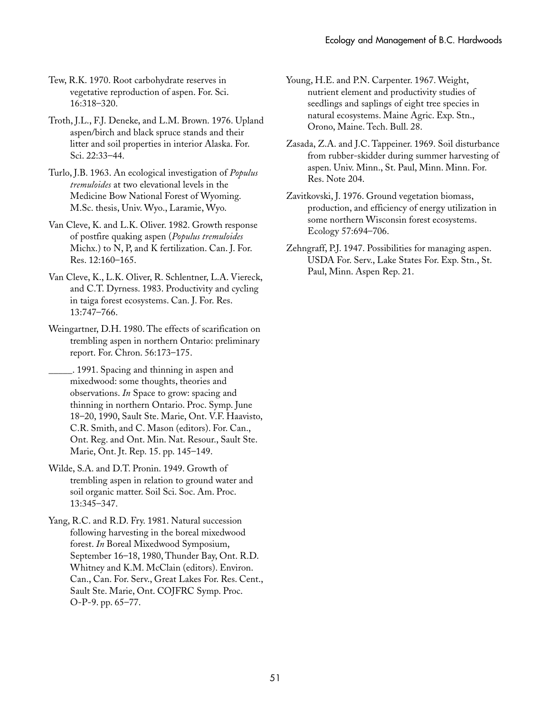Tew, R.K. 1970. Root carbohydrate reserves in vegetative reproduction of aspen. For. Sci. 16:318–320.

- Troth, J.L., F.J. Deneke, and L.M. Brown. 1976. Upland aspen/birch and black spruce stands and their litter and soil properties in interior Alaska. For. Sci. 22:33–44.
- Turlo, J.B. 1963. An ecological investigation of *Populus tremuloides* at two elevational levels in the Medicine Bow National Forest of Wyoming. M.Sc. thesis, Univ. Wyo., Laramie, Wyo.
- Van Cleve, K. and L.K. Oliver. 1982. Growth response of postfire quaking aspen (*Populus tremuloides* Michx.) to N, P, and K fertilization. Can. J. For. Res. 12:160–165.
- Van Cleve, K., L.K. Oliver, R. Schlentner, L.A. Viereck, and C.T. Dyrness. 1983. Productivity and cycling in taiga forest ecosystems. Can. J. For. Res. 13:747–766.
- Weingartner, D.H. 1980. The effects of scarification on trembling aspen in northern Ontario: preliminary report. For. Chron. 56:173–175.
- \_\_\_\_\_. 1991. Spacing and thinning in aspen and mixedwood: some thoughts, theories and observations. *In* Space to grow: spacing and thinning in northern Ontario. Proc. Symp. June 18–20, 1990, Sault Ste. Marie, Ont. V.F. Haavisto, C.R. Smith, and C. Mason (editors). For. Can., Ont. Reg. and Ont. Min. Nat. Resour., Sault Ste. Marie, Ont. Jt. Rep. 15. pp. 145–149.
- Wilde, S.A. and D.T. Pronin. 1949. Growth of trembling aspen in relation to ground water and soil organic matter. Soil Sci. Soc. Am. Proc. 13:345–347.

Yang, R.C. and R.D. Fry. 1981. Natural succession following harvesting in the boreal mixedwood forest. *In* Boreal Mixedwood Symposium, September 16–18, 1980, Thunder Bay, Ont. R.D. Whitney and K.M. McClain (editors). Environ. Can., Can. For. Serv., Great Lakes For. Res. Cent., Sault Ste. Marie, Ont. COJFRC Symp. Proc. O-P-9. pp. 65–77.

- Young, H.E. and P.N. Carpenter. 1967. Weight, nutrient element and productivity studies of seedlings and saplings of eight tree species in natural ecosystems. Maine Agric. Exp. Stn., Orono, Maine. Tech. Bull. 28.
- Zasada, Z.A. and J.C. Tappeiner. 1969. Soil disturbance from rubber-skidder during summer harvesting of aspen. Univ. Minn., St. Paul, Minn. Minn. For. Res. Note 204.
- Zavitkovski, J. 1976. Ground vegetation biomass, production, and efficiency of energy utilization in some northern Wisconsin forest ecosystems. Ecology 57:694–706.
- Zehngraff, P.J. 1947. Possibilities for managing aspen. USDA For. Serv., Lake States For. Exp. Stn., St. Paul, Minn. Aspen Rep. 21.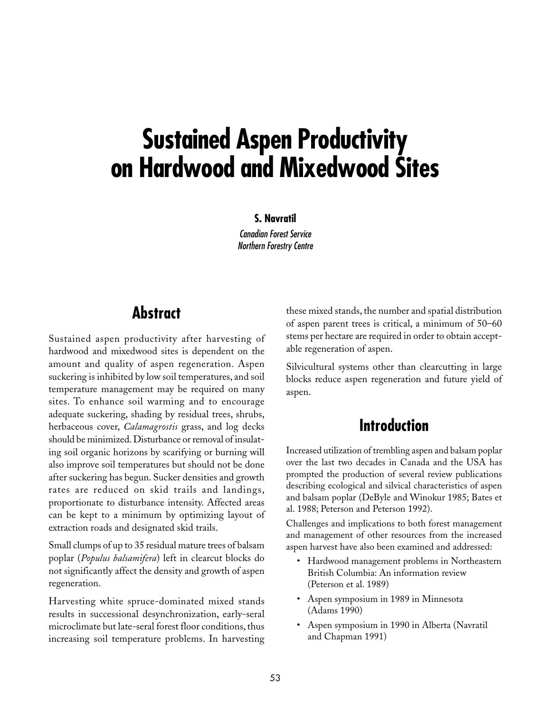# **Sustained Aspen Productivity on Hardwood and Mixedwood Sites**

#### **S. Navratil**

Canadian Forest Service Northern Forestry Centre

### **Abstract**

Sustained aspen productivity after harvesting of hardwood and mixedwood sites is dependent on the amount and quality of aspen regeneration. Aspen suckering is inhibited by low soil temperatures, and soil temperature management may be required on many sites. To enhance soil warming and to encourage adequate suckering, shading by residual trees, shrubs, herbaceous cover, *Calamagrostis* grass, and log decks should be minimized. Disturbance or removal of insulating soil organic horizons by scarifying or burning will also improve soil temperatures but should not be done after suckering has begun. Sucker densities and growth rates are reduced on skid trails and landings, proportionate to disturbance intensity. Affected areas can be kept to a minimum by optimizing layout of extraction roads and designated skid trails.

Small clumps of up to 35 residual mature trees of balsam poplar (*Populus balsamifera*) left in clearcut blocks do not significantly affect the density and growth of aspen regeneration.

Harvesting white spruce-dominated mixed stands results in successional desynchronization, early-seral microclimate but late-seral forest floor conditions, thus increasing soil temperature problems. In harvesting these mixed stands, the number and spatial distribution of aspen parent trees is critical, a minimum of 50–60 stems per hectare are required in order to obtain acceptable regeneration of aspen.

Silvicultural systems other than clearcutting in large blocks reduce aspen regeneration and future yield of aspen.

## **Introduction**

Increased utilization of trembling aspen and balsam poplar over the last two decades in Canada and the USA has prompted the production of several review publications describing ecological and silvical characteristics of aspen and balsam poplar (DeByle and Winokur 1985; Bates et al. 1988; Peterson and Peterson 1992).

Challenges and implications to both forest management and management of other resources from the increased aspen harvest have also been examined and addressed:

- Hardwood management problems in Northeastern British Columbia: An information review (Peterson et al. 1989)
- Aspen symposium in 1989 in Minnesota (Adams␣ 1990)
- Aspen symposium in 1990 in Alberta (Navratil and Chapman 1991)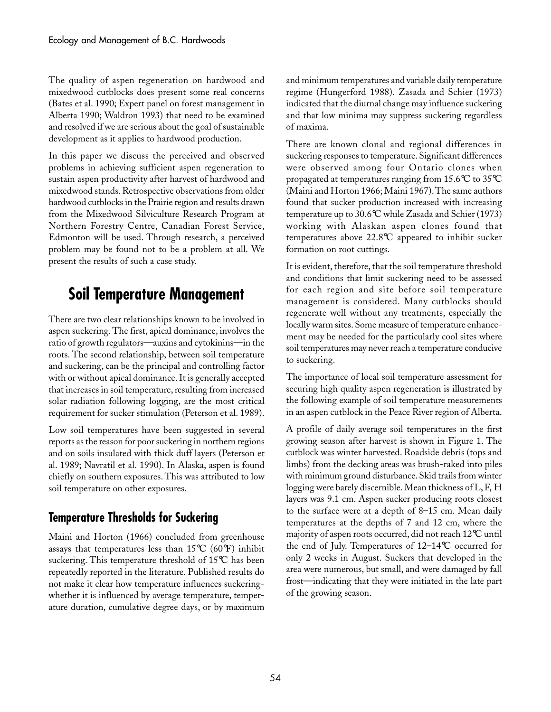The quality of aspen regeneration on hardwood and mixedwood cutblocks does present some real concerns (Bates et al. 1990; Expert panel on forest management in Alberta 1990; Waldron 1993) that need to be examined and resolved if we are serious about the goal of sustainable development as it applies to hardwood production.

In this paper we discuss the perceived and observed problems in achieving sufficient aspen regeneration to sustain aspen productivity after harvest of hardwood and mixedwood stands. Retrospective observations from older hardwood cutblocks in the Prairie region and results drawn from the Mixedwood Silviculture Research Program at Northern Forestry Centre, Canadian Forest Service, Edmonton will be used. Through research, a perceived problem may be found not to be a problem at all. We present the results of such a case study.

## **Soil Temperature Management**

There are two clear relationships known to be involved in aspen suckering. The first, apical dominance, involves the ratio of growth regulators—auxins and cytokinins—in the roots. The second relationship, between soil temperature and suckering, can be the principal and controlling factor with or without apical dominance. It is generally accepted that increases in soil temperature, resulting from increased solar radiation following logging, are the most critical requirement for sucker stimulation (Peterson et al. 1989).

Low soil temperatures have been suggested in several reports as the reason for poor suckering in northern regions and on soils insulated with thick duff layers (Peterson et al. 1989; Navratil et al. 1990). In Alaska, aspen is found chiefly on southern exposures. This was attributed to low soil temperature on other exposures.

### **Temperature Thresholds for Suckering**

Maini and Horton (1966) concluded from greenhouse assays that temperatures less than 15°C (60°F) inhibit suckering. This temperature threshold of 15°C has been repeatedly reported in the literature. Published results do not make it clear how temperature influences suckeringwhether it is influenced by average temperature, temperature duration, cumulative degree days, or by maximum and minimum temperatures and variable daily temperature regime (Hungerford 1988). Zasada and Schier (1973) indicated that the diurnal change may influence suckering and that low minima may suppress suckering regardless of maxima.

There are known clonal and regional differences in suckering responses to temperature. Significant differences were observed among four Ontario clones when propagated at temperatures ranging from 15.6°C to 35°C (Maini and Horton 1966; Maini 1967). The same authors found that sucker production increased with increasing temperature up to 30.6°C while Zasada and Schier (1973) working with Alaskan aspen clones found that temperatures above 22.8°C appeared to inhibit sucker formation on root cuttings.

It is evident, therefore, that the soil temperature threshold and conditions that limit suckering need to be assessed for each region and site before soil temperature management is considered. Many cutblocks should regenerate well without any treatments, especially the locally warm sites. Some measure of temperature enhancement may be needed for the particularly cool sites where soil temperatures may never reach a temperature conducive to suckering.

The importance of local soil temperature assessment for securing high quality aspen regeneration is illustrated by the following example of soil temperature measurements in an aspen cutblock in the Peace River region of Alberta.

A profile of daily average soil temperatures in the first growing season after harvest is shown in Figure 1. The cutblock was winter harvested. Roadside debris (tops and limbs) from the decking areas was brush-raked into piles with minimum ground disturbance. Skid trails from winter logging were barely discernible. Mean thickness of L, F, H layers was 9.1 cm. Aspen sucker producing roots closest to the surface were at a depth of 8–15 cm. Mean daily temperatures at the depths of 7 and 12 cm, where the majority of aspen roots occurred, did not reach 12°C until the end of July. Temperatures of 12–14°C occurred for only 2 weeks in August. Suckers that developed in the area were numerous, but small, and were damaged by fall frost—indicating that they were initiated in the late part of the growing season.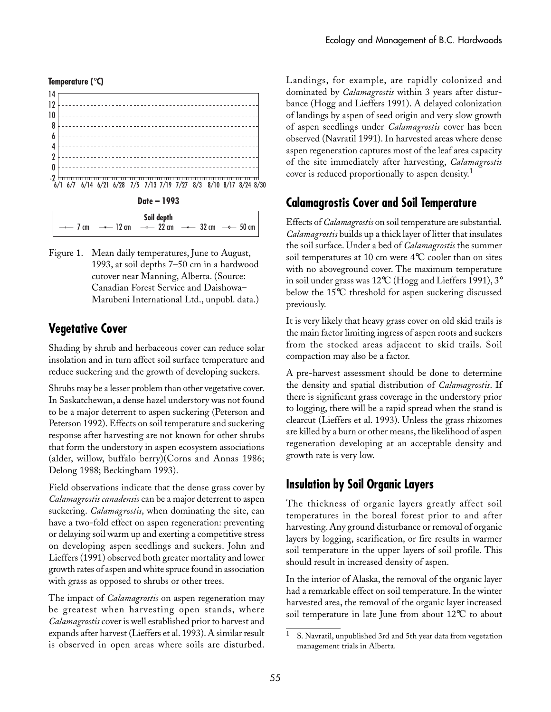#### **Temperature (**°**C)**





Figure 1. Mean daily temperatures, June to August, 1993, at soil depths 7–50 cm in a hardwood cutover near Manning, Alberta. (Source: Canadian Forest Service and Daishowa– Marubeni International Ltd., unpubl. data.)

### **Vegetative Cover**

Shading by shrub and herbaceous cover can reduce solar insolation and in turn affect soil surface temperature and reduce suckering and the growth of developing suckers.

Shrubs may be a lesser problem than other vegetative cover. In Saskatchewan, a dense hazel understory was not found to be a major deterrent to aspen suckering (Peterson and Peterson 1992). Effects on soil temperature and suckering response after harvesting are not known for other shrubs that form the understory in aspen ecosystem associations (alder, willow, buffalo berry)(Corns and Annas 1986; Delong 1988; Beckingham 1993).

Field observations indicate that the dense grass cover by *Calamagrostis canadensis* can be a major deterrent to aspen suckering. *Calamagrostis*, when dominating the site, can have a two-fold effect on aspen regeneration: preventing or delaying soil warm up and exerting a competitive stress on developing aspen seedlings and suckers. John and Lieffers (1991) observed both greater mortality and lower growth rates of aspen and white spruce found in association with grass as opposed to shrubs or other trees.

The impact of *Calamagrostis* on aspen regeneration may be greatest when harvesting open stands, where *Calamagrostis* cover is well established prior to harvest and expands after harvest (Lieffers et al. 1993). A similar result is observed in open areas where soils are disturbed.

Landings, for example, are rapidly colonized and dominated by *Calamagrostis* within 3 years after disturbance (Hogg and Lieffers 1991). A delayed colonization of landings by aspen of seed origin and very slow growth of aspen seedlings under *Calamagrostis* cover has been observed (Navratil 1991). In harvested areas where dense aspen regeneration captures most of the leaf area capacity of the site immediately after harvesting, *Calamagrostis* cover is reduced proportionally to aspen density.<sup>1</sup>

### **Calamagrostis Cover and Soil Temperature**

Effects of *Calamagrostis* on soil temperature are substantial. *Calamagrostis* builds up a thick layer of litter that insulates the soil surface. Under a bed of *Calamagrostis* the summer soil temperatures at 10 cm were 4°C cooler than on sites with no aboveground cover. The maximum temperature in soil under grass was 12°C (Hogg and Lieffers 1991), 3° below the 15°C threshold for aspen suckering discussed previously.

It is very likely that heavy grass cover on old skid trails is the main factor limiting ingress of aspen roots and suckers from the stocked areas adjacent to skid trails. Soil compaction may also be a factor.

A pre-harvest assessment should be done to determine the density and spatial distribution of *Calamagrostis*. If there is significant grass coverage in the understory prior to logging, there will be a rapid spread when the stand is clearcut (Lieffers et al. 1993). Unless the grass rhizomes are killed by a burn or other means, the likelihood of aspen regeneration developing at an acceptable density and growth rate is very low.

### **Insulation by Soil Organic Layers**

The thickness of organic layers greatly affect soil temperatures in the boreal forest prior to and after harvesting. Any ground disturbance or removal of organic layers by logging, scarification, or fire results in warmer soil temperature in the upper layers of soil profile. This should result in increased density of aspen.

In the interior of Alaska, the removal of the organic layer had a remarkable effect on soil temperature. In the winter harvested area, the removal of the organic layer increased soil temperature in late June from about 12°C to about

<sup>1</sup> S. Navratil, unpublished 3rd and 5th year data from vegetation management trials in Alberta.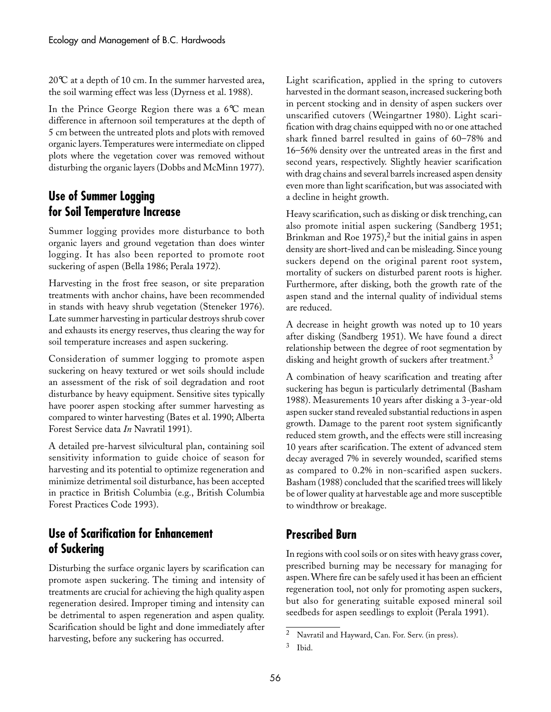20°C at a depth of 10 cm. In the summer harvested area, the soil warming effect was less (Dyrness et al. 1988).

In the Prince George Region there was a 6°C mean difference in afternoon soil temperatures at the depth of 5␣ cm between the untreated plots and plots with removed organic layers. Temperatures were intermediate on clipped plots where the vegetation cover was removed without disturbing the organic layers (Dobbs and McMinn 1977).

### **Use of Summer Logging for Soil Temperature Increase**

Summer logging provides more disturbance to both organic layers and ground vegetation than does winter logging. It has also been reported to promote root suckering of aspen (Bella 1986; Perala 1972).

Harvesting in the frost free season, or site preparation treatments with anchor chains, have been recommended in stands with heavy shrub vegetation (Steneker 1976). Late summer harvesting in particular destroys shrub cover and exhausts its energy reserves, thus clearing the way for soil temperature increases and aspen suckering.

Consideration of summer logging to promote aspen suckering on heavy textured or wet soils should include an assessment of the risk of soil degradation and root disturbance by heavy equipment. Sensitive sites typically have poorer aspen stocking after summer harvesting as compared to winter harvesting (Bates et al. 1990; Alberta Forest Service data *In* Navratil 1991).

A detailed pre-harvest silvicultural plan, containing soil sensitivity information to guide choice of season for harvesting and its potential to optimize regeneration and minimize detrimental soil disturbance, has been accepted in practice in British Columbia (e.g., British Columbia Forest Practices Code 1993).

### **Use of Scarification for Enhancement of Suckering**

Disturbing the surface organic layers by scarification can promote aspen suckering. The timing and intensity of treatments are crucial for achieving the high quality aspen regeneration desired. Improper timing and intensity can be detrimental to aspen regeneration and aspen quality. Scarification should be light and done immediately after harvesting, before any suckering has occurred.

Light scarification, applied in the spring to cutovers harvested in the dormant season, increased suckering both in percent stocking and in density of aspen suckers over unscarified cutovers (Weingartner 1980). Light scarification with drag chains equipped with no or one attached shark finned barrel resulted in gains of 60–78% and 16–56% density over the untreated areas in the first and second years, respectively. Slightly heavier scarification with drag chains and several barrels increased aspen density even more than light scarification, but was associated with a decline in height growth.

Heavy scarification, such as disking or disk trenching, can also promote initial aspen suckering (Sandberg 1951; Brinkman and Roe  $1975$ ,<sup>2</sup> but the initial gains in aspen density are short-lived and can be misleading. Since young suckers depend on the original parent root system, mortality of suckers on disturbed parent roots is higher. Furthermore, after disking, both the growth rate of the aspen stand and the internal quality of individual stems are reduced.

A decrease in height growth was noted up to 10 years after disking (Sandberg 1951). We have found a direct relationship between the degree of root segmentation by disking and height growth of suckers after treatment.<sup>3</sup>

A combination of heavy scarification and treating after suckering has begun is particularly detrimental (Basham 1988). Measurements 10 years after disking a 3-year-old aspen sucker stand revealed substantial reductions in aspen growth. Damage to the parent root system significantly reduced stem growth, and the effects were still increasing 10 years after scarification. The extent of advanced stem decay averaged 7% in severely wounded, scarified stems as compared to 0.2% in non-scarified aspen suckers. Basham (1988) concluded that the scarified trees will likely be of lower quality at harvestable age and more susceptible to windthrow or breakage.

### **Prescribed Burn**

In regions with cool soils or on sites with heavy grass cover, prescribed burning may be necessary for managing for aspen. Where fire can be safely used it has been an efficient regeneration tool, not only for promoting aspen suckers, but also for generating suitable exposed mineral soil seedbeds for aspen seedlings to exploit (Perala 1991).

<sup>2</sup> Navratil and Hayward, Can. For. Serv. (in press).

<sup>3</sup> Ibid.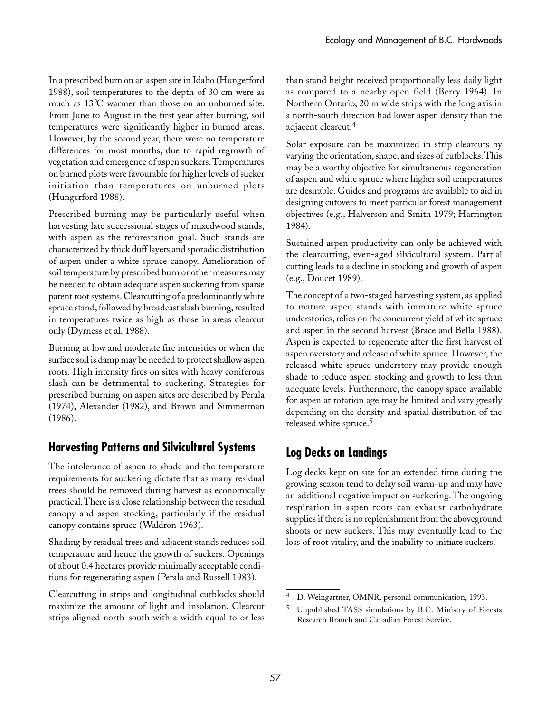In a prescribed burn on an aspen site in Idaho (Hungerford 1988), soil temperatures to the depth of 30 cm were as much as 13°C warmer than those on an unburned site. From June to August in the first year after burning, soil temperatures were significantly higher in burned areas. However, by the second year, there were no temperature differences for most months, due to rapid regrowth of vegetation and emergence of aspen suckers. Temperatures on burned plots were favourable for higher levels of sucker initiation than temperatures on unburned plots (Hungerford 1988).

Prescribed burning may be particularly useful when harvesting late successional stages of mixedwood stands, with aspen as the reforestation goal. Such stands are characterized by thick duff layers and sporadic distribution of aspen under a white spruce canopy. Amelioration of soil temperature by prescribed burn or other measures may be needed to obtain adequate aspen suckering from sparse parent root systems. Clearcutting of a predominantly white spruce stand, followed by broadcast slash burning, resulted in temperatures twice as high as those in areas clearcut only (Dyrness et al. 1988).

Burning at low and moderate fire intensities or when the surface soil is damp may be needed to protect shallow aspen roots. High intensity fires on sites with heavy coniferous slash can be detrimental to suckering. Strategies for prescribed burning on aspen sites are described by Perala (1974), Alexander (1982), and Brown and Simmerman (1986).

### **Harvesting Patterns and Silvicultural Systems**

The intolerance of aspen to shade and the temperature requirements for suckering dictate that as many residual trees should be removed during harvest as economically practical. There is a close relationship between the residual canopy and aspen stocking, particularly if the residual canopy contains spruce (Waldron 1963).

Shading by residual trees and adjacent stands reduces soil temperature and hence the growth of suckers. Openings of about 0.4 hectares provide minimally acceptable conditions for regenerating aspen (Perala and Russell 1983).

Clearcutting in strips and longitudinal cutblocks should maximize the amount of light and insolation. Clearcut strips aligned north-south with a width equal to or less than stand height received proportionally less daily light as compared to a nearby open field (Berry 1964). In Northern Ontario, 20 m wide strips with the long axis in a north-south direction had lower aspen density than the adjacent clearcut.<sup>4</sup>

Solar exposure can be maximized in strip clearcuts by varying the orientation, shape, and sizes of cutblocks. This may be a worthy objective for simultaneous regeneration of aspen and white spruce where higher soil temperatures are desirable. Guides and programs are available to aid in designing cutovers to meet particular forest management objectives (e.g., Halverson and Smith 1979; Harrington 1984).

Sustained aspen productivity can only be achieved with the clearcutting, even-aged silvicultural system. Partial cutting leads to a decline in stocking and growth of aspen (e.g., Doucet 1989).

The concept of a two-staged harvesting system, as applied to mature aspen stands with immature white spruce understories, relies on the concurrent yield of white spruce and aspen in the second harvest (Brace and Bella 1988). Aspen is expected to regenerate after the first harvest of aspen overstory and release of white spruce. However, the released white spruce understory may provide enough shade to reduce aspen stocking and growth to less than adequate levels. Furthermore, the canopy space available for aspen at rotation age may be limited and vary greatly depending on the density and spatial distribution of the released white spruce.<sup>5</sup>

### **Log Decks on Landings**

Log decks kept on site for an extended time during the growing season tend to delay soil warm-up and may have an additional negative impact on suckering. The ongoing respiration in aspen roots can exhaust carbohydrate supplies if there is no replenishment from the aboveground shoots or new suckers. This may eventually lead to the loss of root vitality, and the inability to initiate suckers.

<sup>4</sup> D. Weingartner, OMNR, personal communication, 1993.

<sup>5</sup> Unpublished TASS simulations by B.C. Ministry of Forests Research Branch and Canadian Forest Service.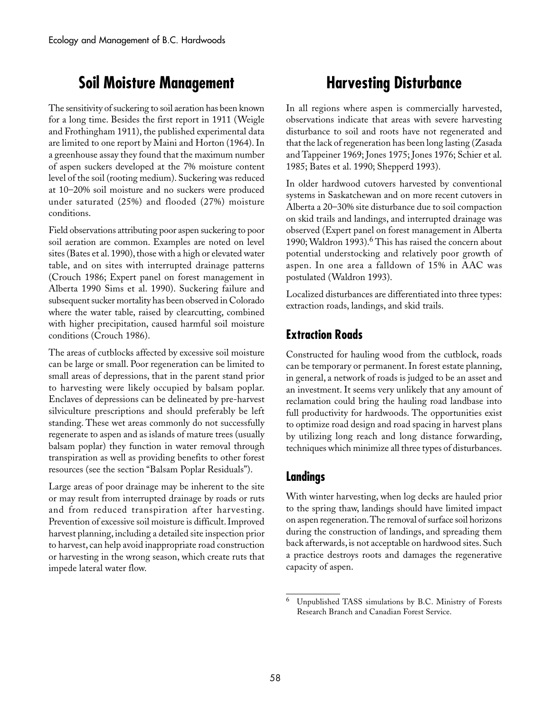## **Soil Moisture Management**

The sensitivity of suckering to soil aeration has been known for a long time. Besides the first report in 1911 (Weigle and Frothingham 1911), the published experimental data are limited to one report by Maini and Horton (1964). In a greenhouse assay they found that the maximum number of aspen suckers developed at the 7% moisture content level of the soil (rooting medium). Suckering was reduced at 10–20% soil moisture and no suckers were produced under saturated (25%) and flooded (27%) moisture conditions.

Field observations attributing poor aspen suckering to poor soil aeration are common. Examples are noted on level sites (Bates et al. 1990), those with a high or elevated water table, and on sites with interrupted drainage patterns (Crouch 1986; Expert panel on forest management in Alberta 1990 Sims et al. 1990). Suckering failure and subsequent sucker mortality has been observed in Colorado where the water table, raised by clearcutting, combined with higher precipitation, caused harmful soil moisture conditions (Crouch 1986).

The areas of cutblocks affected by excessive soil moisture can be large or small. Poor regeneration can be limited to small areas of depressions, that in the parent stand prior to harvesting were likely occupied by balsam poplar. Enclaves of depressions can be delineated by pre-harvest silviculture prescriptions and should preferably be left standing. These wet areas commonly do not successfully regenerate to aspen and as islands of mature trees (usually balsam poplar) they function in water removal through transpiration as well as providing benefits to other forest resources (see the section "Balsam Poplar Residuals").

Large areas of poor drainage may be inherent to the site or may result from interrupted drainage by roads or ruts and from reduced transpiration after harvesting. Prevention of excessive soil moisture is difficult. Improved harvest planning, including a detailed site inspection prior to harvest, can help avoid inappropriate road construction or harvesting in the wrong season, which create ruts that impede lateral water flow.

## **Harvesting Disturbance**

In all regions where aspen is commercially harvested, observations indicate that areas with severe harvesting disturbance to soil and roots have not regenerated and that the lack of regeneration has been long lasting (Zasada and Tappeiner 1969; Jones 1975; Jones 1976; Schier et al. 1985; Bates et al. 1990; Shepperd 1993).

In older hardwood cutovers harvested by conventional systems in Saskatchewan and on more recent cutovers in Alberta a 20–30% site disturbance due to soil compaction on skid trails and landings, and interrupted drainage was observed (Expert panel on forest management in Alberta 1990; Waldron 1993).<sup>6</sup> This has raised the concern about potential understocking and relatively poor growth of aspen. In one area a falldown of 15% in AAC was postulated (Waldron 1993).

Localized disturbances are differentiated into three types: extraction roads, landings, and skid trails.

### **Extraction Roads**

Constructed for hauling wood from the cutblock, roads can be temporary or permanent. In forest estate planning, in general, a network of roads is judged to be an asset and an investment. It seems very unlikely that any amount of reclamation could bring the hauling road landbase into full productivity for hardwoods. The opportunities exist to optimize road design and road spacing in harvest plans by utilizing long reach and long distance forwarding, techniques which minimize all three types of disturbances.

### **Landings**

With winter harvesting, when log decks are hauled prior to the spring thaw, landings should have limited impact on aspen regeneration. The removal of surface soil horizons during the construction of landings, and spreading them back afterwards, is not acceptable on hardwood sites. Such a practice destroys roots and damages the regenerative capacity of aspen.

<sup>6</sup> Unpublished TASS simulations by B.C. Ministry of Forests Research Branch and Canadian Forest Service.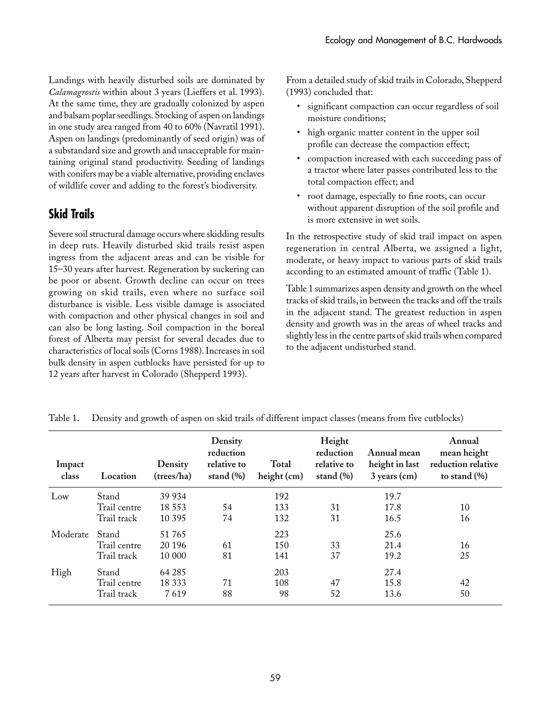Landings with heavily disturbed soils are dominated by *Calamagrostis* within about 3 years (Lieffers et al. 1993). At the same time, they are gradually colonized by aspen and balsam poplar seedlings. Stocking of aspen on landings in one study area ranged from 40 to 60% (Navratil 1991). Aspen on landings (predominantly of seed origin) was of a substandard size and growth and unacceptable for maintaining original stand productivity. Seeding of landings with conifers may be a viable alternative, providing enclaves of wildlife cover and adding to the forest's biodiversity.

### **Skid Trails**

Severe soil structural damage occurs where skidding results in deep ruts. Heavily disturbed skid trails resist aspen ingress from the adjacent areas and can be visible for 15–30 years after harvest. Regeneration by suckering can be poor or absent. Growth decline can occur on trees growing on skid trails, even where no surface soil disturbance is visible. Less visible damage is associated with compaction and other physical changes in soil and can also be long lasting. Soil compaction in the boreal forest of Alberta may persist for several decades due to characteristics of local soils (Corns 1988). Increases in soil bulk density in aspen cutblocks have persisted for up to 12 years after harvest in Colorado (Shepperd 1993).

From a detailed study of skid trails in Colorado, Shepperd (1993) concluded that:

- significant compaction can occur regardless of soil moisture conditions;
- high organic matter content in the upper soil profile can decrease the compaction effect;
- compaction increased with each succeeding pass of a tractor where later passes contributed less to the total compaction effect; and
- root damage, especially to fine roots, can occur without apparent disruption of the soil profile and is more extensive in wet soils.

In the retrospective study of skid trail impact on aspen regeneration in central Alberta, we assigned a light, moderate, or heavy impact to various parts of skid trails according to an estimated amount of traffic (Table 1).

Table 1 summarizes aspen density and growth on the wheel tracks of skid trails, in between the tracks and off the trails in the adjacent stand. The greatest reduction in aspen density and growth was in the areas of wheel tracks and slightly less in the centre parts of skid trails when compared to the adjacent undisturbed stand.

| Impact<br>class | Location     | Density<br>(trees/ha) | Density<br>reduction<br>relative to<br>stand $(\% )$ | Total<br>height (cm) | Height<br>reduction<br>relative to<br>stand $(\% )$ | Annual mean<br>height in last<br>$3$ years (cm) | Annual<br>mean height<br>reduction relative<br>to stand $(\% )$ |
|-----------------|--------------|-----------------------|------------------------------------------------------|----------------------|-----------------------------------------------------|-------------------------------------------------|-----------------------------------------------------------------|
| Low             | Stand        | 39 934                |                                                      | 192                  |                                                     | 19.7                                            |                                                                 |
|                 | Trail centre | 18 5 5 3              | 54                                                   | 133                  | 31                                                  | 17.8                                            | 10                                                              |
|                 | Trail track  | 10 3 9 5              | 74                                                   | 132                  | 31                                                  | 16.5                                            | 16                                                              |
| Moderate        | Stand        | 51765                 |                                                      | 223                  |                                                     | 25.6                                            |                                                                 |
|                 | Trail centre | 20 19 6               | 61                                                   | 150                  | 33                                                  | 21.4                                            | 16                                                              |
|                 | Trail track  | 10 000                | 81                                                   | 141                  | 37                                                  | 19.2                                            | 25                                                              |
| High            | Stand        | 64 285                |                                                      | 203                  |                                                     | 27.4                                            |                                                                 |
|                 | Trail centre | 18 3 3 3              | 71                                                   | 108                  | 47                                                  | 15.8                                            | 42                                                              |
|                 | Trail track  | 7619                  | 88                                                   | 98                   | 52                                                  | 13.6                                            | 50                                                              |

Table 1. Density and growth of aspen on skid trails of different impact classes (means from five cutblocks)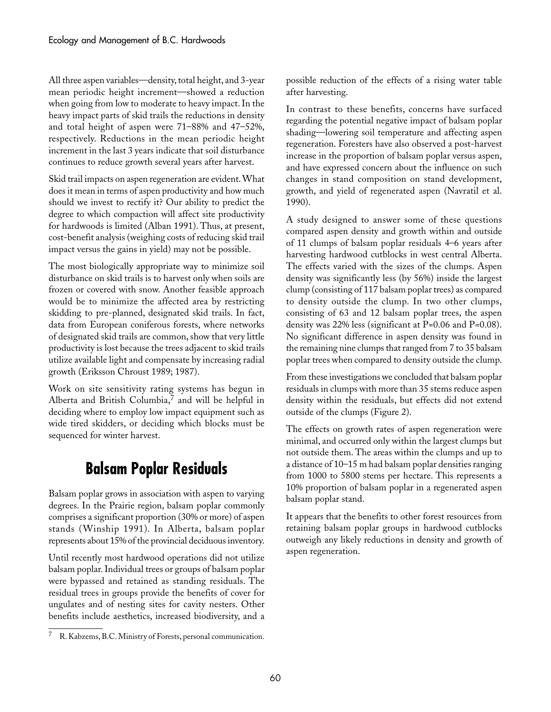All three aspen variables—density, total height, and 3-year mean periodic height increment—showed a reduction when going from low to moderate to heavy impact. In the heavy impact parts of skid trails the reductions in density and total height of aspen were 71–88% and 47–52%, respectively. Reductions in the mean periodic height increment in the last 3 years indicate that soil disturbance continues to reduce growth several years after harvest.

Skid trail impacts on aspen regeneration are evident. What does it mean in terms of aspen productivity and how much should we invest to rectify it? Our ability to predict the degree to which compaction will affect site productivity for hardwoods is limited (Alban 1991). Thus, at present, cost-benefit analysis (weighing costs of reducing skid trail impact versus the gains in yield) may not be possible.

The most biologically appropriate way to minimize soil disturbance on skid trails is to harvest only when soils are frozen or covered with snow. Another feasible approach would be to minimize the affected area by restricting skidding to pre-planned, designated skid trails. In fact, data from European coniferous forests, where networks of designated skid trails are common, show that very little productivity is lost because the trees adjacent to skid trails utilize available light and compensate by increasing radial growth (Eriksson Chroust 1989; 1987).

Work on site sensitivity rating systems has begun in Alberta and British Columbia, $\frac{7}{1}$  and will be helpful in deciding where to employ low impact equipment such as wide tired skidders, or deciding which blocks must be sequenced for winter harvest.

## **Balsam Poplar Residuals**

Balsam poplar grows in association with aspen to varying degrees. In the Prairie region, balsam poplar commonly comprises a significant proportion (30% or more) of aspen stands (Winship 1991). In Alberta, balsam poplar represents about 15% of the provincial deciduous inventory.

Until recently most hardwood operations did not utilize balsam poplar. Individual trees or groups of balsam poplar were bypassed and retained as standing residuals. The residual trees in groups provide the benefits of cover for ungulates and of nesting sites for cavity nesters. Other benefits include aesthetics, increased biodiversity, and a

possible reduction of the effects of a rising water table after harvesting.

In contrast to these benefits, concerns have surfaced regarding the potential negative impact of balsam poplar shading—lowering soil temperature and affecting aspen regeneration. Foresters have also observed a post-harvest increase in the proportion of balsam poplar versus aspen, and have expressed concern about the influence on such changes in stand composition on stand development, growth, and yield of regenerated aspen (Navratil et al. 1990).

A study designed to answer some of these questions compared aspen density and growth within and outside of 11 clumps of balsam poplar residuals 4–6 years after harvesting hardwood cutblocks in west central Alberta. The effects varied with the sizes of the clumps. Aspen density was significantly less (by 56%) inside the largest clump (consisting of 117 balsam poplar trees) as compared to density outside the clump. In two other clumps, consisting of 63 and 12 balsam poplar trees, the aspen density was 22% less (significant at P=0.06 and P=0.08). No significant difference in aspen density was found in the remaining nine clumps that ranged from 7 to 35 balsam poplar trees when compared to density outside the clump.

From these investigations we concluded that balsam poplar residuals in clumps with more than 35 stems reduce aspen density within the residuals, but effects did not extend outside of the clumps (Figure 2).

The effects on growth rates of aspen regeneration were minimal, and occurred only within the largest clumps but not outside them. The areas within the clumps and up to a distance of 10–15 m had balsam poplar densities ranging from 1000 to 5800 stems per hectare. This represents a 10% proportion of balsam poplar in a regenerated aspen balsam poplar stand.

It appears that the benefits to other forest resources from retaining balsam poplar groups in hardwood cutblocks outweigh any likely reductions in density and growth of aspen regeneration.

<sup>7</sup> R. Kabzems, B.C. Ministry of Forests, personal communication.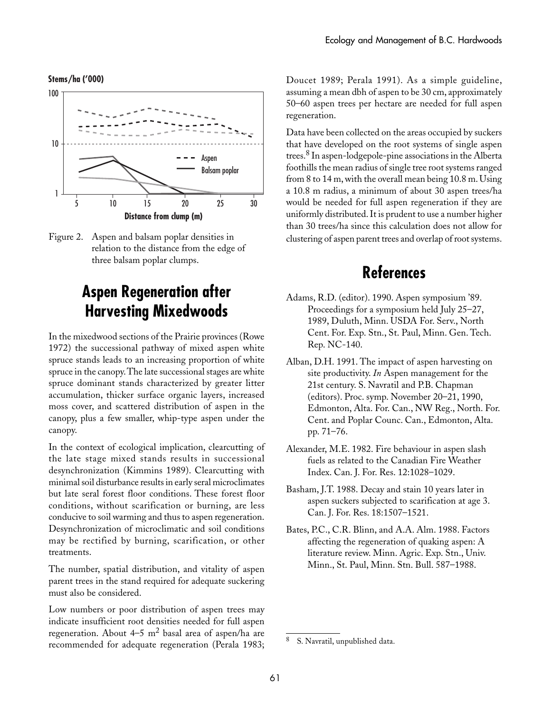





## **Aspen Regeneration after Harvesting Mixedwoods**

In the mixedwood sections of the Prairie provinces (Rowe 1972) the successional pathway of mixed aspen white spruce stands leads to an increasing proportion of white spruce in the canopy. The late successional stages are white spruce dominant stands characterized by greater litter accumulation, thicker surface organic layers, increased moss cover, and scattered distribution of aspen in the canopy, plus a few smaller, whip-type aspen under the canopy.

In the context of ecological implication, clearcutting of the late stage mixed stands results in successional desynchronization (Kimmins 1989). Clearcutting with minimal soil disturbance results in early seral microclimates but late seral forest floor conditions. These forest floor conditions, without scarification or burning, are less conducive to soil warming and thus to aspen regeneration. Desynchronization of microclimatic and soil conditions may be rectified by burning, scarification, or other treatments.

The number, spatial distribution, and vitality of aspen parent trees in the stand required for adequate suckering must also be considered.

Low numbers or poor distribution of aspen trees may indicate insufficient root densities needed for full aspen regeneration. About  $4-5$  m<sup>2</sup> basal area of aspen/ha are recommended for adequate regeneration (Perala 1983;

Doucet 1989; Perala 1991). As a simple guideline, assuming a mean dbh of aspen to be 30 cm, approximately 50–60 aspen trees per hectare are needed for full aspen regeneration.

Data have been collected on the areas occupied by suckers that have developed on the root systems of single aspen trees.8 In aspen-lodgepole-pine associations in the Alberta foothills the mean radius of single tree root systems ranged from 8 to 14 m, with the overall mean being 10.8 m. Using a 10.8 m radius, a minimum of about 30 aspen trees/ha would be needed for full aspen regeneration if they are uniformly distributed. It is prudent to use a number higher than 30 trees/ha since this calculation does not allow for clustering of aspen parent trees and overlap of root systems.

### **References**

- Adams, R.D. (editor). 1990. Aspen symposium '89. Proceedings for a symposium held July 25–27, 1989, Duluth, Minn. USDA For. Serv., North Cent. For. Exp. Stn., St. Paul, Minn. Gen. Tech. Rep. NC-140.
- Alban, D.H. 1991. The impact of aspen harvesting on site productivity. *In* Aspen management for the 21st century. S. Navratil and P.B. Chapman (editors). Proc. symp. November 20–21, 1990, Edmonton, Alta. For. Can., NW Reg., North. For. Cent. and Poplar Counc. Can., Edmonton, Alta. pp. 71–76.
- Alexander, M.E. 1982. Fire behaviour in aspen slash fuels as related to the Canadian Fire Weather Index. Can. J. For. Res. 12:1028–1029.
- Basham, J.T. 1988. Decay and stain 10 years later in aspen suckers subjected to scarification at age 3. Can. J. For. Res. 18:1507–1521.
- Bates, P.C., C.R. Blinn, and A.A. Alm. 1988. Factors affecting the regeneration of quaking aspen: A literature review. Minn. Agric. Exp. Stn., Univ. Minn., St. Paul, Minn. Stn. Bull. 587–1988.

<sup>8</sup> S. Navratil, unpublished data.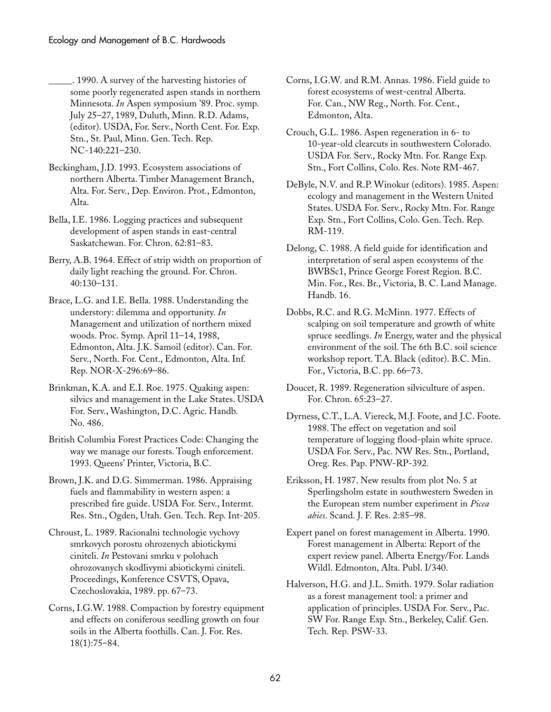\_\_\_\_\_. 1990. A survey of the harvesting histories of some poorly regenerated aspen stands in northern Minnesota. *In* Aspen symposium '89. Proc. symp. July 25–27, 1989, Duluth, Minn. R.D. Adams, (editor). USDA, For. Serv., North Cent. For. Exp. Stn., St. Paul, Minn. Gen. Tech. Rep. NC-140:221–230.

Beckingham, J.D. 1993. Ecosystem associations of northern Alberta. Timber Management Branch, Alta. For. Serv., Dep. Environ. Prot., Edmonton, Alta.

Bella, I.E. 1986. Logging practices and subsequent development of aspen stands in east-central Saskatchewan. For. Chron. 62:81–83.

Berry, A.B. 1964. Effect of strip width on proportion of daily light reaching the ground. For. Chron. 40:130–131.

Brace, L.G. and I.E. Bella. 1988. Understanding the understory: dilemma and opportunity. *In* Management and utilization of northern mixed woods. Proc. Symp. April 11–14, 1988, Edmonton, Alta. J.K. Samoil (editor). Can. For. Serv., North. For. Cent., Edmonton, Alta. Inf. Rep. NOR-X-296:69–86.

Brinkman, K.A. and E.I. Roe. 1975. Quaking aspen: silvics and management in the Lake States. USDA For. Serv., Washington, D.C. Agric. Handb. No. 486.

British Columbia Forest Practices Code: Changing the way we manage our forests. Tough enforcement. 1993. Queens' Printer, Victoria, B.C.

Brown, J.K. and D.G. Simmerman. 1986. Appraising fuels and flammability in western aspen: a prescribed fire guide. USDA For. Serv., Intermt. Res. Stn., Ogden, Utah. Gen. Tech. Rep. Int-205.

Chroust, L. 1989. Racionalni technologie vychovy smrkovych porostu ohrozenych abiotickymi ciniteli. *In* Pestovani smrku v polohach ohrozovanych skodlivymi abiotickymi ciniteli. Proceedings, Konference CSVTS, Opava, Czechoslovakia, 1989. pp. 67–73.

Corns, I.G.W. 1988. Compaction by forestry equipment and effects on coniferous seedling growth on four soils in the Alberta foothills. Can. J. For. Res. 18(1):75–84.

Corns, I.G.W. and R.M. Annas. 1986. Field guide to forest ecosystems of west-central Alberta. For. Can., NW Reg., North. For. Cent., Edmonton, Alta.

Crouch, G.L. 1986. Aspen regeneration in 6- to 10-year-old clearcuts in southwestern Colorado. USDA For. Serv., Rocky Mtn. For. Range Exp. Stn., Fort Collins, Colo. Res. Note RM-467.

DeByle, N.V. and R.P. Winokur (editors). 1985. Aspen: ecology and management in the Western United States. USDA For. Serv., Rocky Mtn. For. Range Exp. Stn., Fort Collins, Colo. Gen. Tech. Rep. RM-119.

Delong, C. 1988. A field guide for identification and interpretation of seral aspen ecosystems of the BWBSc1, Prince George Forest Region. B.C. Min. For., Res. Br., Victoria, B. C. Land Manage. Handb. 16.

Dobbs, R.C. and R.G. McMinn. 1977. Effects of scalping on soil temperature and growth of white spruce seedlings. *In* Energy, water and the physical environment of the soil. The 6th B.C. soil science workshop report. T.A. Black (editor). B.C. Min. For., Victoria, B.C. pp. 66–73.

Doucet, R. 1989. Regeneration silviculture of aspen. For. Chron. 65:23–27.

Dyrness, C.T., L.A. Viereck, M.J. Foote, and J.C. Foote. 1988. The effect on vegetation and soil temperature of logging flood-plain white spruce. USDA For. Serv., Pac. NW Res. Stn., Portland, Oreg. Res. Pap. PNW-RP-392.

Eriksson, H. 1987. New results from plot No. 5 at Sperlingsholm estate in southwestern Sweden in the European stem number experiment in *Picea abies*. Scand. J. F. Res. 2:85–98.

Expert panel on forest management in Alberta. 1990. Forest management in Alberta: Report of the expert review panel. Alberta Energy/For. Lands Wildl. Edmonton, Alta. Publ. I/340.

Halverson, H.G. and J.L. Smith. 1979. Solar radiation as a forest management tool: a primer and application of principles. USDA For. Serv., Pac. SW For. Range Exp. Stn., Berkeley, Calif. Gen. Tech. Rep. PSW-33.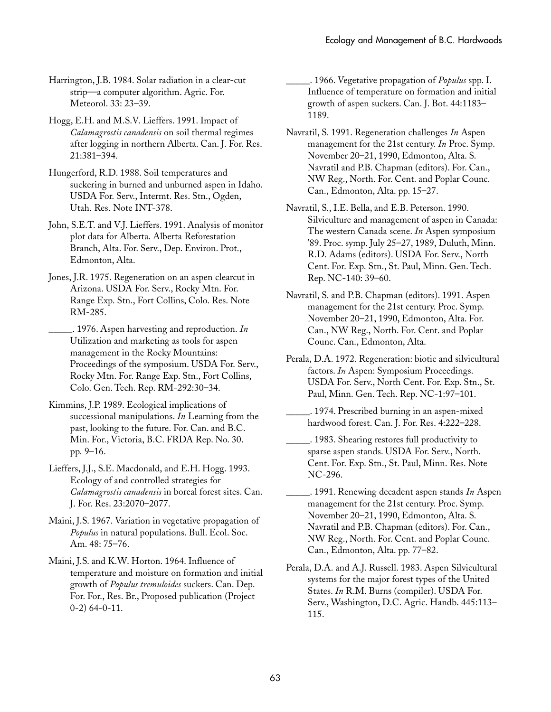Harrington, J.B. 1984. Solar radiation in a clear-cut strip—a computer algorithm. Agric. For. Meteorol. 33: 23–39.

Hogg, E.H. and M.S.V. Lieffers. 1991. Impact of *Calamagrostis canadensis* on soil thermal regimes after logging in northern Alberta. Can. J. For. Res. 21:381–394.

Hungerford, R.D. 1988. Soil temperatures and suckering in burned and unburned aspen in Idaho. USDA For. Serv., Intermt. Res. Stn., Ogden, Utah. Res. Note INT-378.

John, S.E.T. and V.J. Lieffers. 1991. Analysis of monitor plot data for Alberta. Alberta Reforestation Branch, Alta. For. Serv., Dep. Environ. Prot., Edmonton, Alta.

Jones, J.R. 1975. Regeneration on an aspen clearcut in Arizona. USDA For. Serv., Rocky Mtn. For. Range Exp. Stn., Fort Collins, Colo. Res. Note RM-285.

\_\_\_\_\_. 1976. Aspen harvesting and reproduction. *In* Utilization and marketing as tools for aspen management in the Rocky Mountains: Proceedings of the symposium. USDA For. Serv., Rocky Mtn. For. Range Exp. Stn., Fort Collins, Colo. Gen. Tech. Rep. RM-292:30–34.

Kimmins, J.P. 1989. Ecological implications of successional manipulations. *In* Learning from the past, looking to the future. For. Can. and B.C. Min. For., Victoria, B.C. FRDA Rep. No. 30. pp.␣ 9–16.

Lieffers, J.J., S.E. Macdonald, and E.H. Hogg. 1993. Ecology of and controlled strategies for *Calamagrostis canadensis* in boreal forest sites. Can. J. For. Res. 23:2070–2077.

Maini, J.S. 1967. Variation in vegetative propagation of *Populus* in natural populations. Bull. Ecol. Soc. Am. 48: 75–76.

Maini, J.S. and K.W. Horton. 1964. Influence of temperature and moisture on formation and initial growth of *Populus tremuloides* suckers. Can. Dep. For. For., Res. Br., Proposed publication (Project 0-2) 64-0-11.

\_\_\_\_\_. 1966. Vegetative propagation of *Populus* spp. I. Influence of temperature on formation and initial growth of aspen suckers. Can. J. Bot. 44:1183– 1189.

Navratil, S. 1991. Regeneration challenges *In* Aspen management for the 21st century. *In* Proc. Symp. November 20–21, 1990, Edmonton, Alta. S. Navratil and P.B. Chapman (editors). For. Can., NW Reg., North. For. Cent. and Poplar Counc. Can., Edmonton, Alta. pp. 15–27.

Navratil, S., I.E. Bella, and E.B. Peterson. 1990. Silviculture and management of aspen in Canada: The western Canada scene. *In* Aspen symposium '89. Proc. symp. July 25–27, 1989, Duluth, Minn. R.D. Adams (editors). USDA For. Serv., North Cent. For. Exp. Stn., St. Paul, Minn. Gen. Tech. Rep. NC-140: 39–60.

Navratil, S. and P.B. Chapman (editors). 1991. Aspen management for the 21st century. Proc. Symp. November 20–21, 1990, Edmonton, Alta. For. Can., NW Reg., North. For. Cent. and Poplar Counc. Can., Edmonton, Alta.

Perala, D.A. 1972. Regeneration: biotic and silvicultural factors. *In* Aspen: Symposium Proceedings. USDA For. Serv., North Cent. For. Exp. Stn., St. Paul, Minn. Gen. Tech. Rep. NC-1:97–101.

\_\_\_\_\_. 1974. Prescribed burning in an aspen-mixed hardwood forest. Can. J. For. Res. 4:222–228.

\_\_\_\_\_. 1983. Shearing restores full productivity to sparse aspen stands. USDA For. Serv., North. Cent. For. Exp. Stn., St. Paul, Minn. Res. Note NC-296.

\_\_\_\_\_. 1991. Renewing decadent aspen stands *In* Aspen management for the 21st century. Proc. Symp. November 20–21, 1990, Edmonton, Alta. S. Navratil and P.B. Chapman (editors). For. Can., NW Reg., North. For. Cent. and Poplar Counc. Can., Edmonton, Alta. pp. 77–82.

Perala, D.A. and A.J. Russell. 1983. Aspen Silvicultural systems for the major forest types of the United States. *In* R.M. Burns (compiler). USDA For. Serv., Washington, D.C. Agric. Handb. 445:113– 115.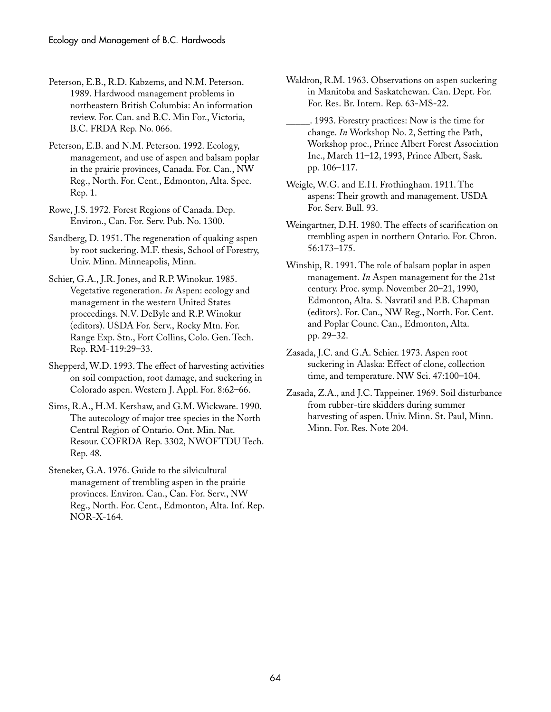Peterson, E.B., R.D. Kabzems, and N.M. Peterson. 1989. Hardwood management problems in northeastern British Columbia: An information review. For. Can. and B.C. Min For., Victoria, B.C. FRDA Rep. No. 066.

Peterson, E.B. and N.M. Peterson. 1992. Ecology, management, and use of aspen and balsam poplar in the prairie provinces, Canada. For. Can., NW Reg., North. For. Cent., Edmonton, Alta. Spec. Rep. 1.

Rowe, J.S. 1972. Forest Regions of Canada. Dep. Environ., Can. For. Serv. Pub. No. 1300.

Sandberg, D. 1951. The regeneration of quaking aspen by root suckering. M.F. thesis, School of Forestry, Univ. Minn. Minneapolis, Minn.

Schier, G.A., J.R. Jones, and R.P. Winokur. 1985. Vegetative regeneration. *In* Aspen: ecology and management in the western United States proceedings. N.V. DeByle and R.P. Winokur (editors). USDA For. Serv., Rocky Mtn. For. Range Exp. Stn., Fort Collins, Colo. Gen. Tech. Rep. RM-119:29–33.

Shepperd, W.D. 1993. The effect of harvesting activities on soil compaction, root damage, and suckering in Colorado aspen. Western J. Appl. For. 8:62–66.

Sims, R.A., H.M. Kershaw, and G.M. Wickware. 1990. The autecology of major tree species in the North Central Region of Ontario. Ont. Min. Nat. Resour. COFRDA Rep. 3302, NWOFTDU Tech. Rep. 48.

Steneker, G.A. 1976. Guide to the silvicultural management of trembling aspen in the prairie provinces. Environ. Can., Can. For. Serv., NW Reg., North. For. Cent., Edmonton, Alta. Inf. Rep. NOR-X-164.

Waldron, R.M. 1963. Observations on aspen suckering in Manitoba and Saskatchewan. Can. Dept. For. For. Res. Br. Intern. Rep. 63-MS-22.

\_\_\_\_\_. 1993. Forestry practices: Now is the time for change. *In* Workshop No. 2, Setting the Path, Workshop proc., Prince Albert Forest Association Inc., March 11–12, 1993, Prince Albert, Sask. pp.␣ 106–117.

Weigle, W.G. and E.H. Frothingham. 1911. The aspens: Their growth and management. USDA For. Serv. Bull. 93.

Weingartner, D.H. 1980. The effects of scarification on trembling aspen in northern Ontario. For. Chron. 56:173–175.

Winship, R. 1991. The role of balsam poplar in aspen management. *In* Aspen management for the 21st century. Proc. symp. November 20–21, 1990, Edmonton, Alta. S. Navratil and P.B. Chapman (editors). For. Can., NW Reg., North. For. Cent. and Poplar Counc. Can., Edmonton, Alta. pp.␣ 29–32.

Zasada, J.C. and G.A. Schier. 1973. Aspen root suckering in Alaska: Effect of clone, collection time, and temperature. NW Sci. 47:100–104.

Zasada, Z.A., and J.C. Tappeiner. 1969. Soil disturbance from rubber-tire skidders during summer harvesting of aspen. Univ. Minn. St. Paul, Minn. Minn. For. Res. Note 204.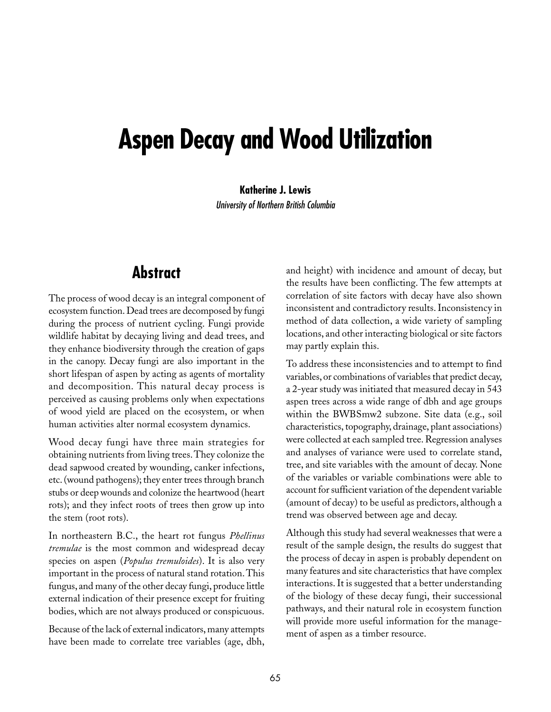# **Aspen Decay and Wood Utilization**

**Katherine J. Lewis**

University of Northern British Columbia

## **Abstract**

The process of wood decay is an integral component of ecosystem function. Dead trees are decomposed by fungi during the process of nutrient cycling. Fungi provide wildlife habitat by decaying living and dead trees, and they enhance biodiversity through the creation of gaps in the canopy. Decay fungi are also important in the short lifespan of aspen by acting as agents of mortality and decomposition. This natural decay process is perceived as causing problems only when expectations of wood yield are placed on the ecosystem, or when human activities alter normal ecosystem dynamics.

Wood decay fungi have three main strategies for obtaining nutrients from living trees. They colonize the dead sapwood created by wounding, canker infections, etc. (wound pathogens); they enter trees through branch stubs or deep wounds and colonize the heartwood (heart rots); and they infect roots of trees then grow up into the stem (root rots).

In northeastern B.C., the heart rot fungus *Phellinus tremulae* is the most common and widespread decay species on aspen (*Populus tremuloides*). It is also very important in the process of natural stand rotation. This fungus, and many of the other decay fungi, produce little external indication of their presence except for fruiting bodies, which are not always produced or conspicuous.

Because of the lack of external indicators, many attempts have been made to correlate tree variables (age, dbh,

and height) with incidence and amount of decay, but the results have been conflicting. The few attempts at correlation of site factors with decay have also shown inconsistent and contradictory results. Inconsistency in method of data collection, a wide variety of sampling locations, and other interacting biological or site factors may partly explain this.

To address these inconsistencies and to attempt to find variables, or combinations of variables that predict decay, a 2-year study was initiated that measured decay in 543 aspen trees across a wide range of dbh and age groups within the BWBSmw2 subzone. Site data (e.g., soil characteristics, topography, drainage, plant associations) were collected at each sampled tree. Regression analyses and analyses of variance were used to correlate stand, tree, and site variables with the amount of decay. None of the variables or variable combinations were able to account for sufficient variation of the dependent variable (amount of decay) to be useful as predictors, although a trend was observed between age and decay.

Although this study had several weaknesses that were a result of the sample design, the results do suggest that the process of decay in aspen is probably dependent on many features and site characteristics that have complex interactions. It is suggested that a better understanding of the biology of these decay fungi, their successional pathways, and their natural role in ecosystem function will provide more useful information for the management of aspen as a timber resource.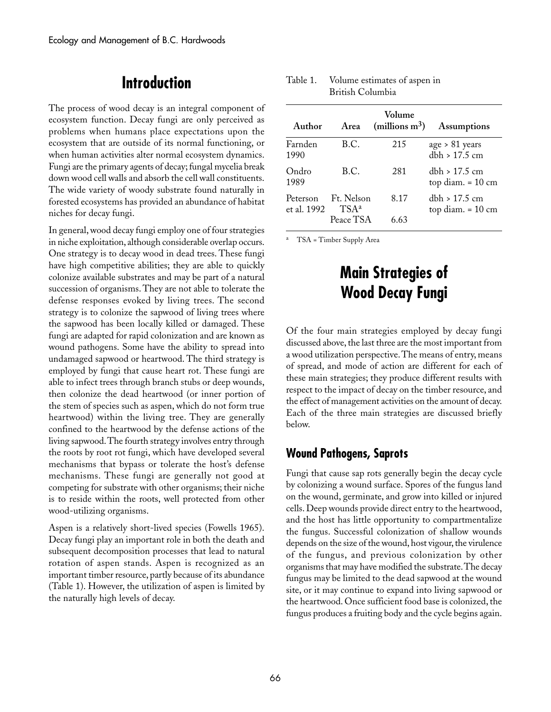### **Introduction**

The process of wood decay is an integral component of ecosystem function. Decay fungi are only perceived as problems when humans place expectations upon the ecosystem that are outside of its normal functioning, or when human activities alter normal ecosystem dynamics. Fungi are the primary agents of decay; fungal mycelia break down wood cell walls and absorb the cell wall constituents. The wide variety of woody substrate found naturally in forested ecosystems has provided an abundance of habitat niches for decay fungi.

In general, wood decay fungi employ one of four strategies in niche exploitation, although considerable overlap occurs. One strategy is to decay wood in dead trees. These fungi have high competitive abilities; they are able to quickly colonize available substrates and may be part of a natural succession of organisms. They are not able to tolerate the defense responses evoked by living trees. The second strategy is to colonize the sapwood of living trees where the sapwood has been locally killed or damaged. These fungi are adapted for rapid colonization and are known as wound pathogens. Some have the ability to spread into undamaged sapwood or heartwood. The third strategy is employed by fungi that cause heart rot. These fungi are able to infect trees through branch stubs or deep wounds, then colonize the dead heartwood (or inner portion of the stem of species such as aspen, which do not form true heartwood) within the living tree. They are generally confined to the heartwood by the defense actions of the living sapwood. The fourth strategy involves entry through the roots by root rot fungi, which have developed several mechanisms that bypass or tolerate the host's defense mechanisms. These fungi are generally not good at competing for substrate with other organisms; their niche is to reside within the roots, well protected from other wood-utilizing organisms.

Aspen is a relatively short-lived species (Fowells 1965). Decay fungi play an important role in both the death and subsequent decomposition processes that lead to natural rotation of aspen stands. Aspen is recognized as an important timber resource, partly because of its abundance (Table 1). However, the utilization of aspen is limited by the naturally high levels of decay.

| Area                               | Volume<br>(millions $m^3$ ) | Assumptions                                  |
|------------------------------------|-----------------------------|----------------------------------------------|
| B.C.                               | 215                         | $age > 81 \text{ years}$<br>$dbh > 17.5$ cm  |
| B.C.                               | 281                         | dbh > 17.5 cm<br>top diam. $= 10 \text{ cm}$ |
| Ft. Nelson<br>$TSA^a$<br>Peace TSA | 8.17<br>6.63                | dbh > 17.5 cm<br>top diam. $= 10 \text{ cm}$ |
|                                    |                             |                                              |

#### Table 1. Volume estimates of aspen in British␣ Columbia

<sup>a</sup> TSA = Timber Supply Area

## **Main Strategies of Wood Decay Fungi**

Of the four main strategies employed by decay fungi discussed above, the last three are the most important from a wood utilization perspective. The means of entry, means of spread, and mode of action are different for each of these main strategies; they produce different results with respect to the impact of decay on the timber resource, and the effect of management activities on the amount of decay. Each of the three main strategies are discussed briefly below.

### **Wound Pathogens, Saprots**

Fungi that cause sap rots generally begin the decay cycle by colonizing a wound surface. Spores of the fungus land on the wound, germinate, and grow into killed or injured cells. Deep wounds provide direct entry to the heartwood, and the host has little opportunity to compartmentalize the fungus. Successful colonization of shallow wounds depends on the size of the wound, host vigour, the virulence of the fungus, and previous colonization by other organisms that may have modified the substrate. The decay fungus may be limited to the dead sapwood at the wound site, or it may continue to expand into living sapwood or the heartwood. Once sufficient food base is colonized, the fungus produces a fruiting body and the cycle begins again.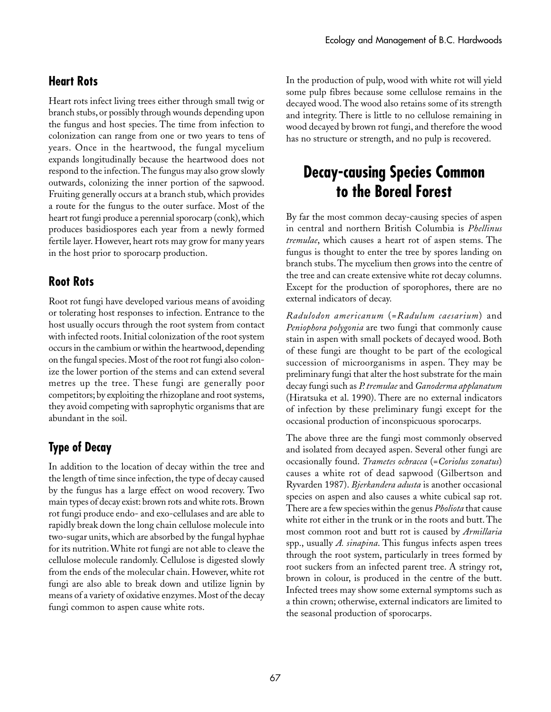### **Heart Rots**

Heart rots infect living trees either through small twig or branch stubs, or possibly through wounds depending upon the fungus and host species. The time from infection to colonization can range from one or two years to tens of years. Once in the heartwood, the fungal mycelium expands longitudinally because the heartwood does not respond to the infection. The fungus may also grow slowly outwards, colonizing the inner portion of the sapwood. Fruiting generally occurs at a branch stub, which provides a route for the fungus to the outer surface. Most of the heart rot fungi produce a perennial sporocarp (conk), which produces basidiospores each year from a newly formed fertile layer. However, heart rots may grow for many years in the host prior to sporocarp production.

### **Root Rots**

Root rot fungi have developed various means of avoiding or tolerating host responses to infection. Entrance to the host usually occurs through the root system from contact with infected roots. Initial colonization of the root system occurs in the cambium or within the heartwood, depending on the fungal species. Most of the root rot fungi also colonize the lower portion of the stems and can extend several metres up the tree. These fungi are generally poor competitors; by exploiting the rhizoplane and root systems, they avoid competing with saprophytic organisms that are abundant in the soil.

## **Type of Decay**

In addition to the location of decay within the tree and the length of time since infection, the type of decay caused by the fungus has a large effect on wood recovery. Two main types of decay exist: brown rots and white rots. Brown rot fungi produce endo- and exo-cellulases and are able to rapidly break down the long chain cellulose molecule into two-sugar units, which are absorbed by the fungal hyphae for its nutrition. White rot fungi are not able to cleave the cellulose molecule randomly. Cellulose is digested slowly from the ends of the molecular chain. However, white rot fungi are also able to break down and utilize lignin by means of a variety of oxidative enzymes. Most of the decay fungi common to aspen cause white rots.

In the production of pulp, wood with white rot will yield some pulp fibres because some cellulose remains in the decayed wood. The wood also retains some of its strength and integrity. There is little to no cellulose remaining in wood decayed by brown rot fungi, and therefore the wood has no structure or strength, and no pulp is recovered.

## **Decay-causing Species Common to the Boreal Forest**

By far the most common decay-causing species of aspen in central and northern British Columbia is *Phellinus tremulae*, which causes a heart rot of aspen stems. The fungus is thought to enter the tree by spores landing on branch stubs. The mycelium then grows into the centre of the tree and can create extensive white rot decay columns. Except for the production of sporophores, there are no external indicators of decay.

*Radulodon americanum* (=*Radulum caesarium*) and *Peniophora polygonia* are two fungi that commonly cause stain in aspen with small pockets of decayed wood. Both of these fungi are thought to be part of the ecological succession of microorganisms in aspen. They may be preliminary fungi that alter the host substrate for the main decay fungi such as *P. tremulae* and *Ganoderma applanatum* (Hiratsuka et al. 1990). There are no external indicators of infection by these preliminary fungi except for the occasional production of inconspicuous sporocarps.

The above three are the fungi most commonly observed and isolated from decayed aspen. Several other fungi are occasionally found. *Trametes ochracea* (=*Coriolus zonatus*) causes a white rot of dead sapwood (Gilbertson and Ryvarden 1987). *Bjerkandera adusta* is another occasional species on aspen and also causes a white cubical sap rot. There are a few species within the genus *Pholiota* that cause white rot either in the trunk or in the roots and butt. The most common root and butt rot is caused by *Armillaria* spp., usually *A. sinapina*. This fungus infects aspen trees through the root system, particularly in trees formed by root suckers from an infected parent tree. A stringy rot, brown in colour, is produced in the centre of the butt. Infected trees may show some external symptoms such as a thin crown; otherwise, external indicators are limited to the seasonal production of sporocarps.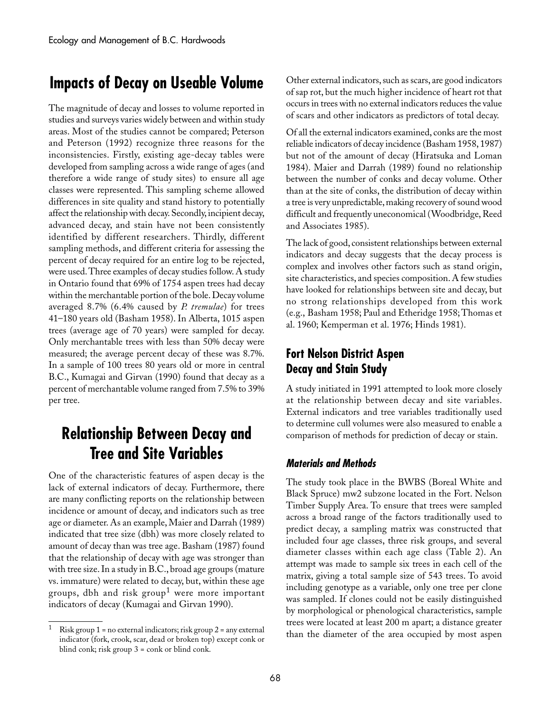### **Impacts of Decay on Useable Volume**

The magnitude of decay and losses to volume reported in studies and surveys varies widely between and within study areas. Most of the studies cannot be compared; Peterson and Peterson (1992) recognize three reasons for the inconsistencies. Firstly, existing age-decay tables were developed from sampling across a wide range of ages (and therefore a wide range of study sites) to ensure all age classes were represented. This sampling scheme allowed differences in site quality and stand history to potentially affect the relationship with decay. Secondly, incipient decay, advanced decay, and stain have not been consistently identified by different researchers. Thirdly, different sampling methods, and different criteria for assessing the percent of decay required for an entire log to be rejected, were used. Three examples of decay studies follow. A study in Ontario found that 69% of 1754 aspen trees had decay within the merchantable portion of the bole. Decay volume averaged 8.7% (6.4% caused by *P. tremulae*) for trees 41–180 years old (Basham 1958). In Alberta, 1015 aspen trees (average age of 70 years) were sampled for decay. Only merchantable trees with less than 50% decay were measured; the average percent decay of these was 8.7%. In a sample of 100 trees 80 years old or more in central B.C., Kumagai and Girvan (1990) found that decay as a percent of merchantable volume ranged from 7.5% to 39% per tree.

## **Relationship Between Decay and Tree and Site Variables**

One of the characteristic features of aspen decay is the lack of external indicators of decay. Furthermore, there are many conflicting reports on the relationship between incidence or amount of decay, and indicators such as tree age or diameter. As an example, Maier and Darrah (1989) indicated that tree size (dbh) was more closely related to amount of decay than was tree age. Basham (1987) found that the relationship of decay with age was stronger than with tree size. In a study in B.C., broad age groups (mature vs. immature) were related to decay, but, within these age groups, dbh and risk group1 were more important indicators of decay (Kumagai and Girvan 1990).

Other external indicators, such as scars, are good indicators of sap rot, but the much higher incidence of heart rot that occurs in trees with no external indicators reduces the value of scars and other indicators as predictors of total decay.

Of all the external indicators examined, conks are the most reliable indicators of decay incidence (Basham 1958, 1987) but not of the amount of decay (Hiratsuka and Loman 1984). Maier and Darrah (1989) found no relationship between the number of conks and decay volume. Other than at the site of conks, the distribution of decay within a tree is very unpredictable, making recovery of sound wood difficult and frequently uneconomical (Woodbridge, Reed and Associates 1985).

The lack of good, consistent relationships between external indicators and decay suggests that the decay process is complex and involves other factors such as stand origin, site characteristics, and species composition. A few studies have looked for relationships between site and decay, but no strong relationships developed from this work (e.g.,␣ Basham 1958; Paul and Etheridge 1958; Thomas et al. 1960; Kemperman et al. 1976; Hinds 1981).

### **Fort Nelson District Aspen Decay and Stain Study**

A study initiated in 1991 attempted to look more closely at the relationship between decay and site variables. External indicators and tree variables traditionally used to determine cull volumes were also measured to enable a comparison of methods for prediction of decay or stain.

#### **Materials and Methods**

The study took place in the BWBS (Boreal White and Black Spruce) mw2 subzone located in the Fort. Nelson Timber Supply Area. To ensure that trees were sampled across a broad range of the factors traditionally used to predict decay, a sampling matrix was constructed that included four age classes, three risk groups, and several diameter classes within each age class (Table 2). An attempt was made to sample six trees in each cell of the matrix, giving a total sample size of 543 trees. To avoid including genotype as a variable, only one tree per clone was sampled. If clones could not be easily distinguished by morphological or phenological characteristics, sample trees were located at least 200 m apart; a distance greater than the diameter of the area occupied by most aspen

Risk group  $1$  = no external indicators; risk group  $2$  = any external indicator (fork, crook, scar, dead or broken top) except conk or blind conk; risk group 3 = conk or blind conk.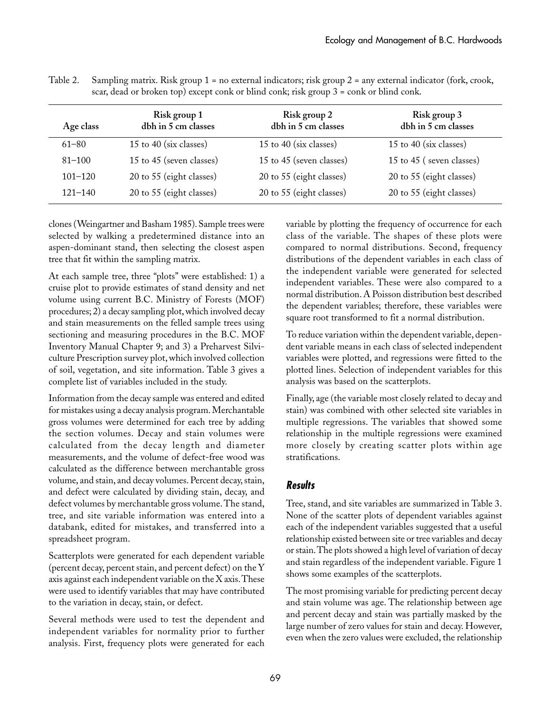| Age class   | Risk group 1<br>dbh in 5 cm classes | Risk group 2<br>dbh in 5 cm classes | Risk group 3<br>dbh in 5 cm classes |
|-------------|-------------------------------------|-------------------------------------|-------------------------------------|
| $61 - 80$   | 15 to 40 (six classes)              | 15 to 40 (six classes)              | 15 to 40 (six classes)              |
| $81 - 100$  | 15 to 45 (seven classes)            | 15 to 45 (seven classes)            | 15 to 45 (seven classes)            |
| $101 - 120$ | 20 to 55 (eight classes)            | 20 to 55 (eight classes)            | 20 to 55 (eight classes)            |
| $121 - 140$ | 20 to 55 (eight classes)            | 20 to 55 (eight classes)            | 20 to 55 (eight classes)            |
|             |                                     |                                     |                                     |

Table 2. Sampling matrix. Risk group 1 = no external indicators; risk group 2 = any external indicator (fork, crook, scar, dead or broken top) except conk or blind conk; risk group 3 = conk or blind conk.

clones (Weingartner and Basham 1985). Sample trees were selected by walking a predetermined distance into an aspen-dominant stand, then selecting the closest aspen tree that fit within the sampling matrix.

At each sample tree, three "plots" were established: 1) a cruise plot to provide estimates of stand density and net volume using current B.C. Ministry of Forests (MOF) procedures; 2) a decay sampling plot, which involved decay and stain measurements on the felled sample trees using sectioning and measuring procedures in the B.C. MOF Inventory Manual Chapter 9; and 3) a Preharvest Silviculture Prescription survey plot, which involved collection of soil, vegetation, and site information. Table␣ 3 gives a complete list of variables included in the study.

Information from the decay sample was entered and edited for mistakes using a decay analysis program. Merchantable gross volumes were determined for each tree by adding the section volumes. Decay and stain volumes were calculated from the decay length and diameter measurements, and the volume of defect-free wood was calculated as the difference between merchantable gross volume, and stain, and decay volumes. Percent decay, stain, and defect were calculated by dividing stain, decay, and defect volumes by merchantable gross volume. The stand, tree, and site variable information was entered into a databank, edited for mistakes, and transferred into a spreadsheet program.

Scatterplots were generated for each dependent variable (percent decay, percent stain, and percent defect) on the Y axis against each independent variable on the X axis. These were used to identify variables that may have contributed to the variation in decay, stain, or defect.

Several methods were used to test the dependent and independent variables for normality prior to further analysis. First, frequency plots were generated for each variable by plotting the frequency of occurrence for each class of the variable. The shapes of these plots were compared to normal distributions. Second, frequency distributions of the dependent variables in each class of the independent variable were generated for selected independent variables. These were also compared to a normal distribution. A Poisson distribution best described the dependent variables; therefore, these variables were square root transformed to fit a normal distribution.

To reduce variation within the dependent variable, dependent variable means in each class of selected independent variables were plotted, and regressions were fitted to the plotted lines. Selection of independent variables for this analysis was based on the scatterplots.

Finally, age (the variable most closely related to decay and stain) was combined with other selected site variables in multiple regressions. The variables that showed some relationship in the multiple regressions were examined more closely by creating scatter plots within age stratifications.

#### **Results**

Tree, stand, and site variables are summarized in Table 3. None of the scatter plots of dependent variables against each of the independent variables suggested that a useful relationship existed between site or tree variables and decay or stain. The plots showed a high level of variation of decay and stain regardless of the independent variable. Figure 1 shows some examples of the scatterplots.

The most promising variable for predicting percent decay and stain volume was age. The relationship between age and percent decay and stain was partially masked by the large number of zero values for stain and decay. However, even when the zero values were excluded, the relationship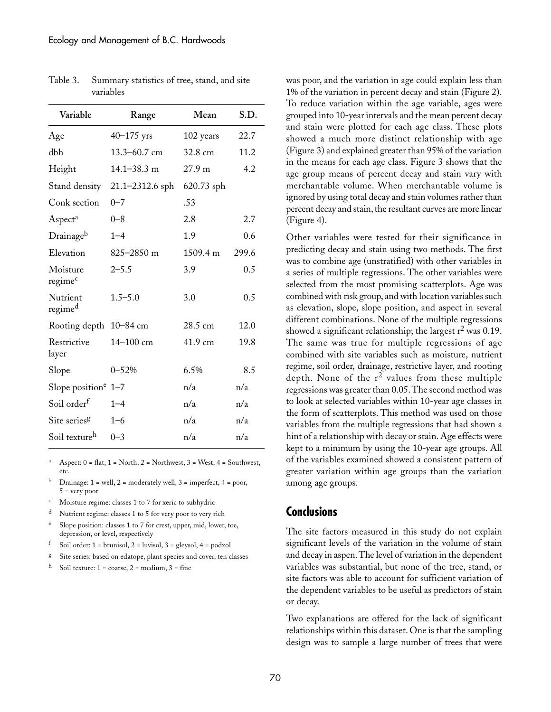| Variable                        | Range            | Mean       | S.D.  |
|---------------------------------|------------------|------------|-------|
| Age                             | $40 - 175$ yrs   | 102 years  | 22.7  |
| dbh                             | $13.3 - 60.7$ cm | 32.8 cm    | 11.2  |
| Height                          | $14.1 - 38.3$ m  | 27.9 m     | 4.2   |
| Stand density                   | 21.1-2312.6 sph  | 620.73 sph |       |
| Conk section                    | $0 - 7$          | .53        |       |
| Aspect <sup>a</sup>             | $0 - 8$          | 2.8        | 2.7   |
| Drainageb                       | $1 - 4$          | 1.9        | 0.6   |
| Elevation                       | $825 - 2850$ m   | 1509.4 m   | 299.6 |
| Moisture<br>regime <sup>c</sup> | $2 - 5.5$        | 3.9        | 0.5   |
| Nutrient<br>regime <sup>d</sup> | $1.5 - 5.0$      | 3.0        | 0.5   |
| Rooting depth                   | 10-84 cm         | 28.5 cm    | 12.0  |
| Restrictive<br>layer            | 14-100 cm        | 41.9 cm    | 19.8  |
| Slope                           | $0 - 52%$        | 6.5%       | 8.5   |
| Slope position <sup>e</sup>     | $1 - 7$          | n/a        | n/a   |
| Soil order <sup>f</sup>         | $1 - 4$          | n/a        | n/a   |
| Site series <sup>g</sup>        | $1 - 6$          | n/a        | n/a   |
| Soil texture <sup>h</sup>       | $0 - 3$          | n/a        | n/a   |

Table 3. Summary statistics of tree, stand, and site variables

<sup>a</sup> Aspect:  $0 = flat$ ,  $1 = North$ ,  $2 = Northwest$ ,  $3 = West$ ,  $4 = Southwest$ , etc.

- Drainage:  $1 = \text{well}, 2 = \text{moderately well}, 3 = \text{imperfect}, 4 = \text{poor},$  $5 = \text{very poor}$
- Moisture regime: classes 1 to 7 for xeric to subhydric
- Nutrient regime: classes 1 to 5 for very poor to very rich
- Slope position: classes 1 to 7 for crest, upper, mid, lower, toe, depression, or level, respectively
- f Soil order:  $1 = \text{brunisol}, 2 = \text{luvisol}, 3 = \text{gleysol}, 4 = \text{podzol}$
- <sup>g</sup> Site series: based on edatope, plant species and cover, ten classes
- <sup>h</sup> Soil texture:  $1 = \text{coarse}$ ,  $2 = \text{medium}$ ,  $3 = \text{fine}$

was poor, and the variation in age could explain less than 1% of the variation in percent decay and stain (Figure 2). To reduce variation within the age variable, ages were grouped into 10-year intervals and the mean percent decay and stain were plotted for each age class. These plots showed a much more distinct relationship with age (Figure␣ 3) and explained greater than 95% of the variation in the means for each age class. Figure 3 shows that the age group means of percent decay and stain vary with merchantable volume. When merchantable volume is ignored by using total decay and stain volumes rather than percent decay and stain, the resultant curves are more linear (Figure 4).

Other variables were tested for their significance in predicting decay and stain using two methods. The first was to combine age (unstratified) with other variables in a series of multiple regressions. The other variables were selected from the most promising scatterplots. Age was combined with risk group, and with location variables such as elevation, slope, slope position, and aspect in several different combinations. None of the multiple regressions showed a significant relationship; the largest  $r^2$  was 0.19. The same was true for multiple regressions of age combined with site variables such as moisture, nutrient regime, soil order, drainage, restrictive layer, and rooting depth. None of the  $r^2$  values from these multiple regressions was greater than 0.05. The second method was to look at selected variables within 10-year age classes in the form of scatterplots. This method was used on those variables from the multiple regressions that had shown a hint of a relationship with decay or stain. Age effects were kept to a minimum by using the 10-year age groups. All of the variables examined showed a consistent pattern of greater variation within age groups than the variation among age groups.

#### **Conclusions**

The site factors measured in this study do not explain significant levels of the variation in the volume of stain and decay in aspen. The level of variation in the dependent variables was substantial, but none of the tree, stand, or site factors was able to account for sufficient variation of the dependent variables to be useful as predictors of stain or decay.

Two explanations are offered for the lack of significant relationships within this dataset. One is that the sampling design was to sample a large number of trees that were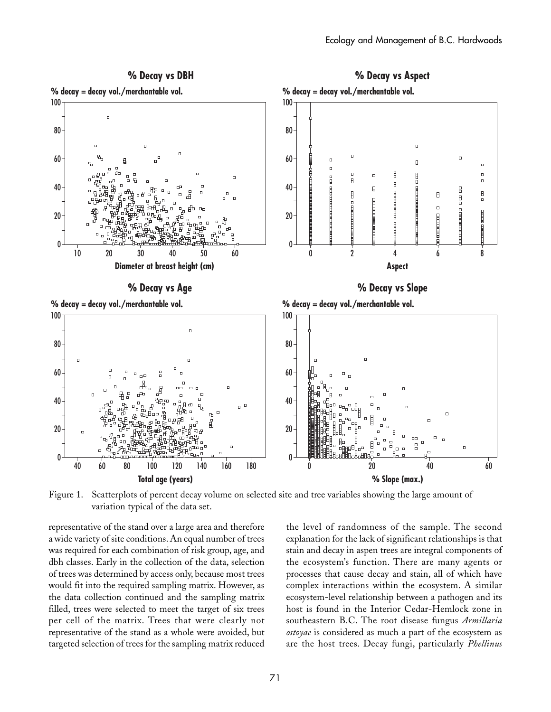

Figure 1. Scatterplots of percent decay volume on selected site and tree variables showing the large amount of variation typical of the data set.

representative of the stand over a large area and therefore a wide variety of site conditions. An equal number of trees was required for each combination of risk group, age, and dbh classes. Early in the collection of the data, selection of trees was determined by access only, because most trees would fit into the required sampling matrix. However, as the data collection continued and the sampling matrix filled, trees were selected to meet the target of six trees per cell of the matrix. Trees that were clearly not representative of the stand as a whole were avoided, but targeted selection of trees for the sampling matrix reduced

the level of randomness of the sample. The second explanation for the lack of significant relationships is that stain and decay in aspen trees are integral components of the ecosystem's function. There are many agents or processes that cause decay and stain, all of which have complex interactions within the ecosystem. A similar ecosystem-level relationship between a pathogen and its host is found in the Interior Cedar-Hemlock zone in southeastern B.C. The root disease fungus *Armillaria ostoyae* is considered as much a part of the ecosystem as are the host trees. Decay fungi, particularly *Phellinus*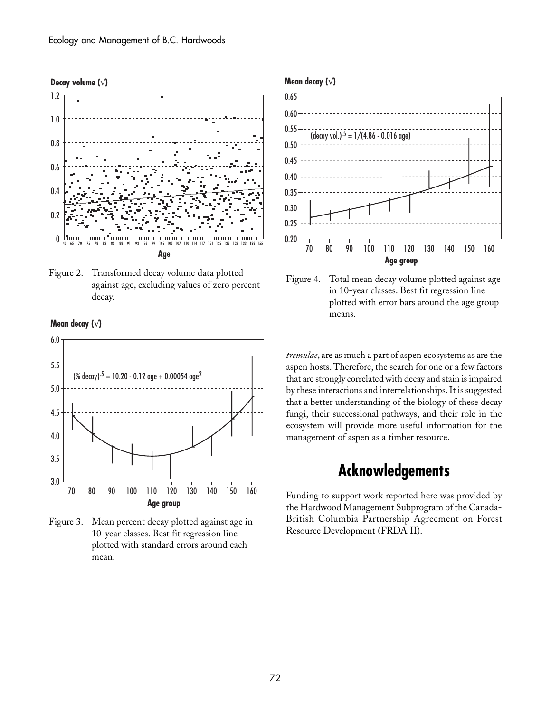







Figure 3. Mean percent decay plotted against age in 10-year classes. Best fit regression line plotted with standard errors around each mean.





Figure 4. Total mean decay volume plotted against age in 10-year classes. Best fit regression line plotted with error bars around the age group means.

*tremulae*, are as much a part of aspen ecosystems as are the aspen hosts. Therefore, the search for one or a few factors that are strongly correlated with decay and stain is impaired by these interactions and interrelationships. It is suggested that a better understanding of the biology of these decay fungi, their successional pathways, and their role in the ecosystem will provide more useful information for the management of aspen as a timber resource.

## **Acknowledgements**

Funding to support work reported here was provided by the Hardwood Management Subprogram of the Canada-British Columbia Partnership Agreement on Forest Resource Development (FRDA II).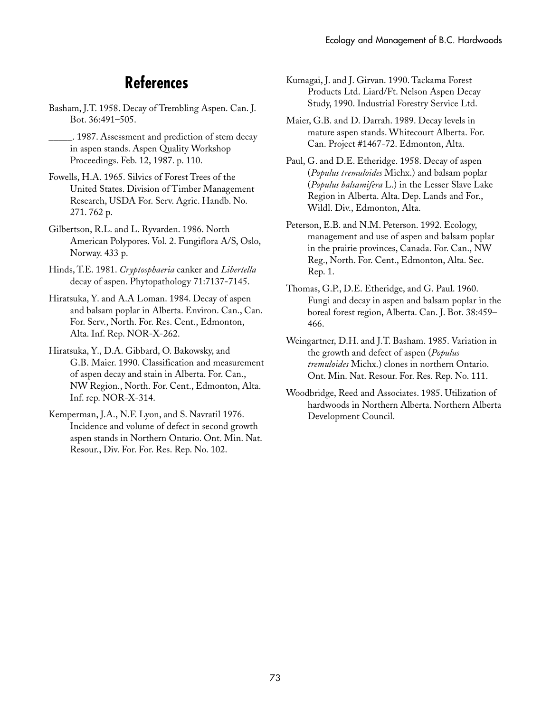## **References**

- Basham, J.T. 1958. Decay of Trembling Aspen. Can. J. Bot. 36:491–505.
	- \_\_\_\_\_. 1987. Assessment and prediction of stem decay in aspen stands. Aspen Quality Workshop Proceedings. Feb. 12, 1987. p. 110.
- Fowells, H.A. 1965. Silvics of Forest Trees of the United States. Division of Timber Management Research, USDA For. Serv. Agric. Handb. No. 271. 762 p.
- Gilbertson, R.L. and L. Ryvarden. 1986. North American Polypores. Vol. 2. Fungiflora A/S, Oslo, Norway. 433 p.
- Hinds, T.E. 1981. *Cryptosphaeria* canker and *Libertella* decay of aspen. Phytopathology 71:7137-7145.
- Hiratsuka, Y. and A.A Loman. 1984. Decay of aspen and balsam poplar in Alberta. Environ. Can., Can. For. Serv., North. For. Res. Cent., Edmonton, Alta. Inf. Rep. NOR-X-262.
- Hiratsuka, Y., D.A. Gibbard, O. Bakowsky, and G.B.␣ Maier. 1990. Classification and measurement of aspen decay and stain in Alberta. For. Can., NW Region., North. For. Cent., Edmonton, Alta. Inf. rep. NOR-X-314.
- Kemperman, J.A., N.F. Lyon, and S. Navratil 1976. Incidence and volume of defect in second growth aspen stands in Northern Ontario. Ont. Min. Nat. Resour., Div. For. For. Res. Rep. No. 102.
- Kumagai, J. and J. Girvan. 1990. Tackama Forest Products Ltd. Liard/Ft. Nelson Aspen Decay Study, 1990. Industrial Forestry Service Ltd.
- Maier, G.B. and D. Darrah. 1989. Decay levels in mature aspen stands. Whitecourt Alberta. For. Can. Project #1467-72. Edmonton, Alta.
- Paul, G. and D.E. Etheridge. 1958. Decay of aspen (*Populus tremuloides* Michx.) and balsam poplar (*Populus balsamifera* L.) in the Lesser Slave Lake Region in Alberta. Alta. Dep. Lands and For., Wildl. Div., Edmonton, Alta.
- Peterson, E.B. and N.M. Peterson. 1992. Ecology, management and use of aspen and balsam poplar in the prairie provinces, Canada. For. Can., NW Reg., North. For. Cent., Edmonton, Alta. Sec. Rep. 1.
- Thomas, G.P., D.E. Etheridge, and G. Paul. 1960. Fungi and decay in aspen and balsam poplar in the boreal forest region, Alberta. Can. J. Bot. 38:459– 466.
- Weingartner, D.H. and J.T. Basham. 1985. Variation in the growth and defect of aspen (*Populus tremuloides* Michx.) clones in northern Ontario. Ont. Min. Nat. Resour. For. Res. Rep. No. 111.
- Woodbridge, Reed and Associates. 1985. Utilization of hardwoods in Northern Alberta. Northern Alberta Development Council.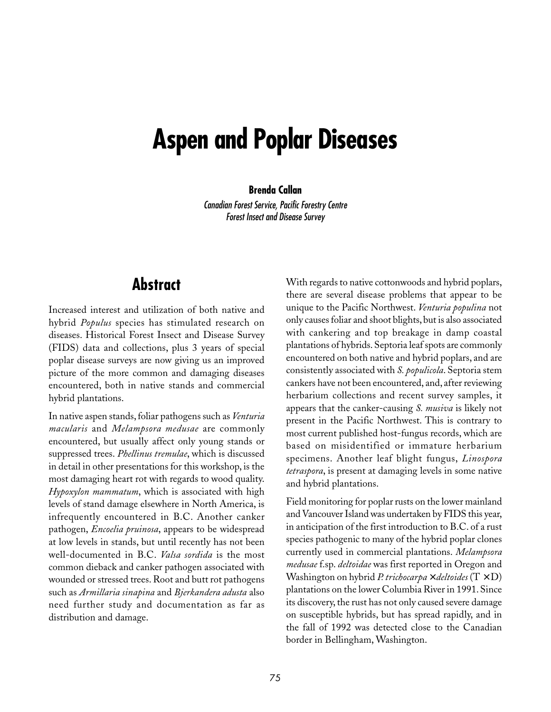# **Aspen and Poplar Diseases**

#### **Brenda Callan**

Canadian Forest Service, Pacific Forestry Centre Forest Insect and Disease Survey

### **Abstract**

Increased interest and utilization of both native and hybrid *Populus* species has stimulated research on diseases. Historical Forest Insect and Disease Survey (FIDS) data and collections, plus 3 years of special poplar disease surveys are now giving us an improved picture of the more common and damaging diseases encountered, both in native stands and commercial hybrid plantations.

In native aspen stands, foliar pathogens such as *Venturia macularis* and *Melampsora medusae* are commonly encountered, but usually affect only young stands or suppressed trees. *Phellinus tremulae*, which is discussed in detail in other presentations for this workshop, is the most damaging heart rot with regards to wood quality. *Hypoxylon mammatum*, which is associated with high levels of stand damage elsewhere in North America, is infrequently encountered in B.C. Another canker pathogen, *Encoelia pruinosa*, appears to be widespread at low levels in stands, but until recently has not been well-documented in B.C. *Valsa sordida* is the most common dieback and canker pathogen associated with wounded or stressed trees. Root and butt rot pathogens such as *Armillaria sinapina* and *Bjerkandera adusta* also need further study and documentation as far as distribution and damage.

With regards to native cottonwoods and hybrid poplars, there are several disease problems that appear to be unique to the Pacific Northwest. *Venturia populina* not only causes foliar and shoot blights, but is also associated with cankering and top breakage in damp coastal plantations of hybrids. Septoria leaf spots are commonly encountered on both native and hybrid poplars, and are consistently associated with *S. populicola*. Septoria stem cankers have not been encountered, and, after reviewing herbarium collections and recent survey samples, it appears that the canker-causing *S. musiva* is likely not present in the Pacific Northwest. This is contrary to most current published host-fungus records, which are based on misidentified or immature herbarium specimens. Another leaf blight fungus, *Linospora tetraspora*, is present at damaging levels in some native and hybrid plantations.

Field monitoring for poplar rusts on the lower mainland and Vancouver Island was undertaken by FIDS this year, in anticipation of the first introduction to B.C. of a rust species pathogenic to many of the hybrid poplar clones currently used in commercial plantations. *Melampsora medusae* f.sp. *deltoidae* was first reported in Oregon and Washington on hybrid *P. trichocarpa* × *deltoides* (T␣ ×␣ D) plantations on the lower Columbia River in 1991. Since its discovery, the rust has not only caused severe damage on susceptible hybrids, but has spread rapidly, and in the fall of 1992 was detected close to the Canadian border in Bellingham, Washington.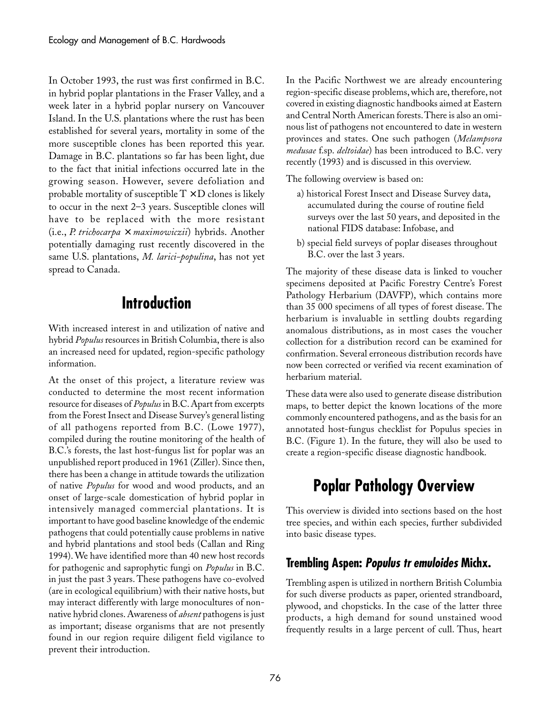In October 1993, the rust was first confirmed in B.C. in hybrid poplar plantations in the Fraser Valley, and a week later in a hybrid poplar nursery on Vancouver Island. In the U.S. plantations where the rust has been established for several years, mortality in some of the more susceptible clones has been reported this year. Damage in B.C. plantations so far has been light, due to the fact that initial infections occurred late in the growing season. However, severe defoliation and probable mortality of susceptible  $T \times D$  clones is likely to occur in the next 2–3 years. Susceptible clones will have to be replaced with the more resistant (i.e.,␣ *P.␣ trichocarpa* × *maximowiczii*) hybrids. Another potentially damaging rust recently discovered in the same U.S. plantations, *M. larici-populina*, has not yet spread to Canada.

## **Introduction**

With increased interest in and utilization of native and hybrid *Populus* resources in British Columbia, there is also an increased need for updated, region-specific pathology information.

At the onset of this project, a literature review was conducted to determine the most recent information resource for diseases of *Populus* in B.C. Apart from excerpts from the Forest Insect and Disease Survey's general listing of all pathogens reported from B.C. (Lowe 1977), compiled during the routine monitoring of the health of B.C.'s forests, the last host-fungus list for poplar was an unpublished report produced in 1961 (Ziller). Since then, there has been a change in attitude towards the utilization of native *Populus* for wood and wood products, and an onset of large-scale domestication of hybrid poplar in intensively managed commercial plantations. It is important to have good baseline knowledge of the endemic pathogens that could potentially cause problems in native and hybrid plantations and stool beds (Callan and Ring 1994). We have identified more than 40 new host records for pathogenic and saprophytic fungi on *Populus* in B.C. in just the past 3 years. These pathogens have co-evolved (are in ecological equilibrium) with their native hosts, but may interact differently with large monocultures of nonnative hybrid clones. Awareness of *absent* pathogens is just as important; disease organisms that are not presently found in our region require diligent field vigilance to prevent their introduction.

In the Pacific Northwest we are already encountering region-specific disease problems, which are, therefore, not covered in existing diagnostic handbooks aimed at Eastern and Central North American forests. There is also an ominous list of pathogens not encountered to date in western provinces and states. One such pathogen (*Melampsora medusae* f.sp. *deltoidae*) has been introduced to B.C. very recently (1993) and is discussed in this overview.

The following overview is based on:

- a) historical Forest Insect and Disease Survey data, accumulated during the course of routine field surveys over the last 50 years, and deposited in the national FIDS database: Infobase, and
- b) special field surveys of poplar diseases throughout B.C. over the last 3 years.

The majority of these disease data is linked to voucher specimens deposited at Pacific Forestry Centre's Forest Pathology Herbarium (DAVFP), which contains more than 35 000 specimens of all types of forest disease. The herbarium is invaluable in settling doubts regarding anomalous distributions, as in most cases the voucher collection for a distribution record can be examined for confirmation. Several erroneous distribution records have now been corrected or verified via recent examination of herbarium material.

These data were also used to generate disease distribution maps, to better depict the known locations of the more commonly encountered pathogens, and as the basis for an annotated host-fungus checklist for Populus species in B.C. (Figure 1). In the future, they will also be used to create a region-specific disease diagnostic handbook.

## **Poplar Pathology Overview**

This overview is divided into sections based on the host tree species, and within each species, further subdivided into basic disease types.

### **Trembling Aspen: Populus tr emuloides Michx.**

Trembling aspen is utilized in northern British Columbia for such diverse products as paper, oriented strandboard, plywood, and chopsticks. In the case of the latter three products, a high demand for sound unstained wood frequently results in a large percent of cull. Thus, heart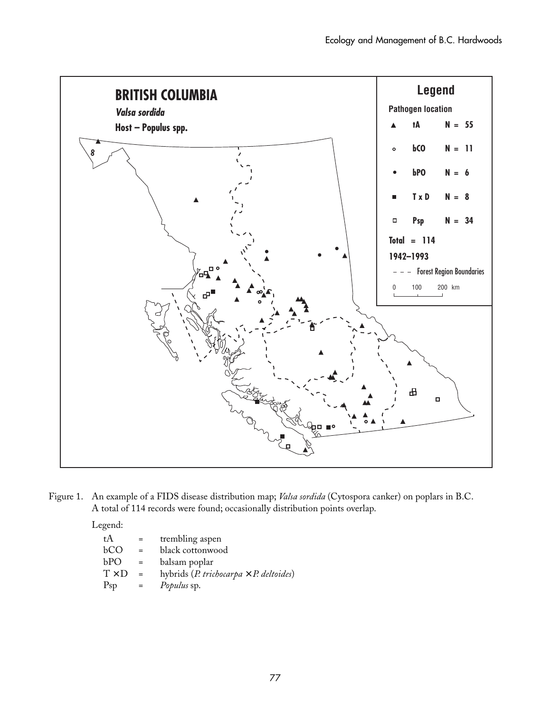

Figure 1. An example of a FIDS disease distribution map; *Valsa sordida* (Cytospora canker) on poplars in B.C. A total of 114 records were found; occasionally distribution points overlap.

Legend:

| tA           |     | trembling aspen                                |  |
|--------------|-----|------------------------------------------------|--|
| bСO          | $=$ | black cottonwood                               |  |
| bРO          |     | balsam poplar                                  |  |
| $T \times D$ | $=$ | hybrids (P. trichocarpa $\times$ P. deltoides) |  |
| $P_{\rm SD}$ |     | Populus sp.                                    |  |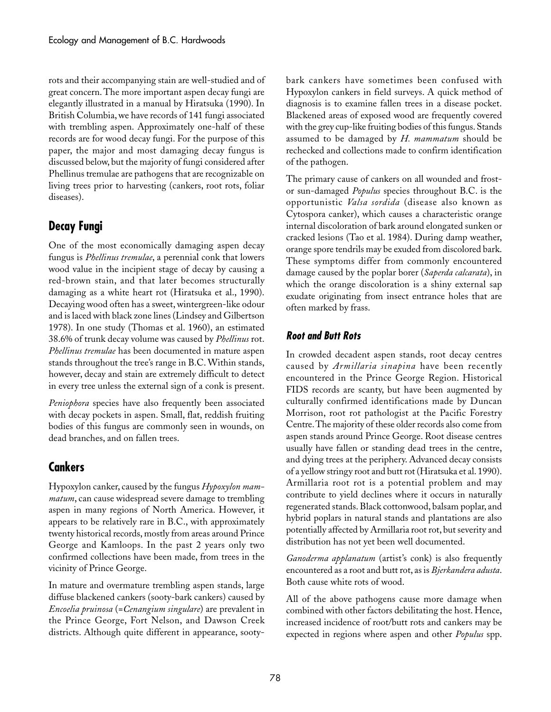rots and their accompanying stain are well-studied and of great concern. The more important aspen decay fungi are elegantly illustrated in a manual by Hiratsuka (1990). In British Columbia, we have records of 141 fungi associated with trembling aspen. Approximately one-half of these records are for wood decay fungi. For the purpose of this paper, the major and most damaging decay fungus is discussed below, but the majority of fungi considered after Phellinus tremulae are pathogens that are recognizable on living trees prior to harvesting (cankers, root rots, foliar diseases).

### **Decay Fungi**

One of the most economically damaging aspen decay fungus is *Phellinus tremulae*, a perennial conk that lowers wood value in the incipient stage of decay by causing a red-brown stain, and that later becomes structurally damaging as a white heart rot (Hiratsuka et al., 1990). Decaying wood often has a sweet, wintergreen-like odour and is laced with black zone lines (Lindsey and Gilbertson 1978). In one study (Thomas et al. 1960), an estimated 38.6% of trunk decay volume was caused by *Phellinus* rot. *Phellinus tremulae* has been documented in mature aspen stands throughout the tree's range in B.C. Within stands, however, decay and stain are extremely difficult to detect in every tree unless the external sign of a conk is present.

*Peniophora* species have also frequently been associated with decay pockets in aspen. Small, flat, reddish fruiting bodies of this fungus are commonly seen in wounds, on dead branches, and on fallen trees.

### **Cankers**

Hypoxylon canker, caused by the fungus *Hypoxylon mammatum*, can cause widespread severe damage to trembling aspen in many regions of North America. However, it appears to be relatively rare in B.C., with approximately twenty historical records, mostly from areas around Prince George and Kamloops. In the past 2 years only two confirmed collections have been made, from trees in the vicinity of Prince George.

In mature and overmature trembling aspen stands, large diffuse blackened cankers (sooty-bark cankers) caused by *Encoelia pruinosa* (=*Cenangium singulare*) are prevalent in the Prince George, Fort Nelson, and Dawson Creek districts. Although quite different in appearance, sootybark cankers have sometimes been confused with Hypoxylon cankers in field surveys. A quick method of diagnosis is to examine fallen trees in a disease pocket. Blackened areas of exposed wood are frequently covered with the grey cup-like fruiting bodies of this fungus. Stands assumed to be damaged by *H. mammatum* should be rechecked and collections made to confirm identification of the pathogen.

The primary cause of cankers on all wounded and frostor sun-damaged *Populus* species throughout B.C. is the opportunistic *Valsa sordida* (disease also known as Cytospora canker), which causes a characteristic orange internal discoloration of bark around elongated sunken or cracked lesions (Tao et al. 1984). During damp weather, orange spore tendrils may be exuded from discolored bark. These symptoms differ from commonly encountered damage caused by the poplar borer (*Saperda calcarata*), in which the orange discoloration is a shiny external sap exudate originating from insect entrance holes that are often marked by frass.

#### **Root and Butt Rots**

In crowded decadent aspen stands, root decay centres caused by *Armillaria sinapina* have been recently encountered in the Prince George Region. Historical FIDS records are scanty, but have been augmented by culturally confirmed identifications made by Duncan Morrison, root rot pathologist at the Pacific Forestry Centre. The majority of these older records also come from aspen stands around Prince George. Root disease centres usually have fallen or standing dead trees in the centre, and dying trees at the periphery. Advanced decay consists of a yellow stringy root and butt rot (Hiratsuka et al. 1990). Armillaria root rot is a potential problem and may contribute to yield declines where it occurs in naturally regenerated stands. Black cottonwood, balsam poplar, and hybrid poplars in natural stands and plantations are also potentially affected by Armillaria root rot, but severity and distribution has not yet been well documented.

*Ganoderma applanatum* (artist's conk) is also frequently encountered as a root and butt rot, as is *Bjerkandera adusta*. Both cause white rots of wood.

All of the above pathogens cause more damage when combined with other factors debilitating the host. Hence, increased incidence of root/butt rots and cankers may be expected in regions where aspen and other *Populus* spp.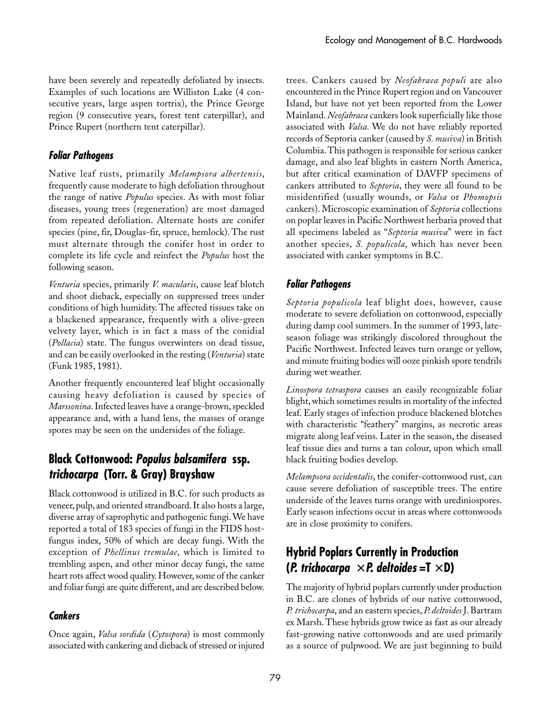have been severely and repeatedly defoliated by insects. Examples of such locations are Williston Lake (4 consecutive years, large aspen tortrix), the Prince George region (9 consecutive years, forest tent caterpillar), and Prince Rupert (northern tent caterpillar).

#### **Foliar Pathogens**

Native leaf rusts, primarily *Melampsora albertensis*, frequently cause moderate to high defoliation throughout the range of native *Populus* species. As with most foliar diseases, young trees (regeneration) are most damaged from repeated defoliation. Alternate hosts are conifer species (pine, fir, Douglas-fir, spruce, hemlock). The rust must alternate through the conifer host in order to complete its life cycle and reinfect the *Populus* host the following season.

*Venturia* species, primarily *V. macularis*, cause leaf blotch and shoot dieback, especially on suppressed trees under conditions of high humidity. The affected tissues take on a blackened appearance, frequently with a olive-green velvety layer, which is in fact a mass of the conidial (*Pollacia*) state. The fungus overwinters on dead tissue, and can be easily overlooked in the resting (*Venturia*) state (Funk 1985, 1981).

Another frequently encountered leaf blight occasionally causing heavy defoliation is caused by species of *Marssonina*. Infected leaves have a orange-brown, speckled appearance and, with a hand lens, the masses of orange spores may be seen on the undersides of the foliage.

### **Black Cottonwood: Populus balsamifera ssp. trichocarpa (Torr. & Gray) Brayshaw**

Black cottonwood is utilized in B.C. for such products as veneer, pulp, and oriented strandboard. It also hosts a large, diverse array of saprophytic and pathogenic fungi. We have reported a total of 183 species of fungi in the FIDS hostfungus index, 50% of which are decay fungi. With the exception of *Phellinus tremulae*, which is limited to trembling aspen, and other minor decay fungi, the same heart rots affect wood quality. However, some of the canker and foliar fungi are quite different, and are described below.

### **Cankers**

Once again, *Valsa sordida* (*Cytospora*) is most commonly associated with cankering and dieback of stressed or injured

trees. Cankers caused by *Neofabraea populi* are also encountered in the Prince Rupert region and on Vancouver Island, but have not yet been reported from the Lower Mainland. *Neofabraea* cankers look superficially like those associated with *Valsa*. We do not have reliably reported records of Septoria canker (caused by *S. musiva*) in British Columbia. This pathogen is responsible for serious canker damage, and also leaf blights in eastern North America, but after critical examination of DAVFP specimens of cankers attributed to *Septoria*, they were all found to be misidentified (usually wounds, or *Valsa* or *Phomopsis* cankers). Microscopic examination of *Septoria* collections on poplar leaves in Pacific Northwest herbaria proved that all specimens labeled as "*Septoria musiva*" were in fact another species, *S. populicola*, which has never been associated with canker symptoms in B.C.

### **Foliar Pathogens**

*Septoria populicola* leaf blight does, however, cause moderate to severe defoliation on cottonwood, especially during damp cool summers. In the summer of 1993, lateseason foliage was strikingly discolored throughout the Pacific Northwest. Infected leaves turn orange or yellow, and minute fruiting bodies will ooze pinkish spore tendrils during wet weather.

*Linospora tetraspora* causes an easily recognizable foliar blight, which sometimes results in mortality of the infected leaf. Early stages of infection produce blackened blotches with characteristic "feathery" margins, as necrotic areas migrate along leaf veins. Later in the season, the diseased leaf tissue dies and turns a tan colour, upon which small black fruiting bodies develop.

*Melampsora occidentalis*, the conifer-cottonwood rust, can cause severe defoliation of susceptible trees. The entire underside of the leaves turns orange with urediniospores. Early season infections occur in areas where cottonwoods are in close proximity to conifers.

### **Hybrid Poplars Currently in Production (P. trichocarpa** × **P. deltoides =T** × **D)**

The majority of hybrid poplars currently under production in B.C. are clones of hybrids of our native cottonwood, *P.␣ trichocarpa*, and an eastern species, *P. deltoides* J. Bartram ex Marsh. These hybrids grow twice as fast as our already fast-growing native cottonwoods and are used primarily as a source of pulpwood. We are just beginning to build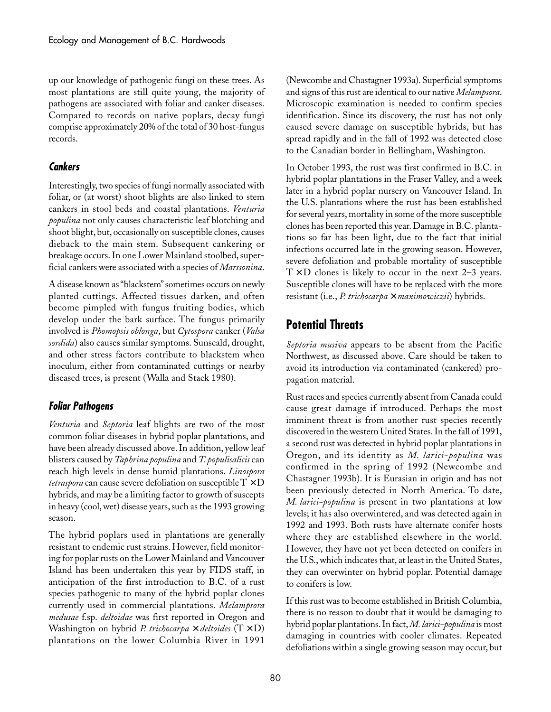up our knowledge of pathogenic fungi on these trees. As most plantations are still quite young, the majority of pathogens are associated with foliar and canker diseases. Compared to records on native poplars, decay fungi comprise approximately 20% of the total of 30 host-fungus records.

#### **Cankers**

Interestingly, two species of fungi normally associated with foliar, or (at worst) shoot blights are also linked to stem cankers in stool beds and coastal plantations. *Venturia populina* not only causes characteristic leaf blotching and shoot blight, but, occasionally on susceptible clones, causes dieback to the main stem. Subsequent cankering or breakage occurs. In one Lower Mainland stoolbed, superficial cankers were associated with a species of *Marssonina*.

A disease known as "blackstem" sometimes occurs on newly planted cuttings. Affected tissues darken, and often become pimpled with fungus fruiting bodies, which develop under the bark surface. The fungus primarily involved is *Phomopsis oblonga*, but *Cytospora* canker (*Valsa sordida*) also causes similar symptoms. Sunscald, drought, and other stress factors contribute to blackstem when inoculum, either from contaminated cuttings or nearby diseased trees, is present (Walla and Stack 1980).

#### **Foliar Pathogens**

*Venturia* and *Septoria* leaf blights are two of the most common foliar diseases in hybrid poplar plantations, and have been already discussed above. In addition, yellow leaf blisters caused by *Taphrina populina* and *T. populisalicis* can reach high levels in dense humid plantations. *Linospora tetraspora* can cause severe defoliation on susceptible  $T \times D$ hybrids, and may be a limiting factor to growth of suscepts in heavy (cool, wet) disease years, such as the 1993 growing season.

The hybrid poplars used in plantations are generally resistant to endemic rust strains. However, field monitoring for poplar rusts on the Lower Mainland and Vancouver Island has been undertaken this year by FIDS staff, in anticipation of the first introduction to B.C. of a rust species pathogenic to many of the hybrid poplar clones currently used in commercial plantations. *Melampsora medusae* f.sp. *deltoidae* was first reported in Oregon and Washington on hybrid *P. trichocarpa* × *deltoides* (T␣ ×␣ D) plantations on the lower Columbia River in 1991

(Newcombe and Chastagner 1993a). Superficial symptoms and signs of this rust are identical to our native *Melampsora*. Microscopic examination is needed to confirm species identification. Since its discovery, the rust has not only caused severe damage on susceptible hybrids, but has spread rapidly and in the fall of 1992 was detected close to the Canadian border in Bellingham, Washington.

In October 1993, the rust was first confirmed in B.C. in hybrid poplar plantations in the Fraser Valley, and a week later in a hybrid poplar nursery on Vancouver Island. In the U.S. plantations where the rust has been established for several years, mortality in some of the more susceptible clones has been reported this year. Damage in B.C. plantations so far has been light, due to the fact that initial infections occurred late in the growing season. However, severe defoliation and probable mortality of susceptible  $T \times D$  clones is likely to occur in the next 2–3 years. Susceptible clones will have to be replaced with the more resistant (i.e., *P. trichocarpa* × *maximowiczii*) hybrids.

### **Potential Threats**

*Septoria musiva* appears to be absent from the Pacific Northwest, as discussed above. Care should be taken to avoid its introduction via contaminated (cankered) propagation material.

Rust races and species currently absent from Canada could cause great damage if introduced. Perhaps the most imminent threat is from another rust species recently discovered in the western United States. In the fall of 1991, a second rust was detected in hybrid poplar plantations in Oregon, and its identity as *M. larici-populina* was confirmed in the spring of 1992 (Newcombe and Chastagner 1993b). It is Eurasian in origin and has not been previously detected in North America. To date, *M. larici-populina* is present in two plantations at low levels; it has also overwintered, and was detected again in 1992 and 1993. Both rusts have alternate conifer hosts where they are established elsewhere in the world. However, they have not yet been detected on conifers in the U.S., which indicates that, at least in the United States, they can overwinter on hybrid poplar. Potential damage to conifers is low.

If this rust was to become established in British Columbia, there is no reason to doubt that it would be damaging to hybrid poplar plantations. In fact, *M. larici-populina* is most damaging in countries with cooler climates. Repeated defoliations within a single growing season may occur, but